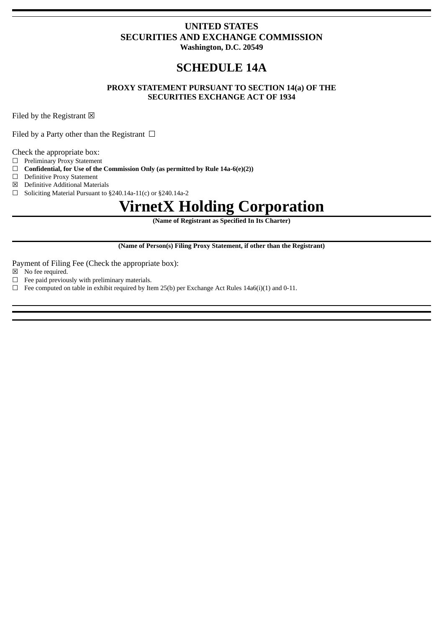# **UNITED STATES SECURITIES AND EXCHANGE COMMISSION Washington, D.C. 20549**

# **SCHEDULE 14A**

## **PROXY STATEMENT PURSUANT TO SECTION 14(a) OF THE SECURITIES EXCHANGE ACT OF 1934**

Filed by the Registrant  $\boxtimes$ 

Filed by a Party other than the Registrant  $\Box$ 

Check the appropriate box:

☐ Preliminary Proxy Statement

☐ **Confidential, for Use of the Commission Only (as permitted by Rule 14a-6(e)(2))**

☐ Definitive Proxy Statement

☒ Definitive Additional Materials

☐ Soliciting Material Pursuant to §240.14a-11(c) or §240.14a-2

# **VirnetX Holding Corporation**

**(Name of Registrant as Specified In Its Charter)**

**(Name of Person(s) Filing Proxy Statement, if other than the Registrant)**

Payment of Filing Fee (Check the appropriate box):

- ☒ No fee required.
- $\Box$  Fee paid previously with preliminary materials.
- $\Box$  Fee computed on table in exhibit required by Item 25(b) per Exchange Act Rules 14a6(i)(1) and 0-11.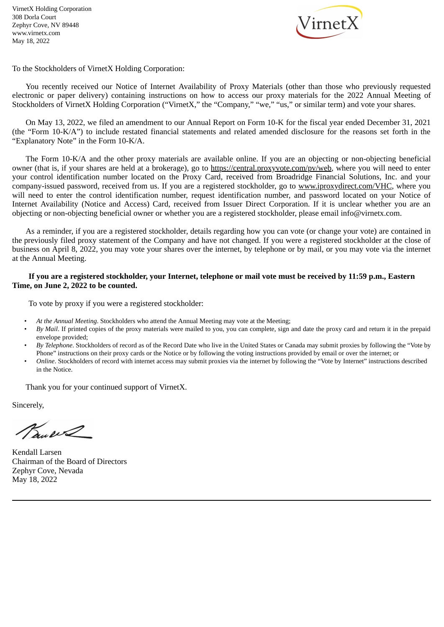VirnetX Holding Corporation 308 Dorla Court Zephyr Cove, NV 89448 www.virnetx.com May 18, 2022



To the Stockholders of VirnetX Holding Corporation:

You recently received our Notice of Internet Availability of Proxy Materials (other than those who previously requested electronic or paper delivery) containing instructions on how to access our proxy materials for the 2022 Annual Meeting of Stockholders of VirnetX Holding Corporation ("VirnetX," the "Company," "we," "us," or similar term) and vote your shares.

On May 13, 2022, we filed an amendment to our Annual Report on Form 10-K for the fiscal year ended December 31, 2021 (the "Form 10-K/A") to include restated financial statements and related amended disclosure for the reasons set forth in the "Explanatory Note" in the Form 10-K/A.

The Form 10-K/A and the other proxy materials are available online. If you are an objecting or non-objecting beneficial owner (that is, if your shares are held at a brokerage), go to https://central.proxyvote.com/pv/web, where you will need to enter your control identification number located on the Proxy Card, received from Broadridge Financial Solutions, Inc. and your company-issued password, received from us. If you are a registered stockholder, go to www.iproxydirect.com/VHC, where you will need to enter the control identification number, request identification number, and password located on your Notice of Internet Availability (Notice and Access) Card, received from Issuer Direct Corporation. If it is unclear whether you are an objecting or non-objecting beneficial owner or whether you are a registered stockholder, please email info@virnetx.com.

As a reminder, if you are a registered stockholder, details regarding how you can vote (or change your vote) are contained in the previously filed proxy statement of the Company and have not changed. If you were a registered stockholder at the close of business on April 8, 2022, you may vote your shares over the internet, by telephone or by mail, or you may vote via the internet at the Annual Meeting.

### **If you are a registered stockholder, your Internet, telephone or mail vote must be received by 11:59 p.m., Eastern Time, on June 2, 2022 to be counted.**

To vote by proxy if you were a registered stockholder:

- *At the Annual Meeting*. Stockholders who attend the Annual Meeting may vote at the Meeting;
- *By Mail*. If printed copies of the proxy materials were mailed to you, you can complete, sign and date the proxy card and return it in the prepaid envelope provided;
- *By Telephone*. Stockholders of record as of the Record Date who live in the United States or Canada may submit proxies by following the "Vote by Phone" instructions on their proxy cards or the Notice or by following the voting instructions provided by email or over the internet; or
- *Online*. Stockholders of record with internet access may submit proxies via the internet by following the "Vote by Internet" instructions described in the Notice.

Thank you for your continued support of VirnetX.

Sincerely,

Buend

Kendall Larsen Chairman of the Board of Directors Zephyr Cove, Nevada May 18, 2022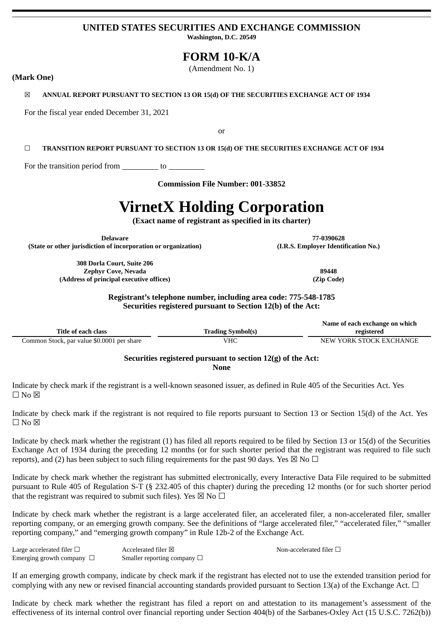# **UNITED STATES SECURITIES AND EXCHANGE COMMISSION**

**Washington, D.C. 20549**

# **FORM 10-K/A**

(Amendment No. 1)

**(Mark One)**

☒ **ANNUAL REPORT PURSUANT TO SECTION 13 OR 15(d) OF THE SECURITIES EXCHANGE ACT OF 1934**

For the fiscal year ended December 31, 2021

or

☐ **TRANSITION REPORT PURSUANT TO SECTION 13 OR 15(d) OF THE SECURITIES EXCHANGE ACT OF 1934**

For the transition period from  $\sqrt{a}$  to

**Commission File Number: 001-33852**

# **VirnetX Holding Corporation**

**(Exact name of registrant as specified in its charter)**

**Delaware 77-0390628 (State or other jurisdiction of incorporation or organization) (I.R.S. Employer Identification No.)**

**308 Dorla Court, Suite 206 Zephyr Cove, Nevada 89448 (Address of principal executive offices) (Zip Code)**

**Registrant's telephone number, including area code: 775-548-1785 Securities registered pursuant to Section 12(b) of the Act:**

|                                            |                          | Name of each exchange on which |
|--------------------------------------------|--------------------------|--------------------------------|
| Title of each class                        | <b>Trading Symbol(s)</b> | registered                     |
| Common Stock, par value \$0.0001 per share | VHC                      | NEW YORK STOCK EXCHANGE        |

### **Securities registered pursuant to section 12(g) of the Act: None**

Indicate by check mark if the registrant is a well-known seasoned issuer, as defined in Rule 405 of the Securities Act. Yes  $\Box$  No  $\boxtimes$ 

Indicate by check mark if the registrant is not required to file reports pursuant to Section 13 or Section 15(d) of the Act. Yes  $\Box$  No  $\boxtimes$ 

Indicate by check mark whether the registrant (1) has filed all reports required to be filed by Section 13 or 15(d) of the Securities Exchange Act of 1934 during the preceding 12 months (or for such shorter period that the registrant was required to file such reports), and (2) has been subject to such filing requirements for the past 90 days. Yes  $\boxtimes$  No  $\Box$ 

Indicate by check mark whether the registrant has submitted electronically, every Interactive Data File required to be submitted pursuant to Rule 405 of Regulation S-T (§ 232.405 of this chapter) during the preceding 12 months (or for such shorter period that the registrant was required to submit such files). Yes  $\boxtimes$  No  $\Box$ 

Indicate by check mark whether the registrant is a large accelerated filer, an accelerated filer, a non-accelerated filer, smaller reporting company, or an emerging growth company. See the definitions of "large accelerated filer," "accelerated filer," "smaller reporting company," and "emerging growth company" in Rule 12b-2 of the Exchange Act.

Large accelerated filer □ Accelerated filer ⊠ Non-accelerated filer □ Emerging growth company  $\Box$  Smaller reporting company  $\Box$ 

If an emerging growth company, indicate by check mark if the registrant has elected not to use the extended transition period for complying with any new or revised financial accounting standards provided pursuant to Section 13(a) of the Exchange Act.  $\Box$ 

Indicate by check mark whether the registrant has filed a report on and attestation to its management's assessment of the effectiveness of its internal control over financial reporting under Section 404(b) of the Sarbanes-Oxley Act (15 U.S.C. 7262(b))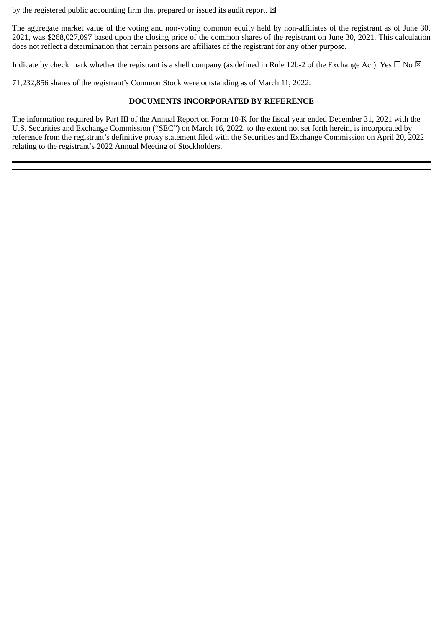by the registered public accounting firm that prepared or issued its audit report.  $\boxtimes$ 

The aggregate market value of the voting and non-voting common equity held by non-affiliates of the registrant as of June 30, 2021, was \$268,027,097 based upon the closing price of the common shares of the registrant on June 30, 2021. This calculation does not reflect a determination that certain persons are affiliates of the registrant for any other purpose.

Indicate by check mark whether the registrant is a shell company (as defined in Rule 12b-2 of the Exchange Act). Yes  $\Box$  No  $\boxtimes$ 

71,232,856 shares of the registrant's Common Stock were outstanding as of March 11, 2022.

# **DOCUMENTS INCORPORATED BY REFERENCE**

The information required by Part III of the Annual Report on Form 10-K for the fiscal year ended December 31, 2021 with the U.S. Securities and Exchange Commission ("SEC") on March 16, 2022, to the extent not set forth herein, is incorporated by reference from the registrant's definitive proxy statement filed with the Securities and Exchange Commission on April 20, 2022 relating to the registrant's 2022 Annual Meeting of Stockholders.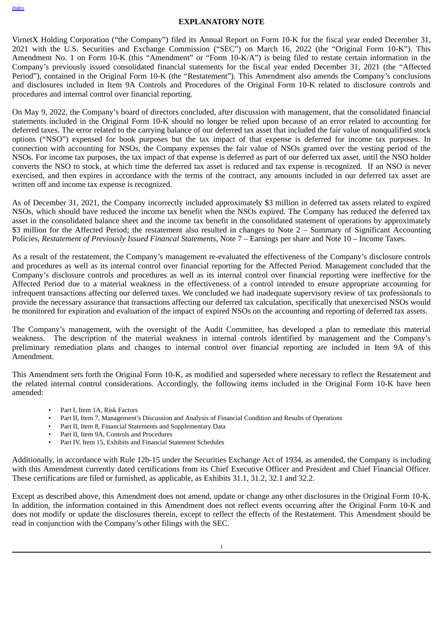### **EXPLANATORY NOTE**

VirnetX Holding Corporation ("the Company") filed its Annual Report on Form 10-K for the fiscal year ended December 31, 2021 with the U.S. Securities and Exchange Commission ("SEC") on March 16, 2022 (the "Original Form 10-K"). This Amendment No. 1 on Form 10-K (this "Amendment" or "Form 10-K/A") is being filed to restate certain information in the Company's previously issued consolidated financial statements for the fiscal year ended December 31, 2021 (the "Affected Period"), contained in the Original Form 10-K (the "Restatement"). This Amendment also amends the Company's conclusions and disclosures included in Item 9A Controls and Procedures of the Original Form 10-K related to disclosure controls and procedures and internal control over financial reporting.

On May 9, 2022, the Company's board of directors concluded, after discussion with management, that the consolidated financial statements included in the Original Form 10-K should no longer be relied upon because of an error related to accounting for deferred taxes. The error related to the carrying balance of our deferred tax asset that included the fair value of nonqualified stock options ("NSO") expensed for book purposes but the tax impact of that expense is deferred for income tax purposes. In connection with accounting for NSOs, the Company expenses the fair value of NSOs granted over the vesting period of the NSOs. For income tax purposes, the tax impact of that expense is deferred as part of our deferred tax asset, until the NSO holder converts the NSO to stock, at which time the deferred tax asset is reduced and tax expense is recognized. If an NSO is never exercised, and then expires in accordance with the terms of the contract, any amounts included in our deferred tax asset are written off and income tax expense is recognized.

As of December 31, 2021, the Company incorrectly included approximately \$3 million in deferred tax assets related to expired NSOs, which should have reduced the income tax benefit when the NSOs expired. The Company has reduced the deferred tax asset in the consolidated balance sheet and the income tax benefit in the consolidated statement of operations by approximately \$3 million for the Affected Period; the restatement also resulted in changes to Note 2 – Summary of Significant Accounting Policies, *Restatement of Previously Issued Financal Statements*, Note 7 – Earnings per share and Note 10 – Income Taxes.

As a result of the restatement, the Company's management re-evaluated the effectiveness of the Company's disclosure controls and procedures as well as its internal control over financial reporting for the Affected Period. Management concluded that the Company's disclosure controls and procedures as well as its internal control over financial reporting were ineffective for the Affected Period due to a material weakness in the effectiveness of a control intended to ensure appropriate accounting for infrequent transactions affecting our deferred taxes. We concluded we had inadequate supervisory review of tax professionals to provide the necessary assurance that transactions affecting our deferred tax calculation, specifically that unexercised NSOs would be monitored for expiration and evaluation of the impact of expired NSOs on the accounting and reporting of deferred tax assets.

The Company's management, with the oversight of the Audit Committee, has developed a plan to remediate this material weakness. The description of the material weakness in internal controls identified by management and the Company's preliminary remediation plans and changes to internal control over financial reporting are included in Item 9A of this Amendment.

This Amendment sets forth the Original Form 10-K, as modified and superseded where necessary to reflect the Restatement and the related internal control considerations. Accordingly, the following items included in the Original Form 10-K have been amended:

- Part I, Item 1A, Risk Factors
- Part II, Item 7, Management's Discussion and Analysis of Financial Condition and Results of Operations
- Part II, Item 8, Financial Statements and Supplementary Data
- Part II, Item 9A, Controls and Procedures
- Part IV, Item 15, Exhibits and Financial Statement Schedules

Additionally, in accordance with Rule 12b-15 under the Securities Exchange Act of 1934, as amended, the Company is including with this Amendment currently dated certifications from its Chief Executive Officer and President and Chief Financial Officer. These certifications are filed or furnished, as applicable, as Exhibits 31.1, 31.2, 32.1 and 32.2.

Except as described above, this Amendment does not amend, update or change any other disclosures in the Original Form 10-K. In addition, the information contained in this Amendment does not reflect events occurring after the Original Form 10-K and does not modify or update the disclosures therein, except to reflect the effects of the Restatement. This Amendment should be read in conjunction with the Company's other filings with the SEC.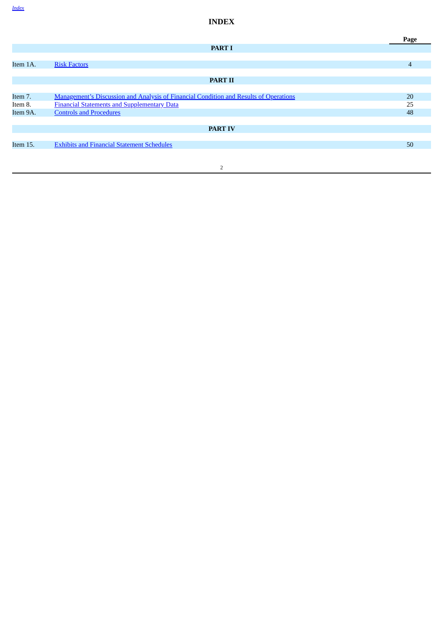# **INDEX**

<span id="page-5-0"></span>

|          |                                                                                       | Page           |
|----------|---------------------------------------------------------------------------------------|----------------|
|          | <b>PART I</b>                                                                         |                |
|          |                                                                                       |                |
| Item 1A. | <b>Risk Factors</b>                                                                   | $\overline{4}$ |
|          |                                                                                       |                |
|          | <b>PART II</b>                                                                        |                |
|          |                                                                                       |                |
| Item 7.  | Management's Discussion and Analysis of Financial Condition and Results of Operations | 20             |
| Item 8.  | <b>Financial Statements and Supplementary Data</b>                                    | 25             |
| Item 9A. | <b>Controls and Procedures</b>                                                        | 48             |
|          |                                                                                       |                |
|          | <b>PART IV</b>                                                                        |                |
|          |                                                                                       |                |
| Item 15. | <b>Exhibits and Financial Statement Schedules</b>                                     | 50             |
|          |                                                                                       |                |
|          |                                                                                       |                |
|          | $\overline{2}$                                                                        |                |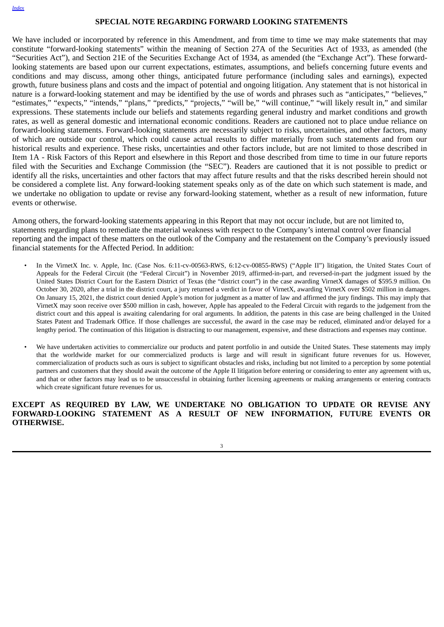### **SPECIAL NOTE REGARDING FORWARD LOOKING STATEMENTS**

We have included or incorporated by reference in this Amendment, and from time to time we may make statements that may constitute "forward-looking statements" within the meaning of Section 27A of the Securities Act of 1933, as amended (the "Securities Act"), and Section 21E of the Securities Exchange Act of 1934, as amended (the "Exchange Act"). These forwardlooking statements are based upon our current expectations, estimates, assumptions, and beliefs concerning future events and conditions and may discuss, among other things, anticipated future performance (including sales and earnings), expected growth, future business plans and costs and the impact of potential and ongoing litigation. Any statement that is not historical in nature is a forward-looking statement and may be identified by the use of words and phrases such as "anticipates," "believes," "estimates," "expects," "intends," "plans," "predicts," "projects," "will be," "will continue," "will likely result in," and similar expressions. These statements include our beliefs and statements regarding general industry and market conditions and growth rates, as well as general domestic and international economic conditions. Readers are cautioned not to place undue reliance on forward-looking statements. Forward-looking statements are necessarily subject to risks, uncertainties, and other factors, many of which are outside our control, which could cause actual results to differ materially from such statements and from our historical results and experience. These risks, uncertainties and other factors include, but are not limited to those described in Item 1A - Risk Factors of this Report and elsewhere in this Report and those described from time to time in our future reports filed with the Securities and Exchange Commission (the "SEC"). Readers are cautioned that it is not possible to predict or identify all the risks, uncertainties and other factors that may affect future results and that the risks described herein should not be considered a complete list. Any forward-looking statement speaks only as of the date on which such statement is made, and we undertake no obligation to update or revise any forward-looking statement, whether as a result of new information, future events or otherwise.

Among others, the forward-looking statements appearing in this Report that may not occur include, but are not limited to, statements regarding plans to remediate the material weakness with respect to the Company's internal control over financial reporting and the impact of these matters on the outlook of the Company and the restatement on the Company's previously issued financial statements for the Affected Period. In addition:

- In the VirnetX Inc. v. Apple, Inc. (Case Nos. 6:11-cv-00563-RWS, 6:12-cv-00855-RWS) ("Apple II") litigation, the United States Court of Appeals for the Federal Circuit (the "Federal Circuit") in November 2019, affirmed-in-part, and reversed-in-part the judgment issued by the United States District Court for the Eastern District of Texas (the "district court") in the case awarding VirnetX damages of \$595.9 million. On October 30, 2020, after a trial in the district court, a jury returned a verdict in favor of VirnetX, awarding VirnetX over \$502 million in damages. On January 15, 2021, the district court denied Apple's motion for judgment as a matter of law and affirmed the jury findings. This may imply that VirnetX may soon receive over \$500 million in cash, however, Apple has appealed to the Federal Circuit with regards to the judgement from the district court and this appeal is awaiting calendaring for oral arguments. In addition, the patents in this case are being challenged in the United States Patent and Trademark Office. If those challenges are successful, the award in the case may be reduced, eliminated and/or delayed for a lengthy period. The continuation of this litigation is distracting to our management, expensive, and these distractions and expenses may continue.
- We have undertaken activities to commercialize our products and patent portfolio in and outside the United States. These statements may imply that the worldwide market for our commercialized products is large and will result in significant future revenues for us. However, commercialization of products such as ours is subject to significant obstacles and risks, including but not limited to a perception by some potential partners and customers that they should await the outcome of the Apple II litigation before entering or considering to enter any agreement with us, and that or other factors may lead us to be unsuccessful in obtaining further licensing agreements or making arrangements or entering contracts which create significant future revenues for us.

### **EXCEPT AS REQUIRED BY LAW, WE UNDERTAKE NO OBLIGATION TO UPDATE OR REVISE ANY FORWARD-LOOKING STATEMENT AS A RESULT OF NEW INFORMATION, FUTURE EVENTS OR OTHERWISE.**

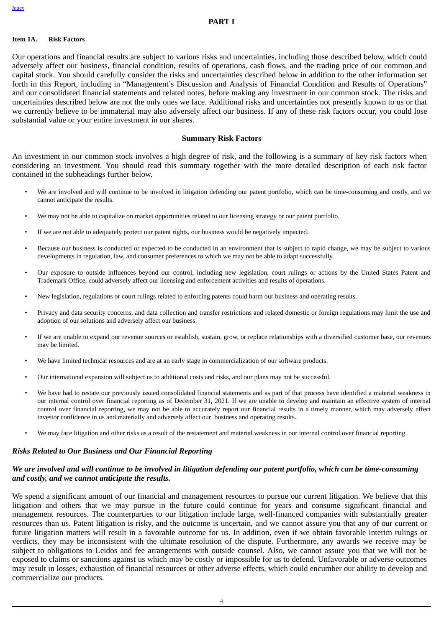### **PART I**

### <span id="page-7-0"></span>**Item 1A. Risk Factors**

Our operations and financial results are subject to various risks and uncertainties, including those described below, which could adversely affect our business, financial condition, results of operations, cash flows, and the trading price of our common and capital stock. You should carefully consider the risks and uncertainties described below in addition to the other information set forth in this Report, including in "Management's Discussion and Analysis of Financial Condition and Results of Operations" and our consolidated financial statements and related notes, before making any investment in our common stock. The risks and uncertainties described below are not the only ones we face. Additional risks and uncertainties not presently known to us or that we currently believe to be immaterial may also adversely affect our business. If any of these risk factors occur, you could lose substantial value or your entire investment in our shares.

### **Summary Risk Factors**

An investment in our common stock involves a high degree of risk, and the following is a summary of key risk factors when considering an investment. You should read this summary together with the more detailed description of each risk factor contained in the subheadings further below.

- We are involved and will continue to be involved in litigation defending our patent portfolio, which can be time-consuming and costly, and we cannot anticipate the results.
- We may not be able to capitalize on market opportunities related to our licensing strategy or our patent portfolio.
- If we are not able to adequately protect our patent rights, our business would be negatively impacted.
- Because our business is conducted or expected to be conducted in an environment that is subject to rapid change, we may be subject to various developments in regulation, law, and consumer preferences to which we may not be able to adapt successfully.
- Our exposure to outside influences beyond our control, including new legislation, court rulings or actions by the United States Patent and Trademark Office, could adversely affect our licensing and enforcement activities and results of operations.
- New legislation, regulations or court rulings related to enforcing patents could harm our business and operating results.
- Privacy and data security concerns, and data collection and transfer restrictions and related domestic or foreign regulations may limit the use and adoption of our solutions and adversely affect our business.
- If we are unable to expand our revenue sources or establish, sustain, grow, or replace relationships with a diversified customer base, our revenues may be limited.
- We have limited technical resources and are at an early stage in commercialization of our software products.
- Our international expansion will subject us to additional costs and risks, and our plans may not be successful.
- We have had to restate our previously issued consolidated financial statements and as part of that process have identified a material weakness in our internal control over financial reporting as of December 31, 2021. If we are unable to develop and maintain an effective system of internal control over financial reporting, we may not be able to accurately report our financial results in a timely manner, which may adversely affect investor confidence in us and materially and adversely affect our business and operating results.
- We may face litigation and other risks as a result of the restatement and material weakness in our internal control over financial reporting.

### *Risks Related to Our Business and Our Financial Reporting*

# *We are involved and will continue to be involved in litigation defending our patent portfolio, which can be time-consuming and costly, and we cannot anticipate the results.*

We spend a significant amount of our financial and management resources to pursue our current litigation. We believe that this litigation and others that we may pursue in the future could continue for years and consume significant financial and management resources. The counterparties to our litigation include large, well-financed companies with substantially greater resources than us. Patent litigation is risky, and the outcome is uncertain, and we cannot assure you that any of our current or future litigation matters will result in a favorable outcome for us. In addition, even if we obtain favorable interim rulings or verdicts, they may be inconsistent with the ultimate resolution of the dispute. Furthermore, any awards we receive may be subject to obligations to Leidos and fee arrangements with outside counsel. Also, we cannot assure you that we will not be exposed to claims or sanctions against us which may be costly or impossible for us to defend. Unfavorable or adverse outcomes may result in losses, exhaustion of financial resources or other adverse effects, which could encumber our ability to develop and commercialize our products.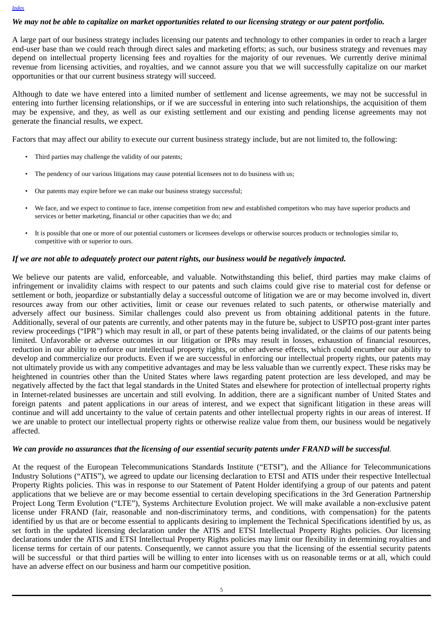### *We may not be able to capitalize on market opportunities related to our licensing strategy or our patent portfolio.*

A large part of our business strategy includes licensing our patents and technology to other companies in order to reach a larger end-user base than we could reach through direct sales and marketing efforts; as such, our business strategy and revenues may depend on intellectual property licensing fees and royalties for the majority of our revenues. We currently derive minimal revenue from licensing activities, and royalties, and we cannot assure you that we will successfully capitalize on our market opportunities or that our current business strategy will succeed.

Although to date we have entered into a limited number of settlement and license agreements, we may not be successful in entering into further licensing relationships, or if we are successful in entering into such relationships, the acquisition of them may be expensive, and they, as well as our existing settlement and our existing and pending license agreements may not generate the financial results, we expect.

Factors that may affect our ability to execute our current business strategy include, but are not limited to, the following:

- Third parties may challenge the validity of our patents;
- The pendency of our various litigations may cause potential licensees not to do business with us;
- Our patents may expire before we can make our business strategy successful;
- We face, and we expect to continue to face, intense competition from new and established competitors who may have superior products and services or better marketing, financial or other capacities than we do; and
- It is possible that one or more of our potential customers or licensees develops or otherwise sources products or technologies similar to, competitive with or superior to ours.

### *If we are not able to adequately protect our patent rights, our business would be negatively impacted.*

We believe our patents are valid, enforceable, and valuable. Notwithstanding this belief, third parties may make claims of infringement or invalidity claims with respect to our patents and such claims could give rise to material cost for defense or settlement or both, jeopardize or substantially delay a successful outcome of litigation we are or may become involved in, divert resources away from our other activities, limit or cease our revenues related to such patents, or otherwise materially and adversely affect our business. Similar challenges could also prevent us from obtaining additional patents in the future. Additionally, several of our patents are currently, and other patents may in the future be, subject to USPTO post-grant inter partes review proceedings ("IPR") which may result in all, or part of these patents being invalidated, or the claims of our patents being limited. Unfavorable or adverse outcomes in our litigation or IPRs may result in losses, exhaustion of financial resources, reduction in our ability to enforce our intellectual property rights, or other adverse effects, which could encumber our ability to develop and commercialize our products. Even if we are successful in enforcing our intellectual property rights, our patents may not ultimately provide us with any competitive advantages and may be less valuable than we currently expect. These risks may be heightened in countries other than the United States where laws regarding patent protection are less developed, and may be negatively affected by the fact that legal standards in the United States and elsewhere for protection of intellectual property rights in Internet-related businesses are uncertain and still evolving. In addition, there are a significant number of United States and foreign patents and patent applications in our areas of interest, and we expect that significant litigation in these areas will continue and will add uncertainty to the value of certain patents and other intellectual property rights in our areas of interest. If we are unable to protect our intellectual property rights or otherwise realize value from them, our business would be negatively affected.

### *We can provide no assurances that the licensing of our essential security patents under FRAND will be successful.*

At the request of the European Telecommunications Standards Institute ("ETSI"), and the Alliance for Telecommunications Industry Solutions ("ATIS"), we agreed to update our licensing declaration to ETSI and ATIS under their respective Intellectual Property Rights policies. This was in response to our Statement of Patent Holder identifying a group of our patents and patent applications that we believe are or may become essential to certain developing specifications in the 3rd Generation Partnership Project Long Term Evolution ("LTE"), Systems Architecture Evolution project. We will make available a non-exclusive patent license under FRAND (fair, reasonable and non-discriminatory terms, and conditions, with compensation) for the patents identified by us that are or become essential to applicants desiring to implement the Technical Specifications identified by us, as set forth in the updated licensing declaration under the ATIS and ETSI Intellectual Property Rights policies. Our licensing declarations under the ATIS and ETSI Intellectual Property Rights policies may limit our flexibility in determining royalties and license terms for certain of our patents. Consequently, we cannot assure you that the licensing of the essential security patents will be successful or that third parties will be willing to enter into licenses with us on reasonable terms or at all, which could have an adverse effect on our business and harm our competitive position.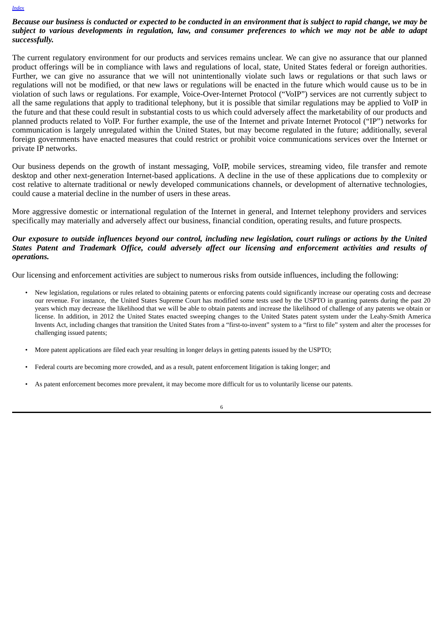### *Because our business is conducted or expected to be conducted in an environment that is subject to rapid change, we may be subject to various developments in regulation, law, and consumer preferences to which we may not be able to adapt successfully.*

The current regulatory environment for our products and services remains unclear. We can give no assurance that our planned product offerings will be in compliance with laws and regulations of local, state, United States federal or foreign authorities. Further, we can give no assurance that we will not unintentionally violate such laws or regulations or that such laws or regulations will not be modified, or that new laws or regulations will be enacted in the future which would cause us to be in violation of such laws or regulations. For example, Voice-Over-Internet Protocol ("VoIP") services are not currently subject to all the same regulations that apply to traditional telephony, but it is possible that similar regulations may be applied to VoIP in the future and that these could result in substantial costs to us which could adversely affect the marketability of our products and planned products related to VoIP. For further example, the use of the Internet and private Internet Protocol ("IP") networks for communication is largely unregulated within the United States, but may become regulated in the future; additionally, several foreign governments have enacted measures that could restrict or prohibit voice communications services over the Internet or private IP networks.

Our business depends on the growth of instant messaging, VoIP, mobile services, streaming video, file transfer and remote desktop and other next-generation Internet-based applications. A decline in the use of these applications due to complexity or cost relative to alternate traditional or newly developed communications channels, or development of alternative technologies, could cause a material decline in the number of users in these areas.

More aggressive domestic or international regulation of the Internet in general, and Internet telephony providers and services specifically may materially and adversely affect our business, financial condition, operating results, and future prospects*.*

### *Our exposure to outside influences beyond our control, including new legislation, court rulings or actions by the United States Patent and Trademark Office, could adversely affect our licensing and enforcement activities and results of operations.*

Our licensing and enforcement activities are subject to numerous risks from outside influences, including the following:

- New legislation, regulations or rules related to obtaining patents or enforcing patents could significantly increase our operating costs and decrease our revenue. For instance, the United States Supreme Court has modified some tests used by the USPTO in granting patents during the past 20 years which may decrease the likelihood that we will be able to obtain patents and increase the likelihood of challenge of any patents we obtain or license. In addition, in 2012 the United States enacted sweeping changes to the United States patent system under the Leahy-Smith America Invents Act, including changes that transition the United States from a "first-to-invent" system to a "first to file" system and alter the processes for challenging issued patents;
- More patent applications are filed each year resulting in longer delays in getting patents issued by the USPTO;
- Federal courts are becoming more crowded, and as a result, patent enforcement litigation is taking longer; and
- As patent enforcement becomes more prevalent, it may become more difficult for us to voluntarily license our patents.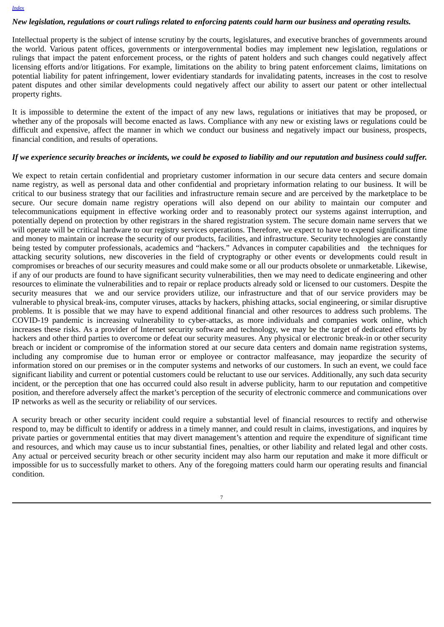# *New legislation, regulations or court rulings related to enforcing patents could harm our business and operating results.*

Intellectual property is the subject of intense scrutiny by the courts, legislatures, and executive branches of governments around the world. Various patent offices, governments or intergovernmental bodies may implement new legislation, regulations or rulings that impact the patent enforcement process, or the rights of patent holders and such changes could negatively affect licensing efforts and/or litigations. For example, limitations on the ability to bring patent enforcement claims, limitations on potential liability for patent infringement, lower evidentiary standards for invalidating patents, increases in the cost to resolve patent disputes and other similar developments could negatively affect our ability to assert our patent or other intellectual property rights.

It is impossible to determine the extent of the impact of any new laws, regulations or initiatives that may be proposed, or whether any of the proposals will become enacted as laws. Compliance with any new or existing laws or regulations could be difficult and expensive, affect the manner in which we conduct our business and negatively impact our business, prospects, financial condition, and results of operations.

### *If we experience security breaches or incidents, we could be exposed to liability and our reputation and business could suffer.*

We expect to retain certain confidential and proprietary customer information in our secure data centers and secure domain name registry, as well as personal data and other confidential and proprietary information relating to our business. It will be critical to our business strategy that our facilities and infrastructure remain secure and are perceived by the marketplace to be secure. Our secure domain name registry operations will also depend on our ability to maintain our computer and telecommunications equipment in effective working order and to reasonably protect our systems against interruption, and potentially depend on protection by other registrars in the shared registration system. The secure domain name servers that we will operate will be critical hardware to our registry services operations. Therefore, we expect to have to expend significant time and money to maintain or increase the security of our products, facilities, and infrastructure. Security technologies are constantly being tested by computer professionals, academics and "hackers." Advances in computer capabilities and the techniques for attacking security solutions, new discoveries in the field of cryptography or other events or developments could result in compromises or breaches of our security measures and could make some or all our products obsolete or unmarketable. Likewise, if any of our products are found to have significant security vulnerabilities, then we may need to dedicate engineering and other resources to eliminate the vulnerabilities and to repair or replace products already sold or licensed to our customers. Despite the security measures that we and our service providers utilize, our infrastructure and that of our service providers may be vulnerable to physical break-ins, computer viruses, attacks by hackers, phishing attacks, social engineering, or similar disruptive problems. It is possible that we may have to expend additional financial and other resources to address such problems. The COVID-19 pandemic is increasing vulnerability to cyber-attacks, as more individuals and companies work online, which increases these risks. As a provider of Internet security software and technology, we may be the target of dedicated efforts by hackers and other third parties to overcome or defeat our security measures. Any physical or electronic break-in or other security breach or incident or compromise of the information stored at our secure data centers and domain name registration systems, including any compromise due to human error or employee or contractor malfeasance, may jeopardize the security of information stored on our premises or in the computer systems and networks of our customers. In such an event, we could face significant liability and current or potential customers could be reluctant to use our services. Additionally, any such data security incident, or the perception that one has occurred could also result in adverse publicity, harm to our reputation and competitive position, and therefore adversely affect the market's perception of the security of electronic commerce and communications over IP networks as well as the security or reliability of our services.

A security breach or other security incident could require a substantial level of financial resources to rectify and otherwise respond to, may be difficult to identify or address in a timely manner, and could result in claims, investigations, and inquires by private parties or governmental entities that may divert management's attention and require the expenditure of significant time and resources, and which may cause us to incur substantial fines, penalties, or other liability and related legal and other costs. Any actual or perceived security breach or other security incident may also harm our reputation and make it more difficult or impossible for us to successfully market to others. Any of the foregoing matters could harm our operating results and financial condition.

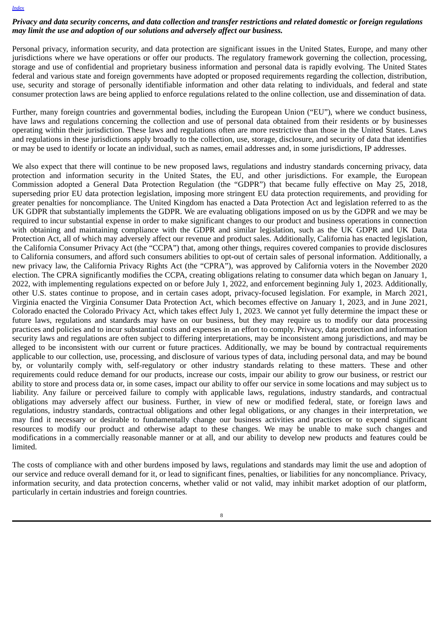# *Privacy and data security concerns, and data collection and transfer restrictions and related domestic or foreign regulations may limit the use and adoption of our solutions and adversely affect our business.*

Personal privacy, information security, and data protection are significant issues in the United States, Europe, and many other jurisdictions where we have operations or offer our products. The regulatory framework governing the collection, processing, storage and use of confidential and proprietary business information and personal data is rapidly evolving. The United States federal and various state and foreign governments have adopted or proposed requirements regarding the collection, distribution, use, security and storage of personally identifiable information and other data relating to individuals, and federal and state consumer protection laws are being applied to enforce regulations related to the online collection, use and dissemination of data.

Further, many foreign countries and governmental bodies, including the European Union ("EU"), where we conduct business, have laws and regulations concerning the collection and use of personal data obtained from their residents or by businesses operating within their jurisdiction. These laws and regulations often are more restrictive than those in the United States. Laws and regulations in these jurisdictions apply broadly to the collection, use, storage, disclosure, and security of data that identifies or may be used to identify or locate an individual, such as names, email addresses and, in some jurisdictions, IP addresses.

We also expect that there will continue to be new proposed laws, regulations and industry standards concerning privacy, data protection and information security in the United States, the EU, and other jurisdictions. For example, the European Commission adopted a General Data Protection Regulation (the "GDPR") that became fully effective on May 25, 2018, superseding prior EU data protection legislation, imposing more stringent EU data protection requirements, and providing for greater penalties for noncompliance. The United Kingdom has enacted a Data Protection Act and legislation referred to as the UK GDPR that substantially implements the GDPR. We are evaluating obligations imposed on us by the GDPR and we may be required to incur substantial expense in order to make significant changes to our product and business operations in connection with obtaining and maintaining compliance with the GDPR and similar legislation, such as the UK GDPR and UK Data Protection Act, all of which may adversely affect our revenue and product sales. Additionally, California has enacted legislation, the California Consumer Privacy Act (the "CCPA") that, among other things, requires covered companies to provide disclosures to California consumers, and afford such consumers abilities to opt-out of certain sales of personal information. Additionally, a new privacy law, the California Privacy Rights Act (the "CPRA"), was approved by California voters in the November 2020 election. The CPRA significantly modifies the CCPA, creating obligations relating to consumer data which began on January 1, 2022, with implementing regulations expected on or before July 1, 2022, and enforcement beginning July 1, 2023. Additionally, other U.S. states continue to propose, and in certain cases adopt, privacy-focused legislation. For example, in March 2021, Virginia enacted the Virginia Consumer Data Protection Act, which becomes effective on January 1, 2023, and in June 2021, Colorado enacted the Colorado Privacy Act, which takes effect July 1, 2023. We cannot yet fully determine the impact these or future laws, regulations and standards may have on our business, but they may require us to modify our data processing practices and policies and to incur substantial costs and expenses in an effort to comply. Privacy, data protection and information security laws and regulations are often subject to differing interpretations, may be inconsistent among jurisdictions, and may be alleged to be inconsistent with our current or future practices. Additionally, we may be bound by contractual requirements applicable to our collection, use, processing, and disclosure of various types of data, including personal data, and may be bound by, or voluntarily comply with, self-regulatory or other industry standards relating to these matters. These and other requirements could reduce demand for our products, increase our costs, impair our ability to grow our business, or restrict our ability to store and process data or, in some cases, impact our ability to offer our service in some locations and may subject us to liability. Any failure or perceived failure to comply with applicable laws, regulations, industry standards, and contractual obligations may adversely affect our business. Further, in view of new or modified federal, state, or foreign laws and regulations, industry standards, contractual obligations and other legal obligations, or any changes in their interpretation, we may find it necessary or desirable to fundamentally change our business activities and practices or to expend significant resources to modify our product and otherwise adapt to these changes. We may be unable to make such changes and modifications in a commercially reasonable manner or at all, and our ability to develop new products and features could be limited.

The costs of compliance with and other burdens imposed by laws, regulations and standards may limit the use and adoption of our service and reduce overall demand for it, or lead to significant fines, penalties, or liabilities for any noncompliance. Privacy, information security, and data protection concerns, whether valid or not valid, may inhibit market adoption of our platform, particularly in certain industries and foreign countries*.*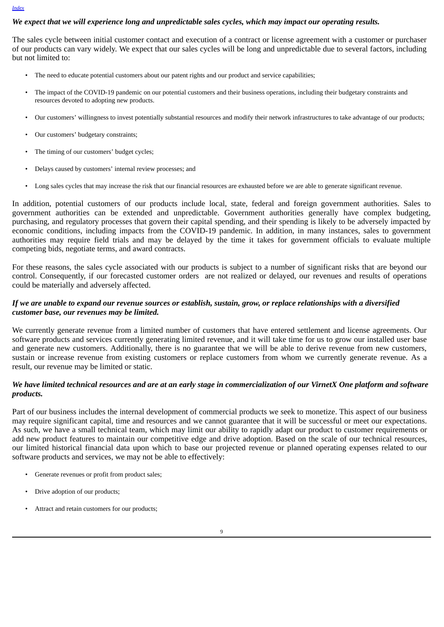### *We expect that we will experience long and unpredictable sales cycles, which may impact our operating results.*

The sales cycle between initial customer contact and execution of a contract or license agreement with a customer or purchaser of our products can vary widely. We expect that our sales cycles will be long and unpredictable due to several factors, including but not limited to:

- The need to educate potential customers about our patent rights and our product and service capabilities;
- The impact of the COVID-19 pandemic on our potential customers and their business operations, including their budgetary constraints and resources devoted to adopting new products.
- Our customers' willingness to invest potentially substantial resources and modify their network infrastructures to take advantage of our products;
- Our customers' budgetary constraints;
- The timing of our customers' budget cycles;
- Delays caused by customers' internal review processes; and
- Long sales cycles that may increase the risk that our financial resources are exhausted before we are able to generate significant revenue.

In addition, potential customers of our products include local, state, federal and foreign government authorities. Sales to government authorities can be extended and unpredictable. Government authorities generally have complex budgeting, purchasing, and regulatory processes that govern their capital spending, and their spending is likely to be adversely impacted by economic conditions, including impacts from the COVID-19 pandemic. In addition, in many instances, sales to government authorities may require field trials and may be delayed by the time it takes for government officials to evaluate multiple competing bids, negotiate terms, and award contracts.

For these reasons, the sales cycle associated with our products is subject to a number of significant risks that are beyond our control. Consequently, if our forecasted customer orders are not realized or delayed, our revenues and results of operations could be materially and adversely affected.

### *If we are unable to expand our revenue sources or establish, sustain, grow, or replace relationships with a diversified customer base, our revenues may be limited.*

We currently generate revenue from a limited number of customers that have entered settlement and license agreements. Our software products and services currently generating limited revenue, and it will take time for us to grow our installed user base and generate new customers. Additionally, there is no guarantee that we will be able to derive revenue from new customers, sustain or increase revenue from existing customers or replace customers from whom we currently generate revenue. As a result, our revenue may be limited or static.

# *We have limited technical resources and are at an early stage in commercialization of our VirnetX One platform and software products.*

Part of our business includes the internal development of commercial products we seek to monetize. This aspect of our business may require significant capital, time and resources and we cannot guarantee that it will be successful or meet our expectations. As such, we have a small technical team, which may limit our ability to rapidly adapt our product to customer requirements or add new product features to maintain our competitive edge and drive adoption. Based on the scale of our technical resources, our limited historical financial data upon which to base our projected revenue or planned operating expenses related to our software products and services, we may not be able to effectively:

- Generate revenues or profit from product sales;
- Drive adoption of our products;
- Attract and retain customers for our products;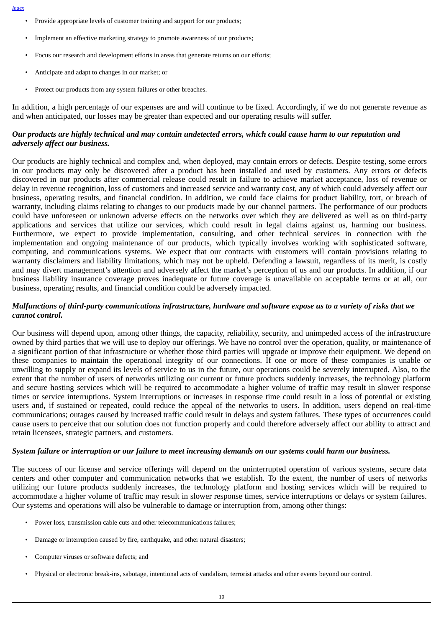- Provide appropriate levels of customer training and support for our products;
- Implement an effective marketing strategy to promote awareness of our products;
- Focus our research and development efforts in areas that generate returns on our efforts;
- Anticipate and adapt to changes in our market; or
- Protect our products from any system failures or other breaches.

In addition, a high percentage of our expenses are and will continue to be fixed. Accordingly, if we do not generate revenue as and when anticipated, our losses may be greater than expected and our operating results will suffer.

# *Our products are highly technical and may contain undetected errors, which could cause harm to our reputation and adversely affect our business.*

Our products are highly technical and complex and, when deployed, may contain errors or defects. Despite testing, some errors in our products may only be discovered after a product has been installed and used by customers. Any errors or defects discovered in our products after commercial release could result in failure to achieve market acceptance, loss of revenue or delay in revenue recognition, loss of customers and increased service and warranty cost, any of which could adversely affect our business, operating results, and financial condition. In addition, we could face claims for product liability, tort, or breach of warranty, including claims relating to changes to our products made by our channel partners. The performance of our products could have unforeseen or unknown adverse effects on the networks over which they are delivered as well as on third-party applications and services that utilize our services, which could result in legal claims against us, harming our business. Furthermore, we expect to provide implementation, consulting, and other technical services in connection with the implementation and ongoing maintenance of our products, which typically involves working with sophisticated software, computing, and communications systems. We expect that our contracts with customers will contain provisions relating to warranty disclaimers and liability limitations, which may not be upheld. Defending a lawsuit, regardless of its merit, is costly and may divert management's attention and adversely affect the market's perception of us and our products. In addition, if our business liability insurance coverage proves inadequate or future coverage is unavailable on acceptable terms or at all, our business, operating results, and financial condition could be adversely impacted.

# *Malfunctions of third-party communications infrastructure, hardware and software expose us to a variety of risks that we cannot control.*

Our business will depend upon, among other things, the capacity, reliability, security, and unimpeded access of the infrastructure owned by third parties that we will use to deploy our offerings. We have no control over the operation, quality, or maintenance of a significant portion of that infrastructure or whether those third parties will upgrade or improve their equipment. We depend on these companies to maintain the operational integrity of our connections. If one or more of these companies is unable or unwilling to supply or expand its levels of service to us in the future, our operations could be severely interrupted. Also, to the extent that the number of users of networks utilizing our current or future products suddenly increases, the technology platform and secure hosting services which will be required to accommodate a higher volume of traffic may result in slower response times or service interruptions. System interruptions or increases in response time could result in a loss of potential or existing users and, if sustained or repeated, could reduce the appeal of the networks to users. In addition, users depend on real-time communications; outages caused by increased traffic could result in delays and system failures. These types of occurrences could cause users to perceive that our solution does not function properly and could therefore adversely affect our ability to attract and retain licensees, strategic partners, and customers.

# *System failure or interruption or our failure to meet increasing demands on our systems could harm our business.*

The success of our license and service offerings will depend on the uninterrupted operation of various systems, secure data centers and other computer and communication networks that we establish. To the extent, the number of users of networks utilizing our future products suddenly increases, the technology platform and hosting services which will be required to accommodate a higher volume of traffic may result in slower response times, service interruptions or delays or system failures. Our systems and operations will also be vulnerable to damage or interruption from, among other things:

- Power loss, transmission cable cuts and other telecommunications failures;
- Damage or interruption caused by fire, earthquake, and other natural disasters;
- Computer viruses or software defects; and
- Physical or electronic break-ins, sabotage, intentional acts of vandalism, terrorist attacks and other events beyond our control.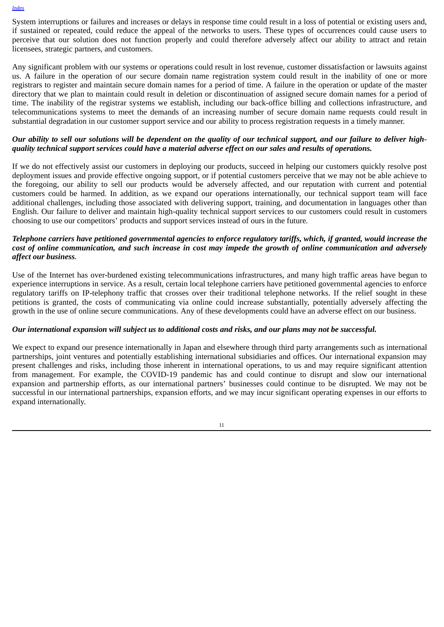System interruptions or failures and increases or delays in response time could result in a loss of potential or existing users and, if sustained or repeated, could reduce the appeal of the networks to users. These types of occurrences could cause users to perceive that our solution does not function properly and could therefore adversely affect our ability to attract and retain licensees, strategic partners, and customers.

Any significant problem with our systems or operations could result in lost revenue, customer dissatisfaction or lawsuits against us. A failure in the operation of our secure domain name registration system could result in the inability of one or more registrars to register and maintain secure domain names for a period of time. A failure in the operation or update of the master directory that we plan to maintain could result in deletion or discontinuation of assigned secure domain names for a period of time. The inability of the registrar systems we establish, including our back-office billing and collections infrastructure, and telecommunications systems to meet the demands of an increasing number of secure domain name requests could result in substantial degradation in our customer support service and our ability to process registration requests in a timely manner.

# *Our ability to sell our solutions will be dependent on the quality of our technical support, and our failure to deliver highquality technical support services could have a material adverse effect on our sales and results of operations.*

If we do not effectively assist our customers in deploying our products, succeed in helping our customers quickly resolve post deployment issues and provide effective ongoing support, or if potential customers perceive that we may not be able achieve to the foregoing, our ability to sell our products would be adversely affected, and our reputation with current and potential customers could be harmed. In addition, as we expand our operations internationally, our technical support team will face additional challenges, including those associated with delivering support, training, and documentation in languages other than English. Our failure to deliver and maintain high-quality technical support services to our customers could result in customers choosing to use our competitors' products and support services instead of ours in the future*.*

# *Telephone carriers have petitioned governmental agencies to enforce regulatory tariffs, which, if granted, would increase the cost of online communication, and such increase in cost may impede the growth of online communication and adversely affect our business.*

Use of the Internet has over-burdened existing telecommunications infrastructures, and many high traffic areas have begun to experience interruptions in service. As a result, certain local telephone carriers have petitioned governmental agencies to enforce regulatory tariffs on IP-telephony traffic that crosses over their traditional telephone networks. If the relief sought in these petitions is granted, the costs of communicating via online could increase substantially, potentially adversely affecting the growth in the use of online secure communications. Any of these developments could have an adverse effect on our business.

# *Our international expansion will subject us to additional costs and risks, and our plans may not be successful.*

We expect to expand our presence internationally in Japan and elsewhere through third party arrangements such as international partnerships, joint ventures and potentially establishing international subsidiaries and offices. Our international expansion may present challenges and risks, including those inherent in international operations, to us and may require significant attention from management. For example, the COVID-19 pandemic has and could continue to disrupt and slow our international expansion and partnership efforts, as our international partners' businesses could continue to be disrupted. We may not be successful in our international partnerships, expansion efforts, and we may incur significant operating expenses in our efforts to expand internationally.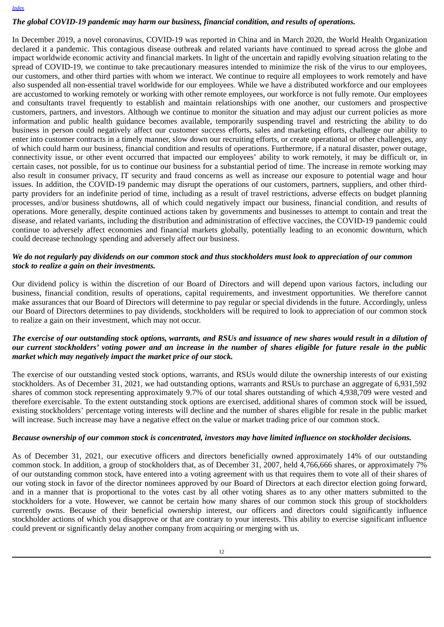### *The global COVID-19 pandemic may harm our business, financial condition, and results of operations.*

In December 2019, a novel coronavirus, COVID-19 was reported in China and in March 2020, the World Health Organization declared it a pandemic. This contagious disease outbreak and related variants have continued to spread across the globe and impact worldwide economic activity and financial markets. In light of the uncertain and rapidly evolving situation relating to the spread of COVID-19, we continue to take precautionary measures intended to minimize the risk of the virus to our employees, our customers, and other third parties with whom we interact. We continue to require all employees to work remotely and have also suspended all non-essential travel worldwide for our employees. While we have a distributed workforce and our employees are accustomed to working remotely or working with other remote employees, our workforce is not fully remote. Our employees and consultants travel frequently to establish and maintain relationships with one another, our customers and prospective customers, partners, and investors. Although we continue to monitor the situation and may adjust our current policies as more information and public health guidance becomes available, temporarily suspending travel and restricting the ability to do business in person could negatively affect our customer success efforts, sales and marketing efforts, challenge our ability to enter into customer contracts in a timely manner, slow down our recruiting efforts, or create operational or other challenges, any of which could harm our business, financial condition and results of operations. Furthermore, if a natural disaster, power outage, connectivity issue, or other event occurred that impacted our employees' ability to work remotely, it may be difficult or, in certain cases, not possible, for us to continue our business for a substantial period of time. The increase in remote working may also result in consumer privacy, IT security and fraud concerns as well as increase our exposure to potential wage and hour issues. In addition, the COVID-19 pandemic may disrupt the operations of our customers, partners, suppliers, and other thirdparty providers for an indefinite period of time, including as a result of travel restrictions, adverse effects on budget planning processes, and/or business shutdowns, all of which could negatively impact our business, financial condition, and results of operations. More generally, despite continued actions taken by governments and businesses to attempt to contain and treat the disease, and related variants, including the distribution and administration of effective vaccines, the COVID-19 pandemic could continue to adversely affect economies and financial markets globally, potentially leading to an economic downturn, which could decrease technology spending and adversely affect our business.

### *We do not regularly pay dividends on our common stock and thus stockholders must look to appreciation of our common stock to realize a gain on their investments.*

Our dividend policy is within the discretion of our Board of Directors and will depend upon various factors, including our business, financial condition, results of operations, capital requirements, and investment opportunities. We therefore cannot make assurances that our Board of Directors will determine to pay regular or special dividends in the future. Accordingly, unless our Board of Directors determines to pay dividends, stockholders will be required to look to appreciation of our common stock to realize a gain on their investment, which may not occur.

### *The exercise of our outstanding stock options, warrants, and RSUs and issuance of new shares would result in a dilution of our current stockholders' voting power and an increase in the number of shares eligible for future resale in the public market which may negatively impact the market price of our stock.*

The exercise of our outstanding vested stock options, warrants, and RSUs would dilute the ownership interests of our existing stockholders. As of December 31, 2021, we had outstanding options, warrants and RSUs to purchase an aggregate of 6,931,592 shares of common stock representing approximately 9.7% of our total shares outstanding of which 4,938,709 were vested and therefore exercisable. To the extent outstanding stock options are exercised, additional shares of common stock will be issued, existing stockholders' percentage voting interests will decline and the number of shares eligible for resale in the public market will increase. Such increase may have a negative effect on the value or market trading price of our common stock.

### *Because ownership of our common stock is concentrated, investors may have limited influence on stockholder decisions.*

As of December 31, 2021, our executive officers and directors beneficially owned approximately 14% of our outstanding common stock. In addition, a group of stockholders that, as of December 31, 2007, held 4,766,666 shares, or approximately 7% of our outstanding common stock, have entered into a voting agreement with us that requires them to vote all of their shares of our voting stock in favor of the director nominees approved by our Board of Directors at each director election going forward, and in a manner that is proportional to the votes cast by all other voting shares as to any other matters submitted to the stockholders for a vote. However, we cannot be certain how many shares of our common stock this group of stockholders currently owns. Because of their beneficial ownership interest, our officers and directors could significantly influence stockholder actions of which you disapprove or that are contrary to your interests. This ability to exercise significant influence could prevent or significantly delay another company from acquiring or merging with us*.*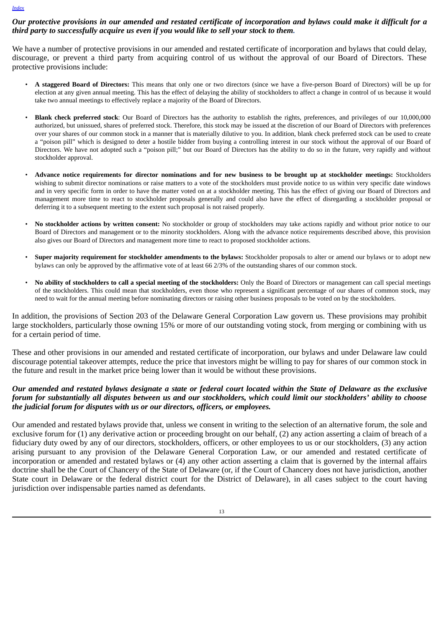### *Our protective provisions in our amended and restated certificate of incorporation and bylaws could make it difficult for a third party to successfully acquire us even if you would like to sell your stock to them.*

We have a number of protective provisions in our amended and restated certificate of incorporation and bylaws that could delay, discourage, or prevent a third party from acquiring control of us without the approval of our Board of Directors. These protective provisions include:

- **A staggered Board of Directors:** This means that only one or two directors (since we have a five-person Board of Directors) will be up for election at any given annual meeting. This has the effect of delaying the ability of stockholders to affect a change in control of us because it would take two annual meetings to effectively replace a majority of the Board of Directors.
- **Blank check preferred stock**: Our Board of Directors has the authority to establish the rights, preferences, and privileges of our 10,000,000 authorized, but unissued, shares of preferred stock. Therefore, this stock may be issued at the discretion of our Board of Directors with preferences over your shares of our common stock in a manner that is materially dilutive to you. In addition, blank check preferred stock can be used to create a "poison pill" which is designed to deter a hostile bidder from buying a controlling interest in our stock without the approval of our Board of Directors. We have not adopted such a "poison pill;" but our Board of Directors has the ability to do so in the future, very rapidly and without stockholder approval.
- Advance notice requirements for director nominations and for new business to be brought up at stockholder meetings: Stockholders wishing to submit director nominations or raise matters to a vote of the stockholders must provide notice to us within very specific date windows and in very specific form in order to have the matter voted on at a stockholder meeting. This has the effect of giving our Board of Directors and management more time to react to stockholder proposals generally and could also have the effect of disregarding a stockholder proposal or deferring it to a subsequent meeting to the extent such proposal is not raised properly.
- **No stockholder actions by written consent:** No stockholder or group of stockholders may take actions rapidly and without prior notice to our Board of Directors and management or to the minority stockholders. Along with the advance notice requirements described above, this provision also gives our Board of Directors and management more time to react to proposed stockholder actions.
- **Super majority requirement for stockholder amendments to the bylaws:** Stockholder proposals to alter or amend our bylaws or to adopt new bylaws can only be approved by the affirmative vote of at least 66 2/3% of the outstanding shares of our common stock.
- No ability of stockholders to call a special meeting of the stockholders: Only the Board of Directors or management can call special meetings of the stockholders. This could mean that stockholders, even those who represent a significant percentage of our shares of common stock, may need to wait for the annual meeting before nominating directors or raising other business proposals to be voted on by the stockholders.

In addition, the provisions of Section 203 of the Delaware General Corporation Law govern us. These provisions may prohibit large stockholders, particularly those owning 15% or more of our outstanding voting stock, from merging or combining with us for a certain period of time.

These and other provisions in our amended and restated certificate of incorporation, our bylaws and under Delaware law could discourage potential takeover attempts, reduce the price that investors might be willing to pay for shares of our common stock in the future and result in the market price being lower than it would be without these provisions.

# *Our amended and restated bylaws designate a state or federal court located within the State of Delaware as the exclusive forum for substantially all disputes between us and our stockholders, which could limit our stockholders' ability to choose the judicial forum for disputes with us or our directors, officers, or employees.*

Our amended and restated bylaws provide that, unless we consent in writing to the selection of an alternative forum, the sole and exclusive forum for (1) any derivative action or proceeding brought on our behalf, (2) any action asserting a claim of breach of a fiduciary duty owed by any of our directors, stockholders, officers, or other employees to us or our stockholders, (3) any action arising pursuant to any provision of the Delaware General Corporation Law, or our amended and restated certificate of incorporation or amended and restated bylaws or (4) any other action asserting a claim that is governed by the internal affairs doctrine shall be the Court of Chancery of the State of Delaware (or, if the Court of Chancery does not have jurisdiction, another State court in Delaware or the federal district court for the District of Delaware), in all cases subject to the court having jurisdiction over indispensable parties named as defendants.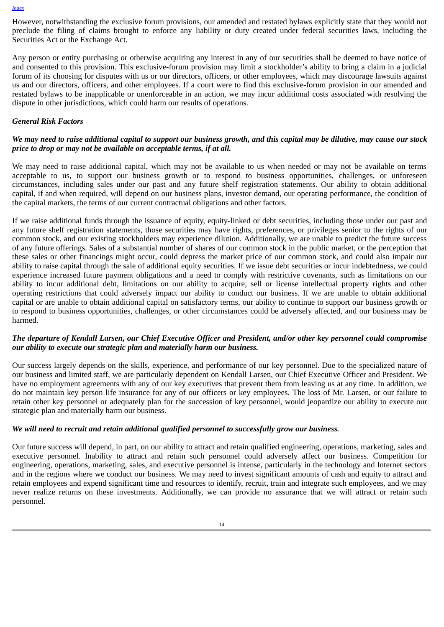However, notwithstanding the exclusive forum provisions, our amended and restated bylaws explicitly state that they would not preclude the filing of claims brought to enforce any liability or duty created under federal securities laws, including the Securities Act or the Exchange Act.

Any person or entity purchasing or otherwise acquiring any interest in any of our securities shall be deemed to have notice of and consented to this provision. This exclusive-forum provision may limit a stockholder's ability to bring a claim in a judicial forum of its choosing for disputes with us or our directors, officers, or other employees, which may discourage lawsuits against us and our directors, officers, and other employees. If a court were to find this exclusive-forum provision in our amended and restated bylaws to be inapplicable or unenforceable in an action, we may incur additional costs associated with resolving the dispute in other jurisdictions, which could harm our results of operations.

### *General Risk Factors*

### *We may need to raise additional capital to support our business growth, and this capital may be dilutive, may cause our stock price to drop or may not be available on acceptable terms, if at all.*

We may need to raise additional capital, which may not be available to us when needed or may not be available on terms acceptable to us, to support our business growth or to respond to business opportunities, challenges, or unforeseen circumstances, including sales under our past and any future shelf registration statements. Our ability to obtain additional capital, if and when required, will depend on our business plans, investor demand, our operating performance, the condition of the capital markets, the terms of our current contractual obligations and other factors.

If we raise additional funds through the issuance of equity, equity-linked or debt securities, including those under our past and any future shelf registration statements, those securities may have rights, preferences, or privileges senior to the rights of our common stock, and our existing stockholders may experience dilution. Additionally, we are unable to predict the future success of any future offerings. Sales of a substantial number of shares of our common stock in the public market, or the perception that these sales or other financings might occur, could depress the market price of our common stock, and could also impair our ability to raise capital through the sale of additional equity securities. If we issue debt securities or incur indebtedness, we could experience increased future payment obligations and a need to comply with restrictive covenants, such as limitations on our ability to incur additional debt, limitations on our ability to acquire, sell or license intellectual property rights and other operating restrictions that could adversely impact our ability to conduct our business. If we are unable to obtain additional capital or are unable to obtain additional capital on satisfactory terms, our ability to continue to support our business growth or to respond to business opportunities, challenges, or other circumstances could be adversely affected, and our business may be harmed.

### *The departure of Kendall Larsen, our Chief Executive Officer and President, and/or other key personnel could compromise our ability to execute our strategic plan and materially harm our business.*

Our success largely depends on the skills, experience, and performance of our key personnel. Due to the specialized nature of our business and limited staff, we are particularly dependent on Kendall Larsen, our Chief Executive Officer and President. We have no employment agreements with any of our key executives that prevent them from leaving us at any time. In addition, we do not maintain key person life insurance for any of our officers or key employees. The loss of Mr. Larsen, or our failure to retain other key personnel or adequately plan for the succession of key personnel, would jeopardize our ability to execute our strategic plan and materially harm our business.

# *We will need to recruit and retain additional qualified personnel to successfully grow our business.*

Our future success will depend, in part, on our ability to attract and retain qualified engineering, operations, marketing, sales and executive personnel. Inability to attract and retain such personnel could adversely affect our business. Competition for engineering, operations, marketing, sales, and executive personnel is intense, particularly in the technology and Internet sectors and in the regions where we conduct our business. We may need to invest significant amounts of cash and equity to attract and retain employees and expend significant time and resources to identify, recruit, train and integrate such employees, and we may never realize returns on these investments. Additionally, we can provide no assurance that we will attract or retain such personnel.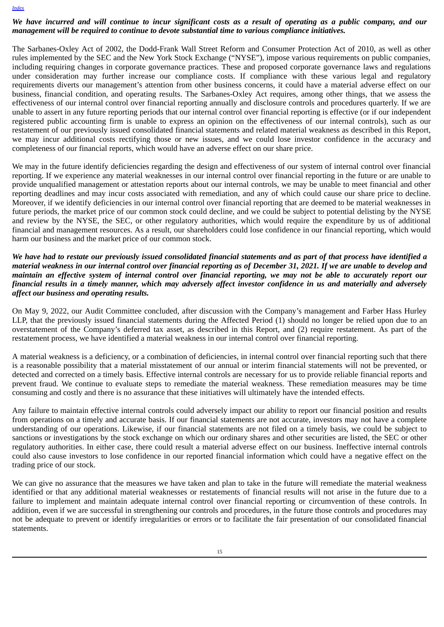# *We have incurred and will continue to incur significant costs as a result of operating as a public company, and our management will be required to continue to devote substantial time to various compliance initiatives.*

The Sarbanes-Oxley Act of 2002, the Dodd-Frank Wall Street Reform and Consumer Protection Act of 2010, as well as other rules implemented by the SEC and the New York Stock Exchange ("NYSE"), impose various requirements on public companies, including requiring changes in corporate governance practices. These and proposed corporate governance laws and regulations under consideration may further increase our compliance costs. If compliance with these various legal and regulatory requirements diverts our management's attention from other business concerns, it could have a material adverse effect on our business, financial condition, and operating results. The Sarbanes-Oxley Act requires, among other things, that we assess the effectiveness of our internal control over financial reporting annually and disclosure controls and procedures quarterly. If we are unable to assert in any future reporting periods that our internal control over financial reporting is effective (or if our independent registered public accounting firm is unable to express an opinion on the effectiveness of our internal controls), such as our restatement of our previously issued consolidated financial statements and related material weakness as described in this Report, we may incur additional costs rectifying those or new issues, and we could lose investor confidence in the accuracy and completeness of our financial reports, which would have an adverse effect on our share price.

We may in the future identify deficiencies regarding the design and effectiveness of our system of internal control over financial reporting. If we experience any material weaknesses in our internal control over financial reporting in the future or are unable to provide unqualified management or attestation reports about our internal controls, we may be unable to meet financial and other reporting deadlines and may incur costs associated with remediation, and any of which could cause our share price to decline. Moreover, if we identify deficiencies in our internal control over financial reporting that are deemed to be material weaknesses in future periods, the market price of our common stock could decline, and we could be subject to potential delisting by the NYSE and review by the NYSE, the SEC, or other regulatory authorities, which would require the expenditure by us of additional financial and management resources. As a result, our shareholders could lose confidence in our financial reporting, which would harm our business and the market price of our common stock.

*We have had to restate our previously issued consolidated financial statements and as part of that process have identified a material weakness in our internal control over financial reporting as of December 31, 2021. If we are unable to develop and maintain an effective system of internal control over financial reporting, we may not be able to accurately report our financial results in a timely manner, which may adversely affect investor confidence in us and materially and adversely affect our business and operating results.*

On May 9, 2022, our Audit Committee concluded, after discussion with the Company's management and Farber Hass Hurley LLP, that the previously issued financial statements during the Affected Period (1) should no longer be relied upon due to an overstatement of the Company's deferred tax asset, as described in this Report, and (2) require restatement. As part of the restatement process, we have identified a material weakness in our internal control over financial reporting.

A material weakness is a deficiency, or a combination of deficiencies, in internal control over financial reporting such that there is a reasonable possibility that a material misstatement of our annual or interim financial statements will not be prevented, or detected and corrected on a timely basis. Effective internal controls are necessary for us to provide reliable financial reports and prevent fraud. We continue to evaluate steps to remediate the material weakness. These remediation measures may be time consuming and costly and there is no assurance that these initiatives will ultimately have the intended effects.

Any failure to maintain effective internal controls could adversely impact our ability to report our financial position and results from operations on a timely and accurate basis. If our financial statements are not accurate, investors may not have a complete understanding of our operations. Likewise, if our financial statements are not filed on a timely basis, we could be subject to sanctions or investigations by the stock exchange on which our ordinary shares and other securities are listed, the SEC or other regulatory authorities. In either case, there could result a material adverse effect on our business. Ineffective internal controls could also cause investors to lose confidence in our reported financial information which could have a negative effect on the trading price of our stock.

We can give no assurance that the measures we have taken and plan to take in the future will remediate the material weakness identified or that any additional material weaknesses or restatements of financial results will not arise in the future due to a failure to implement and maintain adequate internal control over financial reporting or circumvention of these controls. In addition, even if we are successful in strengthening our controls and procedures, in the future those controls and procedures may not be adequate to prevent or identify irregularities or errors or to facilitate the fair presentation of our consolidated financial statements.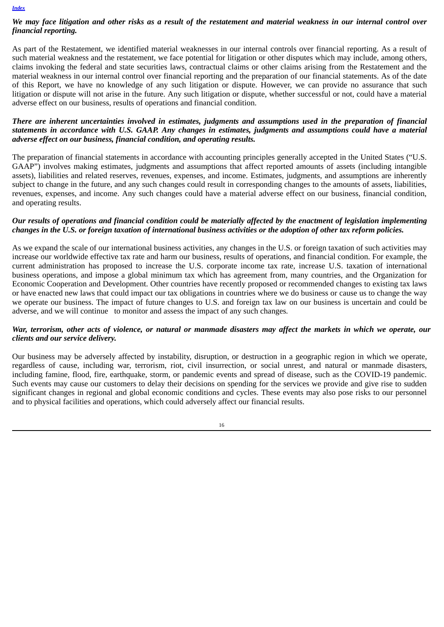# *We may face litigation and other risks as a result of the restatement and material weakness in our internal control over financial reporting.*

As part of the Restatement, we identified material weaknesses in our internal controls over financial reporting. As a result of such material weakness and the restatement, we face potential for litigation or other disputes which may include, among others, claims invoking the federal and state securities laws, contractual claims or other claims arising from the Restatement and the material weakness in our internal control over financial reporting and the preparation of our financial statements. As of the date of this Report, we have no knowledge of any such litigation or dispute. However, we can provide no assurance that such litigation or dispute will not arise in the future. Any such litigation or dispute, whether successful or not, could have a material adverse effect on our business, results of operations and financial condition.

# *There are inherent uncertainties involved in estimates, judgments and assumptions used in the preparation of financial statements in accordance with U.S. GAAP. Any changes in estimates, judgments and assumptions could have a material adverse effect on our business, financial condition, and operating results.*

The preparation of financial statements in accordance with accounting principles generally accepted in the United States ("U.S. GAAP") involves making estimates, judgments and assumptions that affect reported amounts of assets (including intangible assets), liabilities and related reserves, revenues, expenses, and income. Estimates, judgments, and assumptions are inherently subject to change in the future, and any such changes could result in corresponding changes to the amounts of assets, liabilities, revenues, expenses, and income. Any such changes could have a material adverse effect on our business, financial condition, and operating results.

# *Our results of operations and financial condition could be materially affected by the enactment of legislation implementing changes in the U.S. or foreign taxation of international business activities or the adoption of other tax reform policies.*

As we expand the scale of our international business activities, any changes in the U.S. or foreign taxation of such activities may increase our worldwide effective tax rate and harm our business, results of operations, and financial condition. For example, the current administration has proposed to increase the U.S. corporate income tax rate, increase U.S. taxation of international business operations, and impose a global minimum tax which has agreement from, many countries, and the Organization for Economic Cooperation and Development. Other countries have recently proposed or recommended changes to existing tax laws or have enacted new laws that could impact our tax obligations in countries where we do business or cause us to change the way we operate our business. The impact of future changes to U.S. and foreign tax law on our business is uncertain and could be adverse, and we will continue to monitor and assess the impact of any such changes*.*

# *War, terrorism, other acts of violence, or natural or manmade disasters may affect the markets in which we operate, our clients and our service delivery.*

Our business may be adversely affected by instability, disruption, or destruction in a geographic region in which we operate, regardless of cause, including war, terrorism, riot, civil insurrection, or social unrest, and natural or manmade disasters, including famine, flood, fire, earthquake, storm, or pandemic events and spread of disease, such as the COVID-19 pandemic. Such events may cause our customers to delay their decisions on spending for the services we provide and give rise to sudden significant changes in regional and global economic conditions and cycles. These events may also pose risks to our personnel and to physical facilities and operations, which could adversely affect our financial results.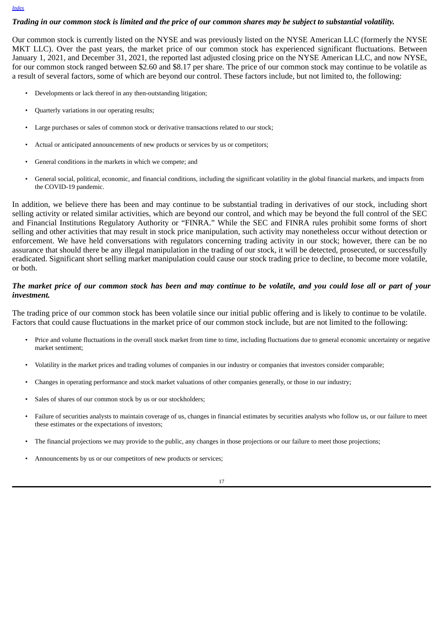# *Trading in our common stock is limited and the price of our common shares may be subject to substantial volatility.*

Our common stock is currently listed on the NYSE and was previously listed on the NYSE American LLC (formerly the NYSE MKT LLC). Over the past years, the market price of our common stock has experienced significant fluctuations. Between January 1, 2021, and December 31, 2021, the reported last adjusted closing price on the NYSE American LLC, and now NYSE, for our common stock ranged between \$2.60 and \$8.17 per share. The price of our common stock may continue to be volatile as a result of several factors, some of which are beyond our control. These factors include, but not limited to, the following:

- Developments or lack thereof in any then-outstanding litigation;
- Quarterly variations in our operating results;
- Large purchases or sales of common stock or derivative transactions related to our stock;
- Actual or anticipated announcements of new products or services by us or competitors;
- General conditions in the markets in which we compete; and
- General social, political, economic, and financial conditions, including the significant volatility in the global financial markets, and impacts from the COVID-19 pandemic.

In addition, we believe there has been and may continue to be substantial trading in derivatives of our stock, including short selling activity or related similar activities, which are beyond our control, and which may be beyond the full control of the SEC and Financial Institutions Regulatory Authority or "FINRA." While the SEC and FINRA rules prohibit some forms of short selling and other activities that may result in stock price manipulation, such activity may nonetheless occur without detection or enforcement. We have held conversations with regulators concerning trading activity in our stock; however, there can be no assurance that should there be any illegal manipulation in the trading of our stock, it will be detected, prosecuted, or successfully eradicated. Significant short selling market manipulation could cause our stock trading price to decline, to become more volatile, or both.

### *The market price of our common stock has been and may continue to be volatile, and you could lose all or part of your investment.*

The trading price of our common stock has been volatile since our initial public offering and is likely to continue to be volatile. Factors that could cause fluctuations in the market price of our common stock include, but are not limited to the following:

- Price and volume fluctuations in the overall stock market from time to time, including fluctuations due to general economic uncertainty or negative market sentiment;
- Volatility in the market prices and trading volumes of companies in our industry or companies that investors consider comparable;
- Changes in operating performance and stock market valuations of other companies generally, or those in our industry;
- Sales of shares of our common stock by us or our stockholders;
- Failure of securities analysts to maintain coverage of us, changes in financial estimates by securities analysts who follow us, or our failure to meet these estimates or the expectations of investors;
- The financial projections we may provide to the public, any changes in those projections or our failure to meet those projections;
- Announcements by us or our competitors of new products or services;

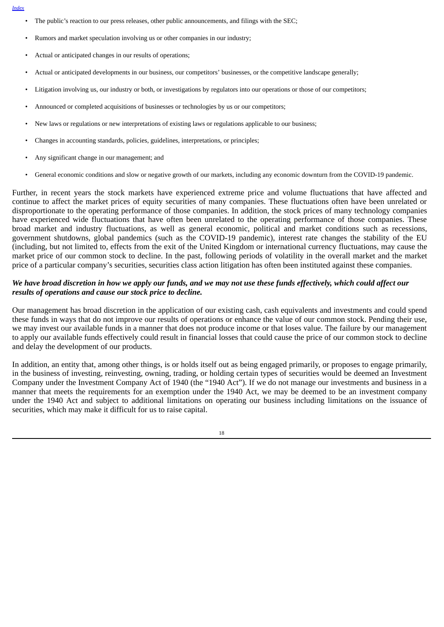- The public's reaction to our press releases, other public announcements, and filings with the SEC;
- Rumors and market speculation involving us or other companies in our industry;
- Actual or anticipated changes in our results of operations;
- Actual or anticipated developments in our business, our competitors' businesses, or the competitive landscape generally;
- Litigation involving us, our industry or both, or investigations by regulators into our operations or those of our competitors;
- Announced or completed acquisitions of businesses or technologies by us or our competitors;
- New laws or regulations or new interpretations of existing laws or regulations applicable to our business;
- Changes in accounting standards, policies, guidelines, interpretations, or principles;
- Any significant change in our management; and
- General economic conditions and slow or negative growth of our markets, including any economic downturn from the COVID-19 pandemic.

Further, in recent years the stock markets have experienced extreme price and volume fluctuations that have affected and continue to affect the market prices of equity securities of many companies. These fluctuations often have been unrelated or disproportionate to the operating performance of those companies. In addition, the stock prices of many technology companies have experienced wide fluctuations that have often been unrelated to the operating performance of those companies. These broad market and industry fluctuations, as well as general economic, political and market conditions such as recessions, government shutdowns, global pandemics (such as the COVID-19 pandemic), interest rate changes the stability of the EU (including, but not limited to, effects from the exit of the United Kingdom or international currency fluctuations, may cause the market price of our common stock to decline. In the past, following periods of volatility in the overall market and the market price of a particular company's securities, securities class action litigation has often been instituted against these companies.

### *We have broad discretion in how we apply our funds, and we may not use these funds effectively, which could affect our results of operations and cause our stock price to decline.*

Our management has broad discretion in the application of our existing cash, cash equivalents and investments and could spend these funds in ways that do not improve our results of operations or enhance the value of our common stock. Pending their use, we may invest our available funds in a manner that does not produce income or that loses value. The failure by our management to apply our available funds effectively could result in financial losses that could cause the price of our common stock to decline and delay the development of our products.

In addition, an entity that, among other things, is or holds itself out as being engaged primarily, or proposes to engage primarily, in the business of investing, reinvesting, owning, trading, or holding certain types of securities would be deemed an Investment Company under the Investment Company Act of 1940 (the "1940 Act"). If we do not manage our investments and business in a manner that meets the requirements for an exemption under the 1940 Act, we may be deemed to be an investment company under the 1940 Act and subject to additional limitations on operating our business including limitations on the issuance of securities, which may make it difficult for us to raise capital.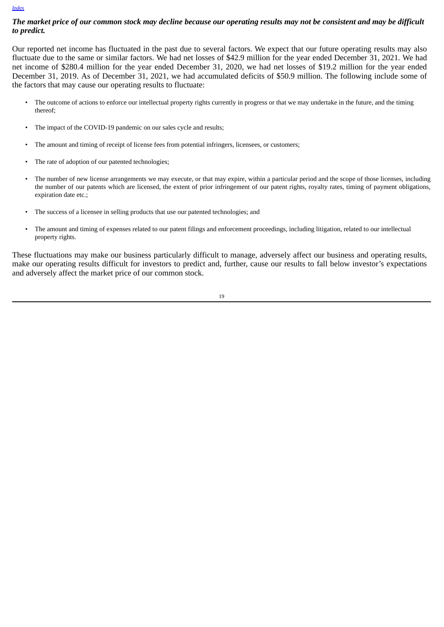# *The market price of our common stock may decline because our operating results may not be consistent and may be difficult to predict.*

Our reported net income has fluctuated in the past due to several factors. We expect that our future operating results may also fluctuate due to the same or similar factors. We had net losses of \$42.9 million for the year ended December 31, 2021. We had net income of \$280.4 million for the year ended December 31, 2020, we had net losses of \$19.2 million for the year ended December 31, 2019. As of December 31, 2021, we had accumulated deficits of \$50.9 million. The following include some of the factors that may cause our operating results to fluctuate:

- The outcome of actions to enforce our intellectual property rights currently in progress or that we may undertake in the future, and the timing thereof;
- The impact of the COVID-19 pandemic on our sales cycle and results;
- The amount and timing of receipt of license fees from potential infringers, licensees, or customers;
- The rate of adoption of our patented technologies;
- The number of new license arrangements we may execute, or that may expire, within a particular period and the scope of those licenses, including the number of our patents which are licensed, the extent of prior infringement of our patent rights, royalty rates, timing of payment obligations, expiration date etc.;
- The success of a licensee in selling products that use our patented technologies; and
- The amount and timing of expenses related to our patent filings and enforcement proceedings, including litigation, related to our intellectual property rights.

These fluctuations may make our business particularly difficult to manage, adversely affect our business and operating results, make our operating results difficult for investors to predict and, further, cause our results to fall below investor's expectations and adversely affect the market price of our common stock.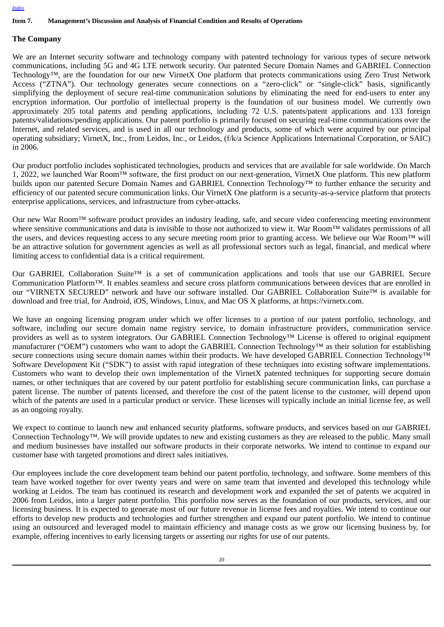### <span id="page-23-0"></span>**Item 7. Management's Discussion and Analysis of Financial Condition and Results of Operations**

### **The Company**

We are an Internet security software and technology company with patented technology for various types of secure network communications, including 5G and 4G LTE network security. Our patented Secure Domain Names and GABRIEL Connection Technology™, are the foundation for our new VirnetX One platform that protects communications using Zero Trust Network Access ("ZTNA"). Our technology generates secure connections on a "zero-click" or "single-click" basis, significantly simplifying the deployment of secure real-time communication solutions by eliminating the need for end-users to enter any encryption information. Our portfolio of intellectual property is the foundation of our business model. We currently own approximately 205 total patents and pending applications, including 72 U.S. patents/patent applications and 133 foreign patents/validations/pending applications. Our patent portfolio is primarily focused on securing real-time communications over the Internet, and related services, and is used in all our technology and products, some of which were acquired by our principal operating subsidiary; VirnetX, Inc., from Leidos, Inc., or Leidos, (f/k/a Science Applications International Corporation, or SAIC) in 2006.

Our product portfolio includes sophisticated technologies, products and services that are available for sale worldwide. On March 1, 2022, we launched War Room™ software, the first product on our next-generation, VirnetX One platform. This new platform builds upon our patented Secure Domain Names and GABRIEL Connection Technology™ to further enhance the security and efficiency of our patented secure communication links. Our VirnetX One platform is a security-as-a-service platform that protects enterprise applications, services, and infrastructure from cyber-attacks.

Our new War Room™ software product provides an industry leading, safe, and secure video conferencing meeting environment where sensitive communications and data is invisible to those not authorized to view it. War Room™ validates permissions of all the users, and devices requesting access to any secure meeting room prior to granting access. We believe our War Room™ will be an attractive solution for government agencies as well as all professional sectors such as legal, financial, and medical where limiting access to confidential data is a critical requirement.

Our GABRIEL Collaboration Suite™ is a set of communication applications and tools that use our GABRIEL Secure Communication Platform™. It enables seamless and secure cross platform communications between devices that are enrolled in our "VIRNETX SECURED" network and have our software installed. Our GABRIEL Collaboration Suite™ is available for download and free trial, for Android, iOS, Windows, Linux, and Mac OS X platforms, at https://virnetx.com.

We have an ongoing licensing program under which we offer licenses to a portion of our patent portfolio, technology, and software, including our secure domain name registry service, to domain infrastructure providers, communication service providers as well as to system integrators. Our GABRIEL Connection Technology™ License is offered to original equipment manufacturer ("OEM") customers who want to adopt the GABRIEL Connection Technology™ as their solution for establishing secure connections using secure domain names within their products. We have developed GABRIEL Connection Technology™ Software Development Kit ("SDK") to assist with rapid integration of these techniques into existing software implementations. Customers who want to develop their own implementation of the VirnetX patented techniques for supporting secure domain names, or other techniques that are covered by our patent portfolio for establishing secure communication links, can purchase a patent license. The number of patents licensed, and therefore the cost of the patent license to the customer, will depend upon which of the patents are used in a particular product or service. These licenses will typically include an initial license fee, as well as an ongoing royalty.

We expect to continue to launch new and enhanced security platforms, software products, and services based on our GABRIEL Connection Technology<sup>™</sup>. We will provide updates to new and existing customers as they are released to the public. Many small and medium businesses have installed our software products in their corporate networks. We intend to continue to expand our customer base with targeted promotions and direct sales initiatives.

Our employees include the core development team behind our patent portfolio, technology, and software. Some members of this team have worked together for over twenty years and were on same team that invented and developed this technology while working at Leidos. The team has continued its research and development work and expanded the set of patents we acquired in 2006 from Leidos, into a larger patent portfolio. This portfolio now serves as the foundation of our products, services, and our licensing business. It is expected to generate most of our future revenue in license fees and royalties. We intend to continue our efforts to develop new products and technologies and further strengthen and expand our patent portfolio. We intend to continue using an outsourced and leveraged model to maintain efficiency and manage costs as we grow our licensing business by, for example, offering incentives to early licensing targets or asserting our rights for use of our patents.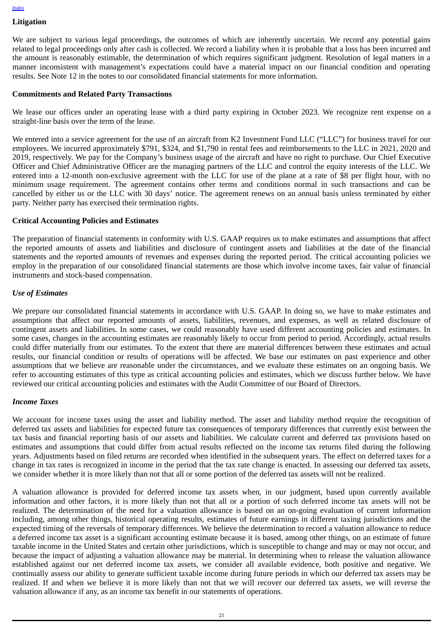# **Litigation**

We are subject to various legal proceedings, the outcomes of which are inherently uncertain. We record any potential gains related to legal proceedings only after cash is collected. We record a liability when it is probable that a loss has been incurred and the amount is reasonably estimable, the determination of which requires significant judgment. Resolution of legal matters in a manner inconsistent with management's expectations could have a material impact on our financial condition and operating results. See Note 12 in the notes to our consolidated financial statements for more information.

### **Commitments and Related Party Transactions**

We lease our offices under an operating lease with a third party expiring in October 2023. We recognize rent expense on a straight-line basis over the term of the lease.

We entered into a service agreement for the use of an aircraft from K2 Investment Fund LLC ("LLC") for business travel for our employees. We incurred approximately \$791, \$324, and \$1,790 in rental fees and reimbursements to the LLC in 2021, 2020 and 2019, respectively. We pay for the Company's business usage of the aircraft and have no right to purchase. Our Chief Executive Officer and Chief Administrative Officer are the managing partners of the LLC and control the equity interests of the LLC. We entered into a 12-month non-exclusive agreement with the LLC for use of the plane at a rate of \$8 per flight hour, with no minimum usage requirement. The agreement contains other terms and conditions normal in such transactions and can be cancelled by either us or the LLC with 30 days' notice. The agreement renews on an annual basis unless terminated by either party. Neither party has exercised their termination rights.

### **Critical Accounting Policies and Estimates**

The preparation of financial statements in conformity with U.S. GAAP requires us to make estimates and assumptions that affect the reported amounts of assets and liabilities and disclosure of contingent assets and liabilities at the date of the financial statements and the reported amounts of revenues and expenses during the reported period. The critical accounting policies we employ in the preparation of our consolidated financial statements are those which involve income taxes, fair value of financial instruments and stock-based compensation.

### *Use of Estimates*

We prepare our consolidated financial statements in accordance with U.S. GAAP. In doing so, we have to make estimates and assumptions that affect our reported amounts of assets, liabilities, revenues, and expenses, as well as related disclosure of contingent assets and liabilities. In some cases, we could reasonably have used different accounting policies and estimates. In some cases, changes in the accounting estimates are reasonably likely to occur from period to period. Accordingly, actual results could differ materially from our estimates. To the extent that there are material differences between these estimates and actual results, our financial condition or results of operations will be affected. We base our estimates on past experience and other assumptions that we believe are reasonable under the circumstances, and we evaluate these estimates on an ongoing basis. We refer to accounting estimates of this type as critical accounting policies and estimates, which we discuss further below. We have reviewed our critical accounting policies and estimates with the Audit Committee of our Board of Directors.

### *Income Taxes*

We account for income taxes using the asset and liability method. The asset and liability method require the recognition of deferred tax assets and liabilities for expected future tax consequences of temporary differences that currently exist between the tax basis and financial reporting basis of our assets and liabilities. We calculate current and deferred tax provisions based on estimates and assumptions that could differ from actual results reflected on the income tax returns filed during the following years. Adjustments based on filed returns are recorded when identified in the subsequent years. The effect on deferred taxes for a change in tax rates is recognized in income in the period that the tax rate change is enacted. In assessing our deferred tax assets, we consider whether it is more likely than not that all or some portion of the deferred tax assets will not be realized.

A valuation allowance is provided for deferred income tax assets when, in our judgment, based upon currently available information and other factors, it is more likely than not that all or a portion of such deferred income tax assets will not be realized. The determination of the need for a valuation allowance is based on an on-going evaluation of current information including, among other things, historical operating results, estimates of future earnings in different taxing jurisdictions and the expected timing of the reversals of temporary differences. We believe the determination to record a valuation allowance to reduce a deferred income tax asset is a significant accounting estimate because it is based, among other things, on an estimate of future taxable income in the United States and certain other jurisdictions, which is susceptible to change and may or may not occur, and because the impact of adjusting a valuation allowance may be material. In determining when to release the valuation allowance established against our net deferred income tax assets, we consider all available evidence, both positive and negative. We continually assess our ability to generate sufficient taxable income during future periods in which our deferred tax assets may be realized. If and when we believe it is more likely than not that we will recover our deferred tax assets, we will reverse the valuation allowance if any, as an income tax benefit in our statements of operations.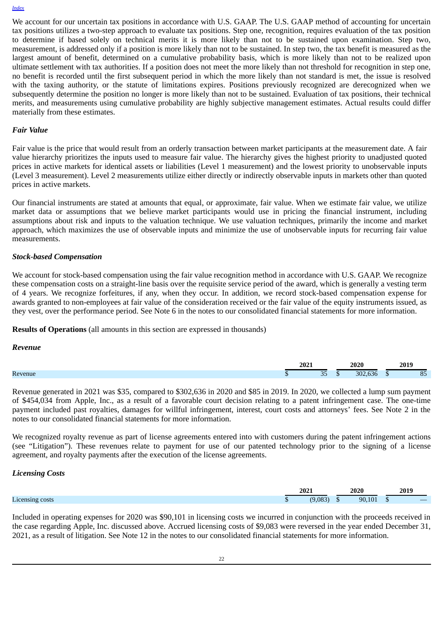We account for our uncertain tax positions in accordance with U.S. GAAP. The U.S. GAAP method of accounting for uncertain tax positions utilizes a two-step approach to evaluate tax positions. Step one, recognition, requires evaluation of the tax position to determine if based solely on technical merits it is more likely than not to be sustained upon examination. Step two, measurement, is addressed only if a position is more likely than not to be sustained. In step two, the tax benefit is measured as the largest amount of benefit, determined on a cumulative probability basis, which is more likely than not to be realized upon ultimate settlement with tax authorities. If a position does not meet the more likely than not threshold for recognition in step one, no benefit is recorded until the first subsequent period in which the more likely than not standard is met, the issue is resolved with the taxing authority, or the statute of limitations expires. Positions previously recognized are derecognized when we subsequently determine the position no longer is more likely than not to be sustained. Evaluation of tax positions, their technical merits, and measurements using cumulative probability are highly subjective management estimates. Actual results could differ materially from these estimates.

### *Fair Value*

Fair value is the price that would result from an orderly transaction between market participants at the measurement date. A fair value hierarchy prioritizes the inputs used to measure fair value. The hierarchy gives the highest priority to unadjusted quoted prices in active markets for identical assets or liabilities (Level 1 measurement) and the lowest priority to unobservable inputs (Level 3 measurement). Level 2 measurements utilize either directly or indirectly observable inputs in markets other than quoted prices in active markets.

Our financial instruments are stated at amounts that equal, or approximate, fair value. When we estimate fair value, we utilize market data or assumptions that we believe market participants would use in pricing the financial instrument, including assumptions about risk and inputs to the valuation technique. We use valuation techniques, primarily the income and market approach, which maximizes the use of observable inputs and minimize the use of unobservable inputs for recurring fair value measurements.

### *Stock-based Compensation*

We account for stock-based compensation using the fair value recognition method in accordance with U.S. GAAP. We recognize these compensation costs on a straight-line basis over the requisite service period of the award, which is generally a vesting term of 4 years. We recognize forfeitures, if any, when they occur. In addition, we record stock-based compensation expense for awards granted to non-employees at fair value of the consideration received or the fair value of the equity instruments issued, as they vest, over the performance period. See Note 6 in the notes to our consolidated financial statements for more information.

**Results of Operations** (all amounts in this section are expressed in thousands)

### *Revenue*

|         | 2021 |                  |              | 2020<br>$\sim$ $\sim$ |   | 2019<br>$\sim$ $\sim$ |
|---------|------|------------------|--------------|-----------------------|---|-----------------------|
| Revenue |      | $\sim$ $-$<br>്യ | $\mathbf{L}$ | CDC<br>302<br>. 0.SU  | . | 85                    |

Revenue generated in 2021 was \$35, compared to \$302,636 in 2020 and \$85 in 2019. In 2020, we collected a lump sum payment of \$454,034 from Apple, Inc., as a result of a favorable court decision relating to a patent infringement case. The one-time payment included past royalties, damages for willful infringement, interest, court costs and attorneys' fees. See Note 2 in the notes to our consolidated financial statements for more information.

We recognized royalty revenue as part of license agreements entered into with customers during the patent infringement actions (see "Litigation"). These revenues relate to payment for use of our patented technology prior to the signing of a license agreement, and royalty payments after the execution of the license agreements.

### *Licensing Costs*

|                        | 2021    |   | 2020   | 2019 |  |
|------------------------|---------|---|--------|------|--|
| <b>Licensing costs</b> | (9,083) | Φ | 90,101 |      |  |

Included in operating expenses for 2020 was \$90,101 in licensing costs we incurred in conjunction with the proceeds received in the case regarding Apple, Inc. discussed above. Accrued licensing costs of \$9,083 were reversed in the year ended December 31, 2021, as a result of litigation. See Note 12 in the notes to our consolidated financial statements for more information.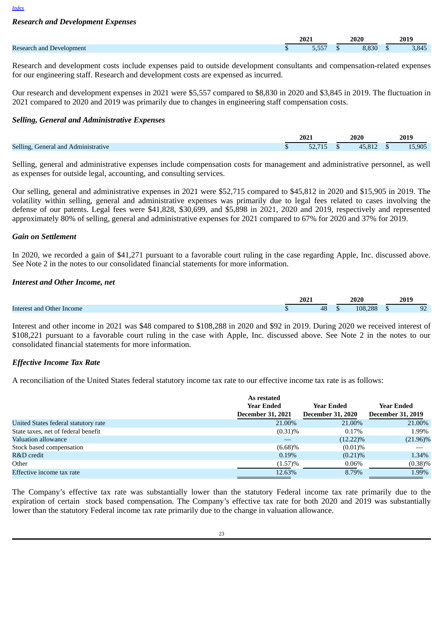# *Research and Development Expenses*

|                               | 2021  | 2020                     | 2019 |                                     |  |
|-------------------------------|-------|--------------------------|------|-------------------------------------|--|
| Research and<br>! Development | - --- | 0.20<br>ว.วบ<br>$\Omega$ |      | <b>CONTRACTOR</b><br>. 84'<br>,,,,, |  |

Research and development costs include expenses paid to outside development consultants and compensation-related expenses for our engineering staff. Research and development costs are expensed as incurred.

Our research and development expenses in 2021 were \$5,557 compared to \$8,830 in 2020 and \$3,845 in 2019. The fluctuation in 2021 compared to 2020 and 2019 was primarily due to changes in engineering staff compensation costs.

### *Selling, General and Administrative Expenses*

|                                     | 2021        | 2020 |        |  | 2019   |  |  |
|-------------------------------------|-------------|------|--------|--|--------|--|--|
| Selling, General and Administrative | $52,715$ \$ |      | 45.812 |  | 15,905 |  |  |

Selling, general and administrative expenses include compensation costs for management and administrative personnel, as well as expenses for outside legal, accounting, and consulting services.

Our selling, general and administrative expenses in 2021 were \$52,715 compared to \$45,812 in 2020 and \$15,905 in 2019. The volatility within selling, general and administrative expenses was primarily due to legal fees related to cases involving the defense of our patents. Legal fees were \$41,828, \$30,699, and \$5,898 in 2021, 2020 and 2019, respectively and represented approximately 80% of selling, general and administrative expenses for 2021 compared to 67% for 2020 and 37% for 2019.

### *Gain on Settlement*

In 2020, we recorded a gain of \$41,271 pursuant to a favorable court ruling in the case regarding Apple, Inc. discussed above. See Note 2 in the notes to our consolidated financial statements for more information.

### *Interest and Other Income, net*

|                                       | 2021<br>$\sim$ $\sim$ $\sim$ $\sim$ $\sim$ $\sim$ |    | 2020    | 2019<br>___    |
|---------------------------------------|---------------------------------------------------|----|---------|----------------|
| Interest and <b>t</b><br>Other Income |                                                   | 48 | 108.288 | $\Omega$<br>92 |

Interest and other income in 2021 was \$48 compared to \$108,288 in 2020 and \$92 in 2019. During 2020 we received interest of \$108,221 pursuant to a favorable court ruling in the case with Apple, Inc. discussed above. See Note 2 in the notes to our consolidated financial statements for more information.

# *Effective Income Tax Rate*

A reconciliation of the United States federal statutory income tax rate to our effective income tax rate is as follows:

|                                      | As restated              |                          |                          |
|--------------------------------------|--------------------------|--------------------------|--------------------------|
|                                      | <b>Year Ended</b>        | Year Ended               | <b>Year Ended</b>        |
|                                      | <b>December 31, 2021</b> | <b>December 31, 2020</b> | <b>December 31, 2019</b> |
| United States federal statutory rate | 21.00%                   | 21.00%                   | 21.00%                   |
| State taxes, net of federal benefit  | $(0.31)\%$               | 0.17%                    | 1.99%                    |
| Valuation allowance                  |                          | $(12.22)\%$              | $(21.96)\%$              |
| Stock based compensation             | $(6.68)\%$               | $(0.01)\%$               |                          |
| R&D credit                           | 0.19%                    | $(0.21)\%$               | 1.34%                    |
| Other                                | $(1.57)\%$               | $0.06\%$                 | $(0.38)\%$               |
| Effective income tax rate            | 12.63%                   | 8.79%                    | 1.99%                    |

The Company's effective tax rate was substantially lower than the statutory Federal income tax rate primarily due to the expiration of certain stock based compensation. The Company's effective tax rate for both 2020 and 2019 was substantially lower than the statutory Federal income tax rate primarily due to the change in valuation allowance.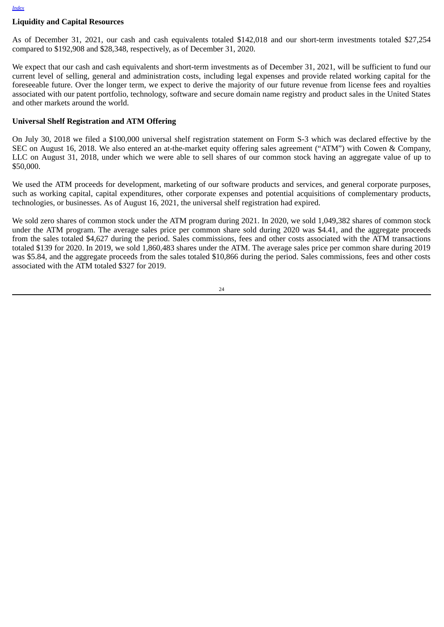### **Liquidity and Capital Resources**

As of December 31, 2021, our cash and cash equivalents totaled \$142,018 and our short-term investments totaled \$27,254 compared to \$192,908 and \$28,348, respectively, as of December 31, 2020.

We expect that our cash and cash equivalents and short-term investments as of December 31, 2021, will be sufficient to fund our current level of selling, general and administration costs, including legal expenses and provide related working capital for the foreseeable future. Over the longer term, we expect to derive the majority of our future revenue from license fees and royalties associated with our patent portfolio, technology, software and secure domain name registry and product sales in the United States and other markets around the world.

### **Universal Shelf Registration and ATM Offering**

On July 30, 2018 we filed a \$100,000 universal shelf registration statement on Form S-3 which was declared effective by the SEC on August 16, 2018. We also entered an at-the-market equity offering sales agreement ("ATM") with Cowen & Company, LLC on August 31, 2018, under which we were able to sell shares of our common stock having an aggregate value of up to \$50,000.

We used the ATM proceeds for development, marketing of our software products and services, and general corporate purposes, such as working capital, capital expenditures, other corporate expenses and potential acquisitions of complementary products, technologies, or businesses. As of August 16, 2021, the universal shelf registration had expired.

We sold zero shares of common stock under the ATM program during 2021. In 2020, we sold 1,049,382 shares of common stock under the ATM program. The average sales price per common share sold during 2020 was \$4.41, and the aggregate proceeds from the sales totaled \$4,627 during the period. Sales commissions, fees and other costs associated with the ATM transactions totaled \$139 for 2020. In 2019, we sold 1,860,483 shares under the ATM. The average sales price per common share during 2019 was \$5.84, and the aggregate proceeds from the sales totaled \$10,866 during the period. Sales commissions, fees and other costs associated with the ATM totaled \$327 for 2019.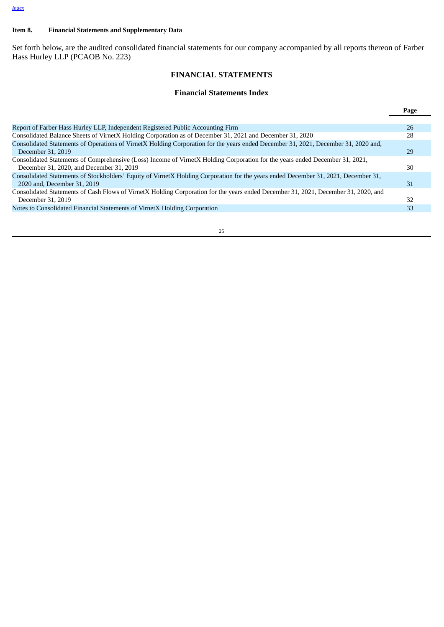# <span id="page-28-0"></span>**Item 8. Financial Statements and Supplementary Data**

Set forth below, are the audited consolidated financial statements for our company accompanied by all reports thereon of Farber Hass Hurley LLP (PCAOB No. 223)

# **FINANCIAL STATEMENTS**

### **Financial Statements Index**

|                                                                                                                                    | Page |
|------------------------------------------------------------------------------------------------------------------------------------|------|
|                                                                                                                                    |      |
| Report of Farber Hass Hurley LLP, Independent Registered Public Accounting Firm                                                    | 26   |
| Consolidated Balance Sheets of VirnetX Holding Corporation as of December 31, 2021 and December 31, 2020                           | 28   |
| Consolidated Statements of Operations of VirnetX Holding Corporation for the years ended December 31, 2021, December 31, 2020 and, |      |
| December 31, 2019                                                                                                                  | 29   |
| Consolidated Statements of Comprehensive (Loss) Income of VirnetX Holding Corporation for the years ended December 31, 2021,       |      |
| December 31, 2020, and December 31, 2019                                                                                           | 30   |
| Consolidated Statements of Stockholders' Equity of VirnetX Holding Corporation for the years ended December 31, 2021, December 31, |      |
| 2020 and, December 31, 2019                                                                                                        | 31   |
| Consolidated Statements of Cash Flows of VirnetX Holding Corporation for the years ended December 31, 2021, December 31, 2020, and |      |
| December 31, 2019                                                                                                                  | 32   |
| Notes to Consolidated Financial Statements of VirnetX Holding Corporation                                                          | 33   |
|                                                                                                                                    |      |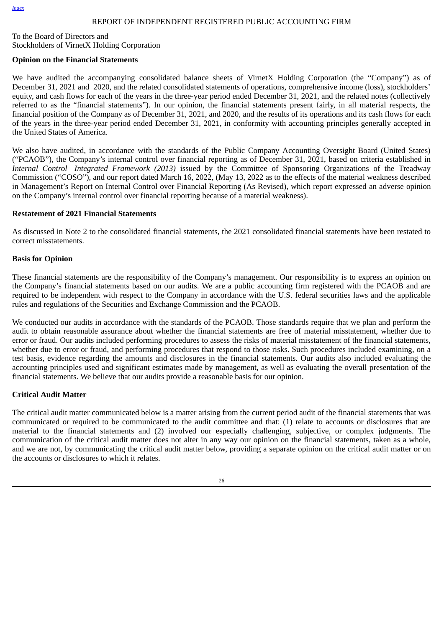### REPORT OF INDEPENDENT REGISTERED PUBLIC ACCOUNTING FIRM

# To the Board of Directors and Stockholders of VirnetX Holding Corporation

### **Opinion on the Financial Statements**

We have audited the accompanying consolidated balance sheets of VirnetX Holding Corporation (the "Company") as of December 31, 2021 and 2020, and the related consolidated statements of operations, comprehensive income (loss), stockholders' equity, and cash flows for each of the years in the three-year period ended December 31, 2021, and the related notes (collectively referred to as the "financial statements"). In our opinion, the financial statements present fairly, in all material respects, the financial position of the Company as of December 31, 2021, and 2020, and the results of its operations and its cash flows for each of the years in the three-year period ended December 31, 2021, in conformity with accounting principles generally accepted in the United States of America.

We also have audited, in accordance with the standards of the Public Company Accounting Oversight Board (United States) ("PCAOB"), the Company's internal control over financial reporting as of December 31, 2021, based on criteria established in *Internal Control—Integrated Framework (2013)* issued by the Committee of Sponsoring Organizations of the Treadway Commission ("COSO"), and our report dated March 16, 2022, (May 13, 2022 as to the effects of the material weakness described in Management's Report on Internal Control over Financial Reporting (As Revised), which report expressed an adverse opinion on the Company's internal control over financial reporting because of a material weakness).

### **Restatement of 2021 Financial Statements**

As discussed in Note 2 to the consolidated financial statements, the 2021 consolidated financial statements have been restated to correct misstatements.

### **Basis for Opinion**

These financial statements are the responsibility of the Company's management. Our responsibility is to express an opinion on the Company's financial statements based on our audits. We are a public accounting firm registered with the PCAOB and are required to be independent with respect to the Company in accordance with the U.S. federal securities laws and the applicable rules and regulations of the Securities and Exchange Commission and the PCAOB.

We conducted our audits in accordance with the standards of the PCAOB. Those standards require that we plan and perform the audit to obtain reasonable assurance about whether the financial statements are free of material misstatement, whether due to error or fraud. Our audits included performing procedures to assess the risks of material misstatement of the financial statements, whether due to error or fraud, and performing procedures that respond to those risks. Such procedures included examining, on a test basis, evidence regarding the amounts and disclosures in the financial statements. Our audits also included evaluating the accounting principles used and significant estimates made by management, as well as evaluating the overall presentation of the financial statements. We believe that our audits provide a reasonable basis for our opinion.

### **Critical Audit Matter**

The critical audit matter communicated below is a matter arising from the current period audit of the financial statements that was communicated or required to be communicated to the audit committee and that: (1) relate to accounts or disclosures that are material to the financial statements and (2) involved our especially challenging, subjective, or complex judgments. The communication of the critical audit matter does not alter in any way our opinion on the financial statements, taken as a whole, and we are not, by communicating the critical audit matter below, providing a separate opinion on the critical audit matter or on the accounts or disclosures to which it relates.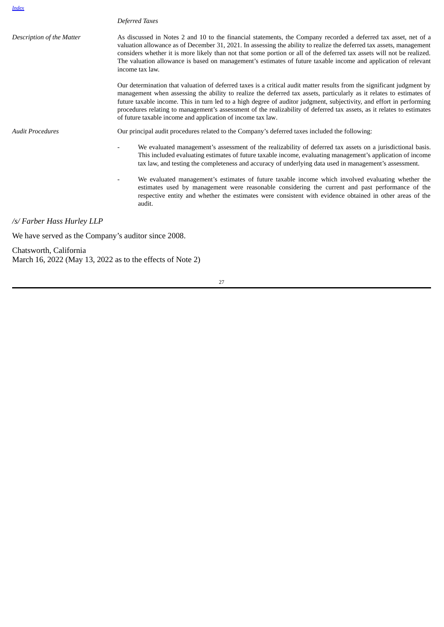# *Deferred Taxes*

| Description of the Matter                           | As discussed in Notes 2 and 10 to the financial statements, the Company recorded a deferred tax asset, net of a<br>valuation allowance as of December 31, 2021. In assessing the ability to realize the deferred tax assets, management<br>considers whether it is more likely than not that some portion or all of the deferred tax assets will not be realized.<br>The valuation allowance is based on management's estimates of future taxable income and application of relevant<br>income tax law.                                                         |
|-----------------------------------------------------|-----------------------------------------------------------------------------------------------------------------------------------------------------------------------------------------------------------------------------------------------------------------------------------------------------------------------------------------------------------------------------------------------------------------------------------------------------------------------------------------------------------------------------------------------------------------|
|                                                     | Our determination that valuation of deferred taxes is a critical audit matter results from the significant judgment by<br>management when assessing the ability to realize the deferred tax assets, particularly as it relates to estimates of<br>future taxable income. This in turn led to a high degree of auditor judgment, subjectivity, and effort in performing<br>procedures relating to management's assessment of the realizability of deferred tax assets, as it relates to estimates<br>of future taxable income and application of income tax law. |
| Audit Procedures                                    | Our principal audit procedures related to the Company's deferred taxes included the following:                                                                                                                                                                                                                                                                                                                                                                                                                                                                  |
|                                                     | We evaluated management's assessment of the realizability of deferred tax assets on a jurisdictional basis.<br>This included evaluating estimates of future taxable income, evaluating management's application of income<br>tax law, and testing the completeness and accuracy of underlying data used in management's assessment.                                                                                                                                                                                                                             |
|                                                     | We evaluated management's estimates of future taxable income which involved evaluating whether the<br>estimates used by management were reasonable considering the current and past performance of the<br>respective entity and whether the estimates were consistent with evidence obtained in other areas of the<br>audit.                                                                                                                                                                                                                                    |
| /s/ Farber Hass Hurley LLP                          |                                                                                                                                                                                                                                                                                                                                                                                                                                                                                                                                                                 |
| We have served as the Company's auditor since 2008. |                                                                                                                                                                                                                                                                                                                                                                                                                                                                                                                                                                 |

Chatsworth, California March 16, 2022 (May 13, 2022 as to the effects of Note 2)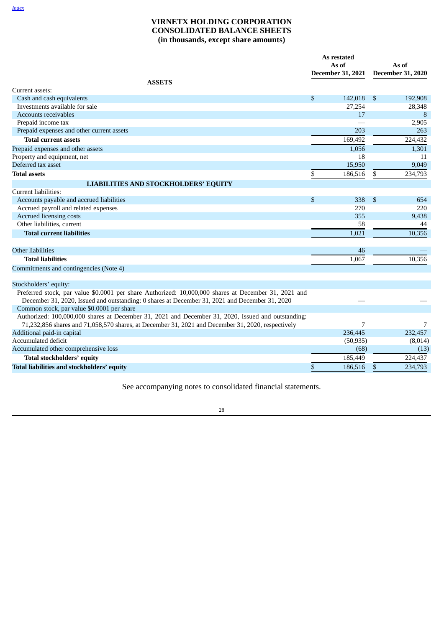# **VIRNETX HOLDING CORPORATION CONSOLIDATED BALANCE SHEETS (in thousands, except share amounts)**

|                                                                                                      | As restated              |                |                          |
|------------------------------------------------------------------------------------------------------|--------------------------|----------------|--------------------------|
|                                                                                                      | As of                    |                | As of                    |
|                                                                                                      | <b>December 31, 2021</b> |                | <b>December 31, 2020</b> |
| <b>ASSETS</b>                                                                                        |                          |                |                          |
| Current assets:                                                                                      |                          |                |                          |
| Cash and cash equivalents                                                                            | \$<br>142,018            | $\mathfrak{S}$ | 192,908                  |
| Investments available for sale                                                                       | 27,254                   |                | 28,348                   |
| Accounts receivables                                                                                 | 17                       |                | 8                        |
| Prepaid income tax                                                                                   |                          |                | 2,905                    |
| Prepaid expenses and other current assets                                                            | 203                      |                | 263                      |
| <b>Total current assets</b>                                                                          | 169,492                  |                | 224,432                  |
| Prepaid expenses and other assets                                                                    | 1,056                    |                | 1,301                    |
| Property and equipment, net                                                                          | 18                       |                | 11                       |
| Deferred tax asset                                                                                   | 15,950                   |                | 9,049                    |
| <b>Total assets</b>                                                                                  | \$<br>186,516            | \$             | 234,793                  |
| <b>LIABILITIES AND STOCKHOLDERS' EQUITY</b>                                                          |                          |                |                          |
| Current liabilities:                                                                                 |                          |                |                          |
| Accounts payable and accrued liabilities                                                             | \$<br>338                | $\mathfrak{S}$ | 654                      |
| Accrued payroll and related expenses                                                                 | 270                      |                | 220                      |
| Accrued licensing costs                                                                              | 355                      |                | 9,438                    |
| Other liabilities, current                                                                           | 58                       |                | 44                       |
| <b>Total current liabilities</b>                                                                     | 1,021                    |                | 10,356                   |
|                                                                                                      |                          |                |                          |
| Other liabilities                                                                                    | 46                       |                |                          |
| <b>Total liabilities</b>                                                                             | 1,067                    |                | 10,356                   |
| Commitments and contingencies (Note 4)                                                               |                          |                |                          |
|                                                                                                      |                          |                |                          |
| Stockholders' equity:                                                                                |                          |                |                          |
| Preferred stock, par value \$0.0001 per share Authorized: 10,000,000 shares at December 31, 2021 and |                          |                |                          |
| December 31, 2020, Issued and outstanding: 0 shares at December 31, 2021 and December 31, 2020       |                          |                |                          |
| Common stock, par value \$0.0001 per share                                                           |                          |                |                          |
| Authorized: 100,000,000 shares at December 31, 2021 and December 31, 2020, Issued and outstanding:   |                          |                |                          |
| 71,232,856 shares and 71,058,570 shares, at December 31, 2021 and December 31, 2020, respectively    | 7                        |                | 7                        |
| Additional paid-in capital                                                                           | 236,445                  |                | 232,457                  |
| Accumulated deficit                                                                                  | (50, 935)                |                | (8,014)                  |
| Accumulated other comprehensive loss                                                                 | (68)                     |                | (13)                     |
| <b>Total stockholders' equity</b>                                                                    | 185,449                  |                | 224,437                  |
| Total liabilities and stockholders' equity                                                           | \$<br>186,516            | \$             | 234,793                  |
|                                                                                                      |                          |                |                          |

See accompanying notes to consolidated financial statements.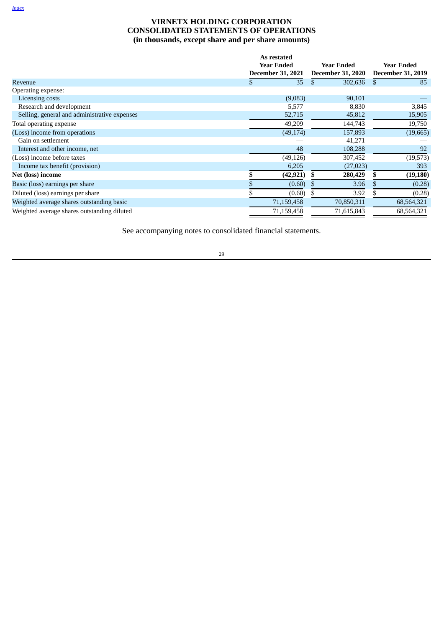# **VIRNETX HOLDING CORPORATION CONSOLIDATED STATEMENTS OF OPERATIONS (in thousands, except share and per share amounts)**

|                                              |    | As restated                                   |    |                          |     |                          |  |            |
|----------------------------------------------|----|-----------------------------------------------|----|--------------------------|-----|--------------------------|--|------------|
|                                              |    | <b>Year Ended</b><br><b>December 31, 2021</b> |    | Year Ended               |     |                          |  | Year Ended |
|                                              |    |                                               |    | <b>December 31, 2020</b> |     | <b>December 31, 2019</b> |  |            |
| Revenue                                      | \$ | 35                                            | S. | 302,636                  | \$. | 85                       |  |            |
| Operating expense:                           |    |                                               |    |                          |     |                          |  |            |
| Licensing costs                              |    | (9,083)                                       |    | 90,101                   |     |                          |  |            |
| Research and development                     |    | 5,577                                         |    | 8,830                    |     | 3,845                    |  |            |
| Selling, general and administrative expenses |    | 52,715                                        |    | 45,812                   |     | 15,905                   |  |            |
| Total operating expense                      |    | 49,209                                        |    | 144,743                  |     | 19,750                   |  |            |
| (Loss) income from operations                |    | (49, 174)                                     |    | 157,893                  |     | (19,665)                 |  |            |
| Gain on settlement                           |    |                                               |    | 41,271                   |     |                          |  |            |
| Interest and other income, net               |    | 48                                            |    | 108,288                  |     | 92                       |  |            |
| (Loss) income before taxes                   |    | (49, 126)                                     |    | 307,452                  |     | (19, 573)                |  |            |
| Income tax benefit (provision)               |    | 6,205                                         |    | (27, 023)                |     | 393                      |  |            |
| Net (loss) income                            |    | (42, 921)                                     | S  | 280,429                  | S.  | (19, 180)                |  |            |
| Basic (loss) earnings per share              |    | (0.60)                                        | S  | 3.96                     | \$. | (0.28)                   |  |            |
| Diluted (loss) earnings per share            |    | (0.60)                                        | S  | 3.92                     | S   | (0.28)                   |  |            |
| Weighted average shares outstanding basic    |    | 71,159,458                                    |    | 70,850,311               |     | 68,564,321               |  |            |
| Weighted average shares outstanding diluted  |    | 71,159,458                                    |    | 71,615,843               |     | 68,564,321               |  |            |
|                                              |    |                                               |    |                          |     |                          |  |            |

See accompanying notes to consolidated financial statements.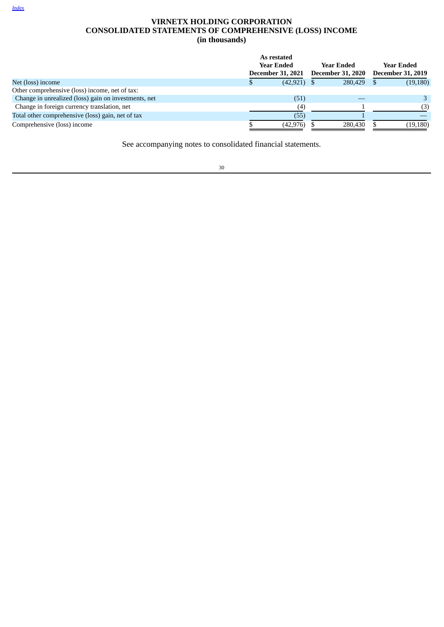# **VIRNETX HOLDING CORPORATION CONSOLIDATED STATEMENTS OF COMPREHENSIVE (LOSS) INCOME (in thousands)**

|                                                      | As restated              |                          |                          |
|------------------------------------------------------|--------------------------|--------------------------|--------------------------|
|                                                      | <b>Year Ended</b>        | Year Ended               | <b>Year Ended</b>        |
|                                                      | <b>December 31, 2021</b> | <b>December 31, 2020</b> | <b>December 31, 2019</b> |
| Net (loss) income                                    | $(42, 921)$ \$           | 280,429                  | (19, 180)                |
| Other comprehensive (loss) income, net of tax:       |                          |                          |                          |
| Change in unrealized (loss) gain on investments, net | (51)                     |                          |                          |
| Change in foreign currency translation, net          | (4)                      |                          | (3)                      |
| Total other comprehensive (loss) gain, net of tax    | (55)                     |                          |                          |
| Comprehensive (loss) income                          | (42, 976)                | 280,430                  | (19, 180)                |

See accompanying notes to consolidated financial statements.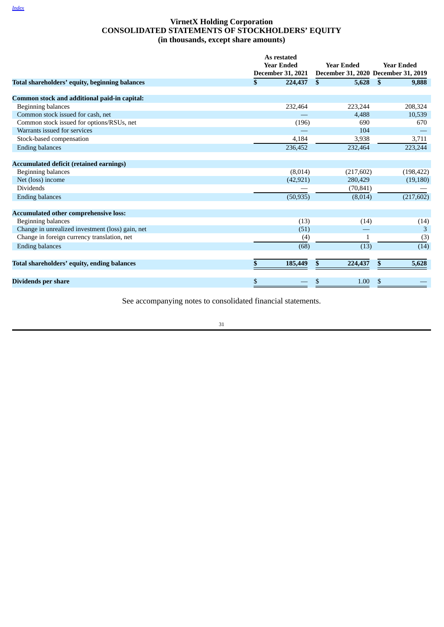### **VirnetX Holding Corporation CONSOLIDATED STATEMENTS OF STOCKHOLDERS' EQUITY (in thousands, except share amounts)**

|                                                    | As restated              |                                     |                   |
|----------------------------------------------------|--------------------------|-------------------------------------|-------------------|
|                                                    | <b>Year Ended</b>        | <b>Year Ended</b>                   | <b>Year Ended</b> |
|                                                    | <b>December 31, 2021</b> | December 31, 2020 December 31, 2019 |                   |
| Total shareholders' equity, beginning balances     | \$<br>224,437            | $\mathbf{s}$<br>5,628               | - \$<br>9,888     |
| Common stock and additional paid-in capital:       |                          |                                     |                   |
| Beginning balances                                 | 232,464                  | 223,244                             | 208,324           |
| Common stock issued for cash, net                  |                          | 4,488                               | 10,539            |
| Common stock issued for options/RSUs, net          | (196)                    | 690                                 | 670               |
| Warrants issued for services                       |                          | 104                                 |                   |
| Stock-based compensation                           | 4,184                    | 3,938                               | 3,711             |
| <b>Ending balances</b>                             | 236,452                  | 232,464                             | 223,244           |
|                                                    |                          |                                     |                   |
| <b>Accumulated deficit (retained earnings)</b>     |                          |                                     |                   |
| Beginning balances                                 | (8,014)                  | (217,602)                           | (198, 422)        |
| Net (loss) income                                  | (42, 921)                | 280,429                             | (19, 180)         |
| <b>Dividends</b>                                   |                          | (70, 841)                           |                   |
| <b>Ending balances</b>                             | (50, 935)                | (8,014)                             | (217, 602)        |
|                                                    |                          |                                     |                   |
| <b>Accumulated other comprehensive loss:</b>       |                          |                                     |                   |
| Beginning balances                                 | (13)                     | (14)                                | (14)              |
| Change in unrealized investment (loss) gain, net   | (51)                     |                                     | 3                 |
| Change in foreign currency translation, net        | (4)                      |                                     | (3)               |
| <b>Ending balances</b>                             | (68)                     | (13)                                | (14)              |
|                                                    |                          |                                     |                   |
| <b>Total shareholders' equity, ending balances</b> | 185,449<br>\$            | 224,437<br>\$.                      | \$<br>5,628       |
|                                                    | \$                       | \$<br>1.00                          | \$                |
| Dividends per share                                |                          |                                     |                   |

See accompanying notes to consolidated financial statements.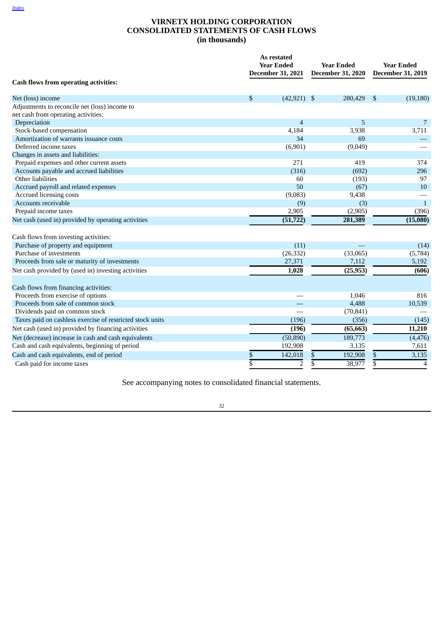# **VIRNETX HOLDING CORPORATION CONSOLIDATED STATEMENTS OF CASH FLOWS (in thousands)**

| <b>Cash flows from operating activities:</b>              | As restated<br><b>Year Ended</b><br><b>December 31, 2021</b> | <b>Year Ended</b><br><b>December 31, 2020</b> | <b>Year Ended</b><br><b>December 31, 2019</b> |  |
|-----------------------------------------------------------|--------------------------------------------------------------|-----------------------------------------------|-----------------------------------------------|--|
| Net (loss) income                                         | \$<br>$(42, 921)$ \$                                         | 280,429                                       | \$<br>(19, 180)                               |  |
| Adjustments to reconcile net (loss) income to             |                                                              |                                               |                                               |  |
| net cash from operating activities:                       |                                                              |                                               |                                               |  |
| Depreciation                                              | $\overline{4}$                                               | 5                                             | 7                                             |  |
| Stock-based compensation                                  | 4,184                                                        | 3,938                                         | 3,711                                         |  |
| Amortization of warrants issuance costs                   | 34                                                           | 69                                            |                                               |  |
| Deferred income taxes                                     | (6,901)                                                      | (9,049)                                       |                                               |  |
| Changes in assets and liabilities:                        |                                                              |                                               |                                               |  |
| Prepaid expenses and other current assets                 | 271                                                          | 419                                           | 374                                           |  |
| Accounts payable and accrued liabilities                  | (316)                                                        | (692)                                         | 296                                           |  |
| Other liabilities                                         | 60                                                           | (193)                                         | 97                                            |  |
| Accrued payroll and related expenses                      | 50                                                           | (67)                                          | 10                                            |  |
| Accrued licensing costs                                   | (9,083)                                                      | 9,438                                         |                                               |  |
| Accounts receivable                                       | (9)                                                          | (3)                                           | $\mathbf{1}$                                  |  |
| Prepaid income taxes                                      | 2,905                                                        | (2,905)                                       | (396)                                         |  |
| Net cash (used in) provided by operating activities       | (51, 722)                                                    | 281,389                                       | (15,080)                                      |  |
| Cash flows from investing activities:                     |                                                              |                                               |                                               |  |
| Purchase of property and equipment                        | (11)                                                         |                                               | (14)                                          |  |
| Purchase of investments                                   | (26, 332)                                                    | (33,065)                                      | (5,784)                                       |  |
| Proceeds from sale or maturity of investments             | 27,371                                                       | 7,112                                         | 5,192                                         |  |
| Net cash provided by (used in) investing activities       | 1,028                                                        | (25, 953)                                     | (606)                                         |  |
| Cash flows from financing activities:                     |                                                              |                                               |                                               |  |
| Proceeds from exercise of options                         |                                                              | 1,046                                         | 816                                           |  |
| Proceeds from sale of common stock                        |                                                              | 4,488                                         | 10,539                                        |  |
| Dividends paid on common stock                            |                                                              | (70, 841)                                     |                                               |  |
| Taxes paid on cashless exercise of restricted stock units | (196)                                                        | (356)                                         | (145)                                         |  |
| Net cash (used in) provided by financing activities       | (196)                                                        | (65, 663)                                     | 11,210                                        |  |
| Net (decrease) increase in cash and cash equivalents      | (50, 890)                                                    | 189,773                                       | (4, 476)                                      |  |
| Cash and cash equivalents, beginning of period            | 192,908                                                      | 3,135                                         | 7,611                                         |  |
| Cash and cash equivalents, end of period                  | \$<br>142,018                                                | 192,908<br>\$                                 | 3,135<br>\$                                   |  |
| Cash paid for income taxes                                | \$<br>2                                                      | \$<br>38,977                                  | \$<br>$\overline{4}$                          |  |

See accompanying notes to consolidated financial statements.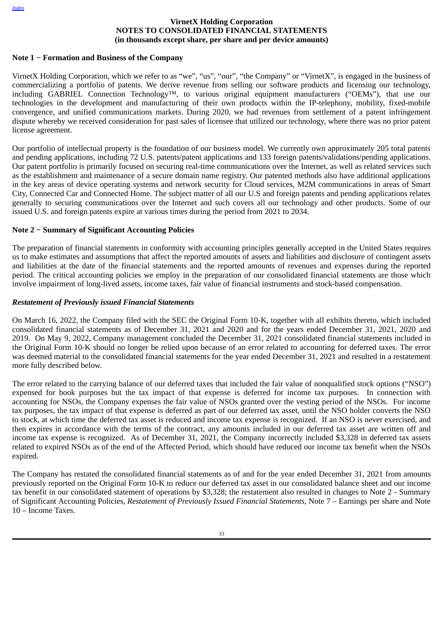## **VirnetX Holding Corporation NOTES TO CONSOLIDATED FINANCIAL STATEMENTS (in thousands except share, per share and per device amounts)**

### **Note 1 − Formation and Business of the Company**

VirnetX Holding Corporation, which we refer to as "we", "us", "our", "the Company" or "VirnetX", is engaged in the business of commercializing a portfolio of patents. We derive revenue from selling our software products and licensing our technology, including GABRIEL Connection Technology™, to various original equipment manufacturers ("OEMs"), that use our technologies in the development and manufacturing of their own products within the IP-telephony, mobility, fixed-mobile convergence, and unified communications markets. During 2020, we had revenues from settlement of a patent infringement dispute whereby we received consideration for past sales of licensee that utilized our technology, where there was no prior patent license agreement.

Our portfolio of intellectual property is the foundation of our business model. We currently own approximately 205 total patents and pending applications, including 72 U.S. patents/patent applications and 133 foreign patents/validations/pending applications. Our patent portfolio is primarily focused on securing real-time communications over the Internet, as well as related services such as the establishment and maintenance of a secure domain name registry. Our patented methods also have additional applications in the key areas of device operating systems and network security for Cloud services, M2M communications in areas of Smart City, Connected Car and Connected Home. The subject matter of all our U.S and foreign patents and pending applications relates generally to securing communications over the Internet and such covers all our technology and other products. Some of our issued U.S. and foreign patents expire at various times during the period from 2021 to 2034.

### **Note 2 − Summary of Significant Accounting Policies**

The preparation of financial statements in conformity with accounting principles generally accepted in the United States requires us to make estimates and assumptions that affect the reported amounts of assets and liabilities and disclosure of contingent assets and liabilities at the date of the financial statements and the reported amounts of revenues and expenses during the reported period. The critical accounting policies we employ in the preparation of our consolidated financial statements are those which involve impairment of long-lived assets, income taxes, fair value of financial instruments and stock-based compensation.

### *Restatement of Previously issued Financial Statements*

On March 16, 2022, the Company filed with the SEC the Original Form 10-K, together with all exhibits thereto, which included consolidated financial statements as of December 31, 2021 and 2020 and for the years ended December 31, 2021, 2020 and 2019. On May 9, 2022, Company management concluded the December 31, 2021 consolidated financial statements included in the Original Form 10-K should no longer be relied upon because of an error related to accounting for deferred taxes. The error was deemed material to the consolidated financial statements for the year ended December 31, 2021 and resulted in a restatement more fully described below.

The error related to the carrying balance of our deferred taxes that included the fair value of nonqualified stock options ("NSO") expensed for book purposes but the tax impact of that expense is deferred for income tax purposes. In connection with accounting for NSOs, the Company expenses the fair value of NSOs granted over the vesting period of the NSOs. For income tax purposes, the tax impact of that expense is deferred as part of our deferred tax asset, until the NSO holder converts the NSO to stock, at which time the deferred tax asset is reduced and income tax expense is recognized. If an NSO is never exercised, and then expires in accordance with the terms of the contract, any amounts included in our deferred tax asset are written off and income tax expense is recognized. As of December 31, 2021, the Company incorrectly included \$3,328 in deferred tax assets related to expired NSOs as of the end of the Affected Period, which should have reduced our income tax benefit when the NSOs expired.

The Company has restated the consolidated financial statements as of and for the year ended December 31, 2021 from amounts previously reported on the Original Form 10-K to reduce our deferred tax asset in our consolidated balance sheet and our income tax benefit in our consolidated statement of operations by \$3,328; the restatement also resulted in changes to Note 2 - Summary of Significant Accounting Policies, *Restatement of Previously Issued Financial Statements*, Note 7 – Earnings per share and Note 10 – Income Taxes.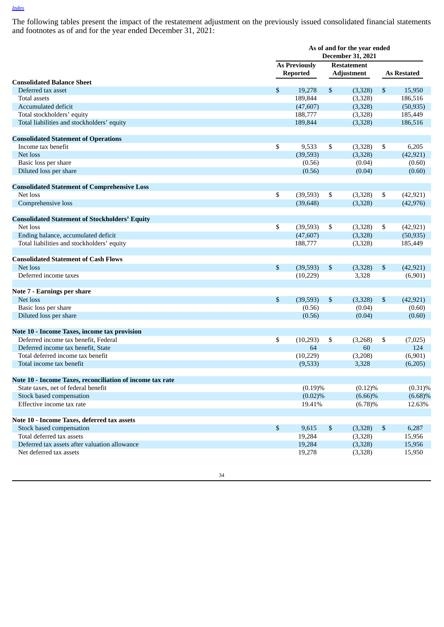The following tables present the impact of the restatement adjustment on the previously issued consolidated financial statements and footnotes as of and for the year ended December 31, 2021:

|                                                           |      | As of and for the year ended<br><b>December 31, 2021</b> |    |                                         |      |                    |
|-----------------------------------------------------------|------|----------------------------------------------------------|----|-----------------------------------------|------|--------------------|
|                                                           |      | <b>As Previously</b><br><b>Reported</b>                  |    | <b>Restatement</b><br><b>Adjustment</b> |      | <b>As Restated</b> |
| <b>Consolidated Balance Sheet</b>                         |      |                                                          |    |                                         |      |                    |
| Deferred tax asset                                        | \$   | 19,278                                                   | \$ | (3,328)                                 | \$   | 15,950             |
| <b>Total assets</b>                                       |      | 189,844                                                  |    | (3,328)                                 |      | 186,516            |
| Accumulated deficit                                       |      | (47, 607)                                                |    | (3,328)                                 |      | (50, 935)          |
| Total stockholders' equity                                |      | 188,777                                                  |    | (3,328)                                 |      | 185,449            |
| Total liabilities and stockholders' equity                |      | 189,844                                                  |    | (3,328)                                 |      | 186,516            |
| <b>Consolidated Statement of Operations</b>               |      |                                                          |    |                                         |      |                    |
| Income tax benefit                                        | \$   | 9,533                                                    | \$ | (3,328)                                 | \$   | 6,205              |
| Net loss                                                  |      | (39, 593)                                                |    | (3,328)                                 |      | (42, 921)          |
| Basic loss per share                                      |      | (0.56)                                                   |    | (0.04)                                  |      | (0.60)             |
| Diluted loss per share                                    |      | (0.56)                                                   |    | (0.04)                                  |      | (0.60)             |
| <b>Consolidated Statement of Comprehensive Loss</b>       |      |                                                          |    |                                         |      |                    |
| Net loss                                                  | \$   | (39, 593)                                                | \$ | (3,328)                                 | \$   | (42, 921)          |
| Comprehensive loss                                        |      | (39, 648)                                                |    | (3,328)                                 |      | (42, 976)          |
| <b>Consolidated Statement of Stockholders' Equity</b>     |      |                                                          |    |                                         |      |                    |
| Net loss                                                  | \$   | (39, 593)                                                | \$ | (3,328)                                 | \$   | (42, 921)          |
| Ending balance, accumulated deficit                       |      | (47, 607)                                                |    | (3,328)                                 |      | (50, 935)          |
| Total liabilities and stockholders' equity                |      | 188,777                                                  |    | (3,328)                                 |      | 185,449            |
| <b>Consolidated Statement of Cash Flows</b>               |      |                                                          |    |                                         |      |                    |
| Net loss                                                  | \$   | (39,593)                                                 | \$ | (3,328)                                 | \$   | (42, 921)          |
| Deferred income taxes                                     |      | (10, 229)                                                |    | 3,328                                   |      | (6,901)            |
| Note 7 - Earnings per share                               |      |                                                          |    |                                         |      |                    |
| Net loss                                                  | \$   | (39,593)                                                 | \$ | (3,328)                                 | \$   | (42, 921)          |
| Basic loss per share                                      |      | (0.56)                                                   |    | (0.04)                                  |      | (0.60)             |
| Diluted loss per share                                    |      | (0.56)                                                   |    | (0.04)                                  |      | (0.60)             |
| Note 10 - Income Taxes, income tax provision              |      |                                                          |    |                                         |      |                    |
| Deferred income tax benefit, Federal                      | \$   | (10, 293)                                                | \$ | (3,268)                                 | \$   | (7,025)            |
| Deferred income tax benefit, State                        |      | 64                                                       |    | 60                                      |      | 124                |
| Total deferred income tax benefit                         |      | (10, 229)                                                |    | (3,208)                                 |      | (6,901)            |
| Total income tax benefit                                  |      | (9,533)                                                  |    | 3,328                                   |      | (6,205)            |
| Note 10 - Income Taxes, reconciliation of income tax rate |      |                                                          |    |                                         |      |                    |
| State taxes, net of federal benefit                       |      | (0.19)%                                                  |    | $(0.12)\%$                              |      | $(0.31)\%$         |
| Stock based compensation                                  |      | (0.02)%                                                  |    | $(6.66)$ %                              |      | (6.68)%            |
| Effective income tax rate                                 |      | 19.41%                                                   |    | (6.78)%                                 |      | 12.63%             |
| Note 10 - Income Taxes, deferred tax assets               |      |                                                          |    |                                         |      |                    |
| <b>Stock based compensation</b>                           | $\$$ | 9,615                                                    | \$ | (3,328)                                 | $\,$ | 6,287              |
| Total deferred tax assets                                 |      | 19,284                                                   |    | (3,328)                                 |      | 15,956             |
| Deferred tax assets after valuation allowance             |      | 19,284                                                   |    | (3,328)                                 |      | 15,956             |
| Net deferred tax assets                                   |      | 19,278                                                   |    | (3,328)                                 |      | 15,950             |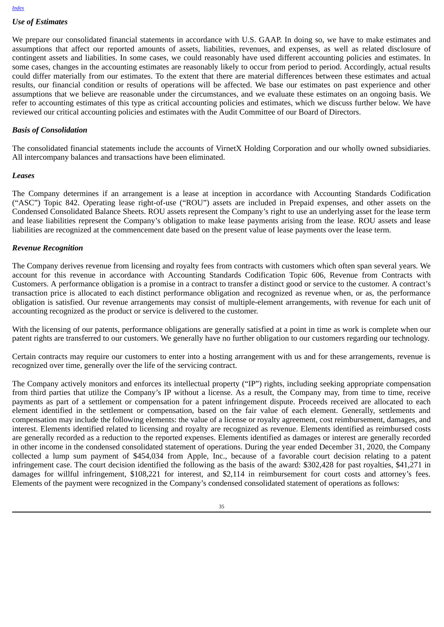### *Use of Estimates*

We prepare our consolidated financial statements in accordance with U.S. GAAP. In doing so, we have to make estimates and assumptions that affect our reported amounts of assets, liabilities, revenues, and expenses, as well as related disclosure of contingent assets and liabilities. In some cases, we could reasonably have used different accounting policies and estimates. In some cases, changes in the accounting estimates are reasonably likely to occur from period to period. Accordingly, actual results could differ materially from our estimates. To the extent that there are material differences between these estimates and actual results, our financial condition or results of operations will be affected. We base our estimates on past experience and other assumptions that we believe are reasonable under the circumstances, and we evaluate these estimates on an ongoing basis. We refer to accounting estimates of this type as critical accounting policies and estimates, which we discuss further below. We have reviewed our critical accounting policies and estimates with the Audit Committee of our Board of Directors.

### *Basis of Consolidation*

The consolidated financial statements include the accounts of VirnetX Holding Corporation and our wholly owned subsidiaries. All intercompany balances and transactions have been eliminated.

### *Leases*

The Company determines if an arrangement is a lease at inception in accordance with Accounting Standards Codification ("ASC") Topic 842. Operating lease right-of-use ("ROU") assets are included in Prepaid expenses, and other assets on the Condensed Consolidated Balance Sheets. ROU assets represent the Company's right to use an underlying asset for the lease term and lease liabilities represent the Company's obligation to make lease payments arising from the lease. ROU assets and lease liabilities are recognized at the commencement date based on the present value of lease payments over the lease term.

### *Revenue Recognition*

The Company derives revenue from licensing and royalty fees from contracts with customers which often span several years. We account for this revenue in accordance with Accounting Standards Codification Topic 606, Revenue from Contracts with Customers. A performance obligation is a promise in a contract to transfer a distinct good or service to the customer. A contract's transaction price is allocated to each distinct performance obligation and recognized as revenue when, or as, the performance obligation is satisfied. Our revenue arrangements may consist of multiple-element arrangements, with revenue for each unit of accounting recognized as the product or service is delivered to the customer.

With the licensing of our patents, performance obligations are generally satisfied at a point in time as work is complete when our patent rights are transferred to our customers. We generally have no further obligation to our customers regarding our technology.

Certain contracts may require our customers to enter into a hosting arrangement with us and for these arrangements, revenue is recognized over time, generally over the life of the servicing contract.

The Company actively monitors and enforces its intellectual property ("IP") rights, including seeking appropriate compensation from third parties that utilize the Company's IP without a license. As a result, the Company may, from time to time, receive payments as part of a settlement or compensation for a patent infringement dispute. Proceeds received are allocated to each element identified in the settlement or compensation, based on the fair value of each element. Generally, settlements and compensation may include the following elements: the value of a license or royalty agreement, cost reimbursement, damages, and interest. Elements identified related to licensing and royalty are recognized as revenue. Elements identified as reimbursed costs are generally recorded as a reduction to the reported expenses. Elements identified as damages or interest are generally recorded in other income in the condensed consolidated statement of operations. During the year ended December 31, 2020, the Company collected a lump sum payment of \$454,034 from Apple, Inc., because of a favorable court decision relating to a patent infringement case. The court decision identified the following as the basis of the award: \$302,428 for past royalties, \$41,271 in damages for willful infringement, \$108,221 for interest, and \$2,114 in reimbursement for court costs and attorney's fees. Elements of the payment were recognized in the Company's condensed consolidated statement of operations as follows: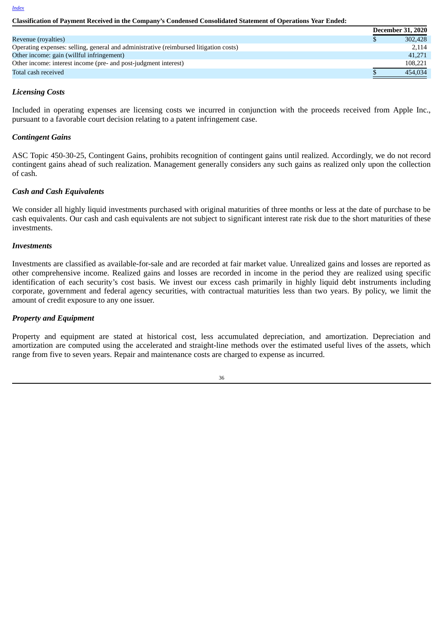### **Classification of Payment Received in the Company's Condensed Consolidated Statement of Operations Year Ended:**

|                                                                                       | <b>December 31, 2020</b> |
|---------------------------------------------------------------------------------------|--------------------------|
| Revenue (rovalties)                                                                   | 302,428                  |
| Operating expenses: selling, general and administrative (reimbursed litigation costs) | 2.114                    |
| Other income: gain (willful infringement)                                             | 41.271                   |
| Other income: interest income (pre- and post-judgment interest)                       | 108.221                  |
| Total cash received                                                                   | 454,034                  |

### *Licensing Costs*

Included in operating expenses are licensing costs we incurred in conjunction with the proceeds received from Apple Inc., pursuant to a favorable court decision relating to a patent infringement case.

### *Contingent Gains*

ASC Topic 450-30-25, Contingent Gains, prohibits recognition of contingent gains until realized. Accordingly, we do not record contingent gains ahead of such realization. Management generally considers any such gains as realized only upon the collection of cash.

### *Cash and Cash Equivalents*

We consider all highly liquid investments purchased with original maturities of three months or less at the date of purchase to be cash equivalents. Our cash and cash equivalents are not subject to significant interest rate risk due to the short maturities of these investments.

### *Investments*

Investments are classified as available-for-sale and are recorded at fair market value. Unrealized gains and losses are reported as other comprehensive income. Realized gains and losses are recorded in income in the period they are realized using specific identification of each security's cost basis. We invest our excess cash primarily in highly liquid debt instruments including corporate, government and federal agency securities, with contractual maturities less than two years. By policy, we limit the amount of credit exposure to any one issuer.

### *Property and Equipment*

Property and equipment are stated at historical cost, less accumulated depreciation, and amortization. Depreciation and amortization are computed using the accelerated and straight-line methods over the estimated useful lives of the assets, which range from five to seven years. Repair and maintenance costs are charged to expense as incurred.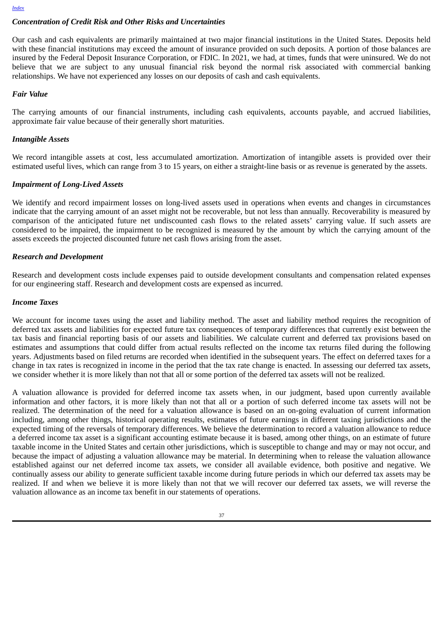# *Concentration of Credit Risk and Other Risks and Uncertainties*

Our cash and cash equivalents are primarily maintained at two major financial institutions in the United States. Deposits held with these financial institutions may exceed the amount of insurance provided on such deposits. A portion of those balances are insured by the Federal Deposit Insurance Corporation, or FDIC. In 2021, we had, at times, funds that were uninsured. We do not believe that we are subject to any unusual financial risk beyond the normal risk associated with commercial banking relationships. We have not experienced any losses on our deposits of cash and cash equivalents.

### *Fair Value*

The carrying amounts of our financial instruments, including cash equivalents, accounts payable, and accrued liabilities, approximate fair value because of their generally short maturities.

### *Intangible Assets*

We record intangible assets at cost, less accumulated amortization. Amortization of intangible assets is provided over their estimated useful lives, which can range from 3 to 15 years, on either a straight-line basis or as revenue is generated by the assets.

### *Impairment of Long-Lived Assets*

We identify and record impairment losses on long-lived assets used in operations when events and changes in circumstances indicate that the carrying amount of an asset might not be recoverable, but not less than annually. Recoverability is measured by comparison of the anticipated future net undiscounted cash flows to the related assets' carrying value. If such assets are considered to be impaired, the impairment to be recognized is measured by the amount by which the carrying amount of the assets exceeds the projected discounted future net cash flows arising from the asset.

### *Research and Development*

Research and development costs include expenses paid to outside development consultants and compensation related expenses for our engineering staff. Research and development costs are expensed as incurred.

### *Income Taxes*

We account for income taxes using the asset and liability method. The asset and liability method requires the recognition of deferred tax assets and liabilities for expected future tax consequences of temporary differences that currently exist between the tax basis and financial reporting basis of our assets and liabilities. We calculate current and deferred tax provisions based on estimates and assumptions that could differ from actual results reflected on the income tax returns filed during the following years. Adjustments based on filed returns are recorded when identified in the subsequent years. The effect on deferred taxes for a change in tax rates is recognized in income in the period that the tax rate change is enacted. In assessing our deferred tax assets, we consider whether it is more likely than not that all or some portion of the deferred tax assets will not be realized.

A valuation allowance is provided for deferred income tax assets when, in our judgment, based upon currently available information and other factors, it is more likely than not that all or a portion of such deferred income tax assets will not be realized. The determination of the need for a valuation allowance is based on an on-going evaluation of current information including, among other things, historical operating results, estimates of future earnings in different taxing jurisdictions and the expected timing of the reversals of temporary differences. We believe the determination to record a valuation allowance to reduce a deferred income tax asset is a significant accounting estimate because it is based, among other things, on an estimate of future taxable income in the United States and certain other jurisdictions, which is susceptible to change and may or may not occur, and because the impact of adjusting a valuation allowance may be material. In determining when to release the valuation allowance established against our net deferred income tax assets, we consider all available evidence, both positive and negative. We continually assess our ability to generate sufficient taxable income during future periods in which our deferred tax assets may be realized. If and when we believe it is more likely than not that we will recover our deferred tax assets, we will reverse the valuation allowance as an income tax benefit in our statements of operations.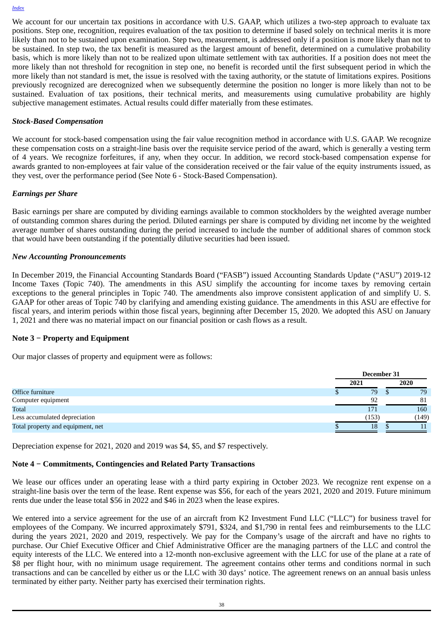We account for our uncertain tax positions in accordance with U.S. GAAP, which utilizes a two-step approach to evaluate tax positions. Step one, recognition, requires evaluation of the tax position to determine if based solely on technical merits it is more likely than not to be sustained upon examination. Step two, measurement, is addressed only if a position is more likely than not to be sustained. In step two, the tax benefit is measured as the largest amount of benefit, determined on a cumulative probability basis, which is more likely than not to be realized upon ultimate settlement with tax authorities. If a position does not meet the more likely than not threshold for recognition in step one, no benefit is recorded until the first subsequent period in which the more likely than not standard is met, the issue is resolved with the taxing authority, or the statute of limitations expires. Positions previously recognized are derecognized when we subsequently determine the position no longer is more likely than not to be sustained. Evaluation of tax positions, their technical merits, and measurements using cumulative probability are highly subjective management estimates. Actual results could differ materially from these estimates.

### *Stock-Based Compensation*

We account for stock-based compensation using the fair value recognition method in accordance with U.S. GAAP. We recognize these compensation costs on a straight-line basis over the requisite service period of the award, which is generally a vesting term of 4 years. We recognize forfeitures, if any, when they occur. In addition, we record stock-based compensation expense for awards granted to non-employees at fair value of the consideration received or the fair value of the equity instruments issued, as they vest, over the performance period (See Note 6 - Stock-Based Compensation).

### *Earnings per Share*

Basic earnings per share are computed by dividing earnings available to common stockholders by the weighted average number of outstanding common shares during the period. Diluted earnings per share is computed by dividing net income by the weighted average number of shares outstanding during the period increased to include the number of additional shares of common stock that would have been outstanding if the potentially dilutive securities had been issued.

### *New Accounting Pronouncements*

In December 2019, the Financial Accounting Standards Board ("FASB") issued Accounting Standards Update ("ASU") 2019-12 Income Taxes (Topic 740). The amendments in this ASU simplify the accounting for income taxes by removing certain exceptions to the general principles in Topic 740. The amendments also improve consistent application of and simplify U. S. GAAP for other areas of Topic 740 by clarifying and amending existing guidance. The amendments in this ASU are effective for fiscal years, and interim periods within those fiscal years, beginning after December 15, 2020. We adopted this ASU on January 1, 2021 and there was no material impact on our financial position or cash flows as a result.

### **Note 3 − Property and Equipment**

Our major classes of property and equipment were as follows:

|                                   | December 31 |  |       |  |
|-----------------------------------|-------------|--|-------|--|
|                                   | 2021        |  | 2020  |  |
| Office furniture                  | 79          |  | 79    |  |
| Computer equipment                | 92          |  | 81    |  |
| <b>Total</b>                      | 171         |  | 160   |  |
| Less accumulated depreciation     | (153)       |  | (149) |  |
| Total property and equipment, net | 18          |  |       |  |

Depreciation expense for 2021, 2020 and 2019 was \$4, \$5, and \$7 respectively.

# **Note 4 − Commitments, Contingencies and Related Party Transactions**

We lease our offices under an operating lease with a third party expiring in October 2023. We recognize rent expense on a straight-line basis over the term of the lease. Rent expense was \$56, for each of the years 2021, 2020 and 2019. Future minimum rents due under the lease total \$56 in 2022 and \$46 in 2023 when the lease expires.

We entered into a service agreement for the use of an aircraft from K2 Investment Fund LLC ("LLC") for business travel for employees of the Company. We incurred approximately \$791, \$324, and \$1,790 in rental fees and reimbursements to the LLC during the years 2021, 2020 and 2019, respectively. We pay for the Company's usage of the aircraft and have no rights to purchase. Our Chief Executive Officer and Chief Administrative Officer are the managing partners of the LLC and control the equity interests of the LLC. We entered into a 12-month non-exclusive agreement with the LLC for use of the plane at a rate of \$8 per flight hour, with no minimum usage requirement. The agreement contains other terms and conditions normal in such transactions and can be cancelled by either us or the LLC with 30 days' notice. The agreement renews on an annual basis unless terminated by either party. Neither party has exercised their termination rights.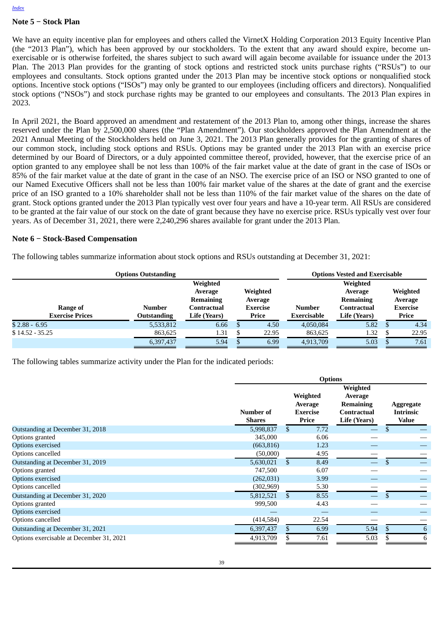### **Note 5 − Stock Plan**

We have an equity incentive plan for employees and others called the VirnetX Holding Corporation 2013 Equity Incentive Plan (the "2013 Plan"), which has been approved by our stockholders. To the extent that any award should expire, become unexercisable or is otherwise forfeited, the shares subject to such award will again become available for issuance under the 2013 Plan. The 2013 Plan provides for the granting of stock options and restricted stock units purchase rights ("RSUs") to our employees and consultants. Stock options granted under the 2013 Plan may be incentive stock options or nonqualified stock options. Incentive stock options ("ISOs") may only be granted to our employees (including officers and directors). Nonqualified stock options ("NSOs") and stock purchase rights may be granted to our employees and consultants. The 2013 Plan expires in 2023.

In April 2021, the Board approved an amendment and restatement of the 2013 Plan to, among other things, increase the shares reserved under the Plan by 2,500,000 shares (the "Plan Amendment"). Our stockholders approved the Plan Amendment at the 2021 Annual Meeting of the Stockholders held on June 3, 2021. The 2013 Plan generally provides for the granting of shares of our common stock, including stock options and RSUs. Options may be granted under the 2013 Plan with an exercise price determined by our Board of Directors, or a duly appointed committee thereof, provided, however, that the exercise price of an option granted to any employee shall be not less than 100% of the fair market value at the date of grant in the case of ISOs or 85% of the fair market value at the date of grant in the case of an NSO. The exercise price of an ISO or NSO granted to one of our Named Executive Officers shall not be less than 100% fair market value of the shares at the date of grant and the exercise price of an ISO granted to a 10% shareholder shall not be less than 110% of the fair market value of the shares on the date of grant. Stock options granted under the 2013 Plan typically vest over four years and have a 10-year term. All RSUs are considered to be granted at the fair value of our stock on the date of grant because they have no exercise price. RSUs typically vest over four years. As of December 31, 2021, there were 2,240,296 shares available for grant under the 2013 Plan.

### **Note 6 − Stock-Based Compensation**

The following tables summarize information about stock options and RSUs outstanding at December 31, 2021:

| <b>Options Outstanding</b> |                    |                 |         |             |                  |   |                                       |  |  |               |                    |  |                 |
|----------------------------|--------------------|-----------------|---------|-------------|------------------|---|---------------------------------------|--|--|---------------|--------------------|--|-----------------|
|                            | Weighted           |                 |         |             | Weighted         |   |                                       |  |  |               |                    |  |                 |
|                            | Average            |                 |         |             | Average          |   | Weighted                              |  |  |               |                    |  |                 |
|                            | <b>Remaining</b>   |                 | Average |             | <b>Remaining</b> |   | Average                               |  |  |               |                    |  |                 |
| <b>Number</b>              | <b>Contractual</b> | <b>Exercise</b> |         |             |                  |   |                                       |  |  | <b>Number</b> | <b>Contractual</b> |  | <b>Exercise</b> |
| Outstanding                | Life (Years)       |                 | Price   | Exercisable | Life (Years)     |   | Price                                 |  |  |               |                    |  |                 |
| 5,533,812                  | 6.66               | -5              | 4.50    | 4,050,084   | 5.82             | S | 4.34                                  |  |  |               |                    |  |                 |
| 863,625                    | 1.31               |                 | 22.95   | 863,625     | 1.32             | S | 22.95                                 |  |  |               |                    |  |                 |
| 6,397,437                  | 5.94               |                 | 6.99    | 4,913,709   | 5.03             |   | 7.61                                  |  |  |               |                    |  |                 |
|                            |                    |                 |         | Weighted    |                  |   | <b>Options Vested and Exercisable</b> |  |  |               |                    |  |                 |

The following tables summarize activity under the Plan for the indicated periods:

|                                          |                            | <b>Options</b>                                  |       |      |     |                                                                               |  |                                               |
|------------------------------------------|----------------------------|-------------------------------------------------|-------|------|-----|-------------------------------------------------------------------------------|--|-----------------------------------------------|
|                                          | Number of<br><b>Shares</b> | Weighted<br>Average<br><b>Exercise</b><br>Price |       |      |     | Weighted<br>Average<br><b>Remaining</b><br><b>Contractual</b><br>Life (Years) |  | Aggregate<br><b>Intrinsic</b><br><b>Value</b> |
| Outstanding at December 31, 2018         | 5,998,837                  | \$.                                             | 7.72  |      | \$  |                                                                               |  |                                               |
| Options granted                          | 345,000                    |                                                 | 6.06  |      |     |                                                                               |  |                                               |
| Options exercised                        | (663, 816)                 |                                                 | 1.23  |      |     |                                                                               |  |                                               |
| Options cancelled                        | (50,000)                   |                                                 | 4.95  |      |     |                                                                               |  |                                               |
| Outstanding at December 31, 2019         | 5,630,021                  | \$                                              | 8.49  |      | \$. |                                                                               |  |                                               |
| Options granted                          | 747,500                    |                                                 | 6.07  |      |     |                                                                               |  |                                               |
| Options exercised                        | (262, 031)                 |                                                 | 3.99  |      |     |                                                                               |  |                                               |
| Options cancelled                        | (302, 969)                 |                                                 | 5.30  |      |     |                                                                               |  |                                               |
| Outstanding at December 31, 2020         | 5,812,521                  | \$                                              | 8.55  |      |     |                                                                               |  |                                               |
| Options granted                          | 999,500                    |                                                 | 4.43  |      |     |                                                                               |  |                                               |
| Options exercised                        |                            |                                                 |       |      |     |                                                                               |  |                                               |
| Options cancelled                        | (414,584)                  |                                                 | 22.54 |      |     |                                                                               |  |                                               |
| Outstanding at December 31, 2021         | 6,397,437                  | \$                                              | 6.99  | 5.94 | \$  | 6                                                                             |  |                                               |
| Options exercisable at December 31, 2021 | 4,913,709                  |                                                 | 7.61  | 5.03 |     | 6                                                                             |  |                                               |
|                                          |                            |                                                 |       |      |     |                                                                               |  |                                               |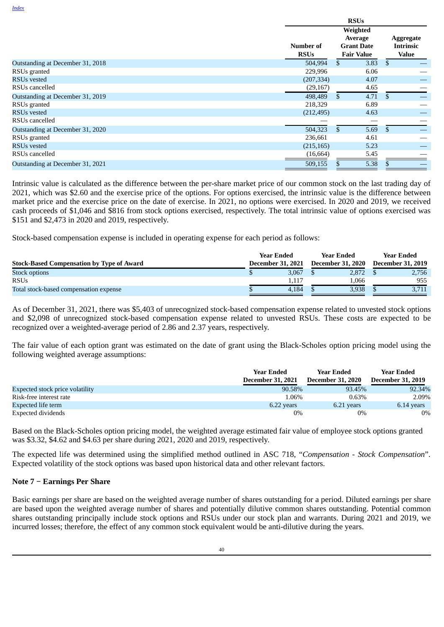|                                  |                          | <b>RSUs</b>                                                   |      |     |                                               |
|----------------------------------|--------------------------|---------------------------------------------------------------|------|-----|-----------------------------------------------|
|                                  | Number of<br><b>RSUs</b> | Weighted<br>Average<br><b>Grant Date</b><br><b>Fair Value</b> |      |     | Aggregate<br><b>Intrinsic</b><br><b>Value</b> |
| Outstanding at December 31, 2018 | 504,994                  | \$.                                                           | 3.83 | \$. |                                               |
| RSU <sub>s</sub> granted         | 229,996                  |                                                               | 6.06 |     |                                               |
| <b>RSUs vested</b>               | (207, 334)               |                                                               | 4.07 |     |                                               |
| RSUs cancelled                   | (29, 167)                |                                                               | 4.65 |     |                                               |
| Outstanding at December 31, 2019 | 498,489                  | \$                                                            | 4.71 | \$  |                                               |
| RSU <sub>s</sub> granted         | 218,329                  |                                                               | 6.89 |     |                                               |
| <b>RSUs vested</b>               | (212, 495)               |                                                               | 4.63 |     |                                               |
| RSUs cancelled                   |                          |                                                               |      |     |                                               |
| Outstanding at December 31, 2020 | 504,323                  | \$.                                                           | 5.69 | \$. |                                               |
| RSUs granted                     | 236,661                  |                                                               | 4.61 |     |                                               |
| <b>RSUs vested</b>               | (215, 165)               |                                                               | 5.23 |     |                                               |
| RSUs cancelled                   | (16, 664)                |                                                               | 5.45 |     |                                               |
| Outstanding at December 31, 2021 | 509,155                  |                                                               | 5.38 |     |                                               |

Intrinsic value is calculated as the difference between the per-share market price of our common stock on the last trading day of 2021, which was \$2.60 and the exercise price of the options. For options exercised, the intrinsic value is the difference between market price and the exercise price on the date of exercise. In 2021, no options were exercised. In 2020 and 2019, we received cash proceeds of \$1,046 and \$816 from stock options exercised, respectively. The total intrinsic value of options exercised was \$151 and \$2,473 in 2020 and 2019, respectively.

Stock-based compensation expense is included in operating expense for each period as follows:

|                                                  | Year Ended |                          | Year Ended |                          | Year Ended               |
|--------------------------------------------------|------------|--------------------------|------------|--------------------------|--------------------------|
| <b>Stock-Based Compensation by Type of Award</b> |            | <b>December 31, 2021</b> |            | <b>December 31, 2020</b> | <b>December 31, 2019</b> |
| <b>Stock options</b>                             |            | 3.067                    |            | 2.872                    | 2,756                    |
| <b>RSUs</b>                                      |            | 1.117                    |            | .066                     | 955                      |
| Total stock-based compensation expense           |            | 4.184                    |            | 3.938                    | 3.711                    |

As of December 31, 2021, there was \$5,403 of unrecognized stock-based compensation expense related to unvested stock options and \$2,098 of unrecognized stock-based compensation expense related to unvested RSUs. These costs are expected to be recognized over a weighted-average period of 2.86 and 2.37 years, respectively.

The fair value of each option grant was estimated on the date of grant using the Black-Scholes option pricing model using the following weighted average assumptions:

|                                 | <b>Year Ended</b>        | <b>Year Ended</b>        | Year Ended               |
|---------------------------------|--------------------------|--------------------------|--------------------------|
|                                 | <b>December 31, 2021</b> | <b>December 31, 2020</b> | <b>December 31, 2019</b> |
| Expected stock price volatility | 90.58%                   | 93.45%                   | 92.34%                   |
| Risk-free interest rate         | 1.06%                    | 0.63%                    | 2.09%                    |
| Expected life term              | 6.22 years               | 6.21 years               | 6.14 years               |
| Expected dividends              | 0%                       | $0\%$                    | $0\%$                    |

Based on the Black-Scholes option pricing model, the weighted average estimated fair value of employee stock options granted was \$3.32, \$4.62 and \$4.63 per share during 2021, 2020 and 2019, respectively.

The expected life was determined using the simplified method outlined in ASC 718, "*Compensation - Stock Compensation*". Expected volatility of the stock options was based upon historical data and other relevant factors.

# **Note 7 − Earnings Per Share**

Basic earnings per share are based on the weighted average number of shares outstanding for a period. Diluted earnings per share are based upon the weighted average number of shares and potentially dilutive common shares outstanding. Potential common shares outstanding principally include stock options and RSUs under our stock plan and warrants. During 2021 and 2019, we incurred losses; therefore, the effect of any common stock equivalent would be anti-dilutive during the years.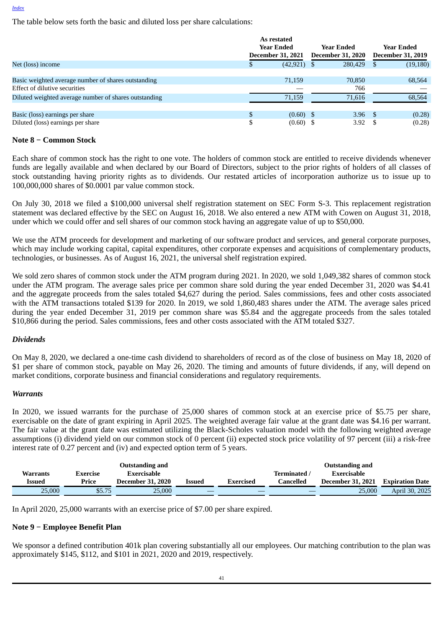The table below sets forth the basic and diluted loss per share calculations:

|                                                       |    | As restated              |                                               |                    |                          |
|-------------------------------------------------------|----|--------------------------|-----------------------------------------------|--------------------|--------------------------|
|                                                       |    | <b>Year Ended</b>        | <b>Year Ended</b><br><b>December 31, 2020</b> |                    | <b>Year Ended</b>        |
|                                                       |    | <b>December 31, 2021</b> |                                               |                    | <b>December 31, 2019</b> |
| Net (loss) income                                     |    | $(42, 921)$ \$           |                                               | 280,429            | (19, 180)                |
|                                                       |    |                          |                                               |                    |                          |
| Basic weighted average number of shares outstanding   |    | 71.159                   |                                               | 70,850             | 68,564                   |
| Effect of dilutive securities                         |    |                          |                                               | 766                |                          |
| Diluted weighted average number of shares outstanding |    | 71,159                   |                                               | 71.616             | 68,564                   |
|                                                       |    |                          |                                               |                    |                          |
| Basic (loss) earnings per share                       | \$ | $(0.60)$ \$              |                                               | 3.96 $\frac{1}{3}$ | (0.28)                   |
| Diluted (loss) earnings per share                     | S  | $(0.60)$ \$              |                                               | 3.92               | (0.28)                   |

### **Note 8 − Common Stock**

Each share of common stock has the right to one vote. The holders of common stock are entitled to receive dividends whenever funds are legally available and when declared by our Board of Directors, subject to the prior rights of holders of all classes of stock outstanding having priority rights as to dividends. Our restated articles of incorporation authorize us to issue up to 100,000,000 shares of \$0.0001 par value common stock.

On July 30, 2018 we filed a \$100,000 universal shelf registration statement on SEC Form S-3. This replacement registration statement was declared effective by the SEC on August 16, 2018. We also entered a new ATM with Cowen on August 31, 2018, under which we could offer and sell shares of our common stock having an aggregate value of up to \$50,000.

We use the ATM proceeds for development and marketing of our software product and services, and general corporate purposes, which may include working capital, capital expenditures, other corporate expenses and acquisitions of complementary products, technologies, or businesses. As of August 16, 2021, the universal shelf registration expired.

We sold zero shares of common stock under the ATM program during 2021. In 2020, we sold 1,049,382 shares of common stock under the ATM program. The average sales price per common share sold during the year ended December 31, 2020 was \$4.41 and the aggregate proceeds from the sales totaled \$4,627 during the period. Sales commissions, fees and other costs associated with the ATM transactions totaled \$139 for 2020. In 2019, we sold 1,860,483 shares under the ATM. The average sales priced during the year ended December 31, 2019 per common share was \$5.84 and the aggregate proceeds from the sales totaled \$10,866 during the period. Sales commissions, fees and other costs associated with the ATM totaled \$327.

### *Dividends*

On May 8, 2020, we declared a one-time cash dividend to shareholders of record as of the close of business on May 18, 2020 of \$1 per share of common stock, payable on May 26, 2020. The timing and amounts of future dividends, if any, will depend on market conditions, corporate business and financial considerations and regulatory requirements.

### *Warrants*

In 2020, we issued warrants for the purchase of 25,000 shares of common stock at an exercise price of \$5.75 per share, exercisable on the date of grant expiring in April 2025. The weighted average fair value at the grant date was \$4.16 per warrant. The fair value at the grant date was estimated utilizing the Black-Scholes valuation model with the following weighted average assumptions (i) dividend yield on our common stock of 0 percent (ii) expected stock price volatility of 97 percent (iii) a risk-free interest rate of 0.27 percent and (iv) and expected option term of 5 years.

|                 |          | Outstanding and          |        |           |              | <b>Outstanding and</b>   |                        |
|-----------------|----------|--------------------------|--------|-----------|--------------|--------------------------|------------------------|
| <b>Warrants</b> | Exercise | Exercisable              |        |           | Terminated / | Exercisable              |                        |
| Issued          | Price    | <b>December 31, 2020</b> | Issued | Exercised | Cancelled    | <b>December 31, 2021</b> | <b>Expiration Date</b> |
| 25,000          | \$5.75   | 25,000                   |        | _         |              | 25,000                   | April 30, 2025         |

In April 2020, 25,000 warrants with an exercise price of \$7.00 per share expired.

### **Note 9 − Employee Benefit Plan**

We sponsor a defined contribution 401k plan covering substantially all our employees. Our matching contribution to the plan was approximately \$145, \$112, and \$101 in 2021, 2020 and 2019, respectively.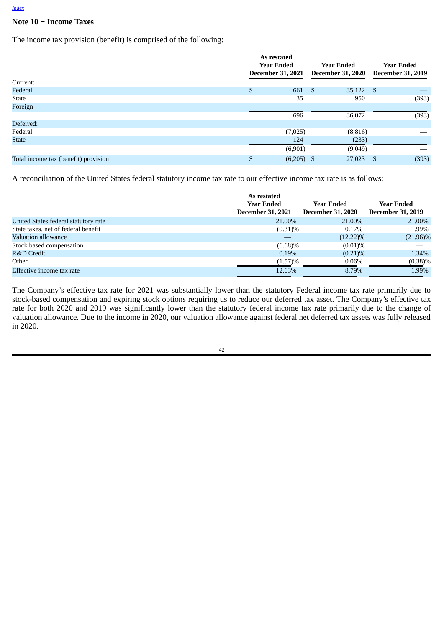# **Note 10 − Income Taxes**

The income tax provision (benefit) is comprised of the following:

|                                      | As restated<br><b>Year Ended</b><br><b>December 31, 2021</b> |      | <b>Year Ended</b><br><b>December 31, 2020</b> | <b>Year Ended</b><br><b>December 31, 2019</b> |       |
|--------------------------------------|--------------------------------------------------------------|------|-----------------------------------------------|-----------------------------------------------|-------|
| Current:                             |                                                              |      |                                               |                                               |       |
| Federal                              | \$<br>661                                                    | - \$ | $35,122$ \$                                   |                                               |       |
| <b>State</b>                         | 35                                                           |      | 950                                           |                                               | (393) |
| Foreign                              |                                                              |      |                                               |                                               |       |
|                                      | 696                                                          |      | 36,072                                        |                                               | (393) |
| Deferred:                            |                                                              |      |                                               |                                               |       |
| Federal                              | (7,025)                                                      |      | (8, 816)                                      |                                               |       |
| <b>State</b>                         | 124                                                          |      | (233)                                         |                                               |       |
|                                      | (6,901)                                                      |      | (9,049)                                       |                                               |       |
| Total income tax (benefit) provision | (6,205)                                                      |      | 27,023                                        |                                               | (393) |

A reconciliation of the United States federal statutory income tax rate to our effective income tax rate is as follows:

|                                      | As restated              |                          |                          |
|--------------------------------------|--------------------------|--------------------------|--------------------------|
|                                      | <b>Year Ended</b>        | Year Ended               | Year Ended               |
|                                      | <b>December 31, 2021</b> | <b>December 31, 2020</b> | <b>December 31, 2019</b> |
| United States federal statutory rate | 21.00%                   | 21.00%                   | 21.00%                   |
| State taxes, net of federal benefit  | $(0.31)\%$               | 0.17%                    | 1.99%                    |
| Valuation allowance                  |                          | $(12.22)\%$              | $(21.96)\%$              |
| Stock based compensation             | $(6.68)\%$               | (0.01)%                  |                          |
| R&D Credit                           | 0.19%                    | $(0.21)\%$               | 1.34%                    |
| Other                                | $(1.57)\%$               | 0.06%                    | $(0.38)\%$               |
| Effective income tax rate            | 12.63%                   | 8.79%                    | 1.99%                    |

The Company's effective tax rate for 2021 was substantially lower than the statutory Federal income tax rate primarily due to stock-based compensation and expiring stock options requiring us to reduce our deferred tax asset. The Company's effective tax rate for both 2020 and 2019 was significantly lower than the statutory federal income tax rate primarily due to the change of valuation allowance. Due to the income in 2020, our valuation allowance against federal net deferred tax assets was fully released in 2020.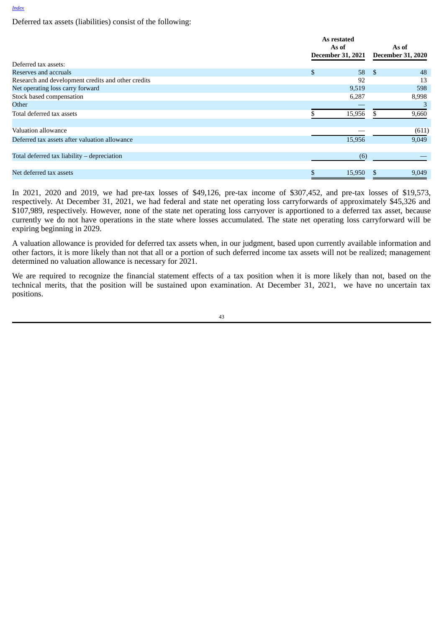Deferred tax assets (liabilities) consist of the following:

|                                                    | As restated<br>As of<br><b>December 31, 2021</b><br><b>December 31, 2020</b> |            |  |
|----------------------------------------------------|------------------------------------------------------------------------------|------------|--|
|                                                    |                                                                              |            |  |
| Deferred tax assets:                               |                                                                              |            |  |
| \$<br>Reserves and accruals                        | 58                                                                           | - \$<br>48 |  |
| Research and development credits and other credits | 92                                                                           | 13         |  |
| Net operating loss carry forward                   | 9,519                                                                        | 598        |  |
| Stock based compensation                           | 6,287                                                                        | 8,998      |  |
| Other                                              |                                                                              |            |  |
| Total deferred tax assets                          | 15,956                                                                       | 9,660      |  |
| Valuation allowance                                |                                                                              | (611)      |  |
| Deferred tax assets after valuation allowance      | 15,956                                                                       | 9,049      |  |
| Total deferred tax liability $-$ depreciation      | (6)                                                                          |            |  |
| Net deferred tax assets                            | 15,950                                                                       | 9,049      |  |

In 2021, 2020 and 2019, we had pre-tax losses of \$49,126, pre-tax income of \$307,452, and pre-tax losses of \$19,573, respectively. At December 31, 2021, we had federal and state net operating loss carryforwards of approximately \$45,326 and \$107,989, respectively. However, none of the state net operating loss carryover is apportioned to a deferred tax asset, because currently we do not have operations in the state where losses accumulated. The state net operating loss carryforward will be expiring beginning in 2029.

A valuation allowance is provided for deferred tax assets when, in our judgment, based upon currently available information and other factors, it is more likely than not that all or a portion of such deferred income tax assets will not be realized; management determined no valuation allowance is necessary for 2021.

We are required to recognize the financial statement effects of a tax position when it is more likely than not, based on the technical merits, that the position will be sustained upon examination. At December 31, 2021, we have no uncertain tax positions.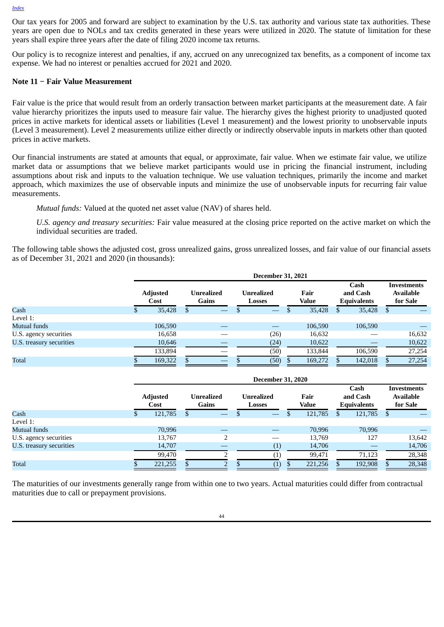Our tax years for 2005 and forward are subject to examination by the U.S. tax authority and various state tax authorities. These years are open due to NOLs and tax credits generated in these years were utilized in 2020. The statute of limitation for these years shall expire three years after the date of filing 2020 income tax returns.

Our policy is to recognize interest and penalties, if any, accrued on any unrecognized tax benefits, as a component of income tax expense. We had no interest or penalties accrued for 2021 and 2020.

### **Note 11 − Fair Value Measurement**

Fair value is the price that would result from an orderly transaction between market participants at the measurement date. A fair value hierarchy prioritizes the inputs used to measure fair value. The hierarchy gives the highest priority to unadjusted quoted prices in active markets for identical assets or liabilities (Level 1 measurement) and the lowest priority to unobservable inputs (Level 3 measurement). Level 2 measurements utilize either directly or indirectly observable inputs in markets other than quoted prices in active markets.

Our financial instruments are stated at amounts that equal, or approximate, fair value. When we estimate fair value, we utilize market data or assumptions that we believe market participants would use in pricing the financial instrument, including assumptions about risk and inputs to the valuation technique. We use valuation techniques, primarily the income and market approach, which maximizes the use of observable inputs and minimize the use of unobservable inputs for recurring fair value measurements.

*Mutual funds:* Valued at the quoted net asset value (NAV) of shares held.

*U.S. agency and treasury securities:* Fair value measured at the closing price reported on the active market on which the individual securities are traded.

The following table shows the adjusted cost, gross unrealized gains, gross unrealized losses, and fair value of our financial assets as of December 31, 2021 and 2020 (in thousands):

|                          | <b>December 31, 2021</b> |   |                            |  |                      |  |                      |    |                                        |     |                                      |
|--------------------------|--------------------------|---|----------------------------|--|----------------------|--|----------------------|----|----------------------------------------|-----|--------------------------------------|
|                          | <b>Adjusted</b><br>Cost  |   | Unrealized<br><b>Gains</b> |  | Unrealized<br>Losses |  | Fair<br><b>Value</b> |    | Cash<br>and Cash<br><b>Equivalents</b> |     | Investments<br>Available<br>for Sale |
| Cash                     | 35,428                   | S |                            |  |                      |  | 35,428               | S. | 35,428                                 | \$. |                                      |
| Level 1:                 |                          |   |                            |  |                      |  |                      |    |                                        |     |                                      |
| Mutual funds             | 106,590                  |   |                            |  |                      |  | 106,590              |    | 106,590                                |     |                                      |
| U.S. agency securities   | 16,658                   |   |                            |  | (26)                 |  | 16,632               |    |                                        |     | 16,632                               |
| U.S. treasury securities | 10,646                   |   |                            |  | (24)                 |  | 10,622               |    |                                        |     | 10,622                               |
|                          | 133,894                  |   |                            |  | (50)                 |  | 133,844              |    | 106,590                                |     | 27,254                               |
| Total                    | 169,322                  |   |                            |  | (50)                 |  | 169,272              |    | 142,018                                |     | 27,254                               |

|                          | <b>December 31, 2020</b> |    |                          |    |                                 |    |               |   |                                        |   |                                      |
|--------------------------|--------------------------|----|--------------------------|----|---------------------------------|----|---------------|---|----------------------------------------|---|--------------------------------------|
|                          | <b>Adjusted</b><br>Cost  |    | Unrealized<br>Gains      |    | Unrealized<br>Losses            |    | Fair<br>Value |   | Cash<br>and Cash<br><b>Equivalents</b> |   | Investments<br>Available<br>for Sale |
| Cash                     | 121,785                  | \$ | $\overline{\phantom{m}}$ | \$ | $\hspace{0.1mm}-\hspace{0.1mm}$ | \$ | 121,785       | S | 121,785                                | S |                                      |
| Level 1:                 |                          |    |                          |    |                                 |    |               |   |                                        |   |                                      |
| <b>Mutual funds</b>      | 70,996                   |    |                          |    |                                 |    | 70,996        |   | 70,996                                 |   |                                      |
| U.S. agency securities   | 13,767                   |    | $\overline{2}$           |    |                                 |    | 13,769        |   | 127                                    |   | 13,642                               |
| U.S. treasury securities | 14,707                   |    |                          |    | (1)                             |    | 14,706        |   |                                        |   | 14,706                               |
|                          | 99,470                   |    |                          |    | (1)                             |    | 99,471        |   | 71,123                                 |   | 28,348                               |
| <b>Total</b>             | 221,255                  |    |                          | S  | (1)                             |    | 221,256       |   | 192,908                                |   | 28,348                               |

The maturities of our investments generally range from within one to two years. Actual maturities could differ from contractual maturities due to call or prepayment provisions.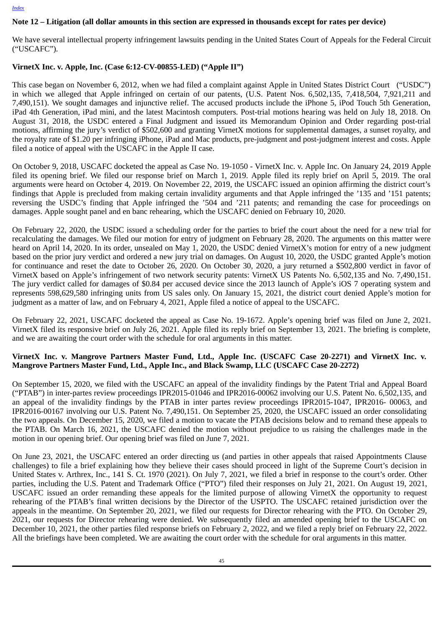# **Note 12 – Litigation (all dollar amounts in this section are expressed in thousands except for rates per device)**

We have several intellectual property infringement lawsuits pending in the United States Court of Appeals for the Federal Circuit ("USCAFC").

# **VirnetX Inc. v. Apple, Inc. (Case 6:12-CV-00855-LED) ("Apple II")**

This case began on November 6, 2012, when we had filed a complaint against Apple in United States District Court ("USDC") in which we alleged that Apple infringed on certain of our patents, (U.S. Patent Nos. 6,502,135, 7,418,504, 7,921,211 and 7,490,151). We sought damages and injunctive relief. The accused products include the iPhone 5, iPod Touch 5th Generation, iPad 4th Generation, iPad mini, and the latest Macintosh computers. Post-trial motions hearing was held on July 18, 2018. On August 31, 2018, the USDC entered a Final Judgment and issued its Memorandum Opinion and Order regarding post-trial motions, affirming the jury's verdict of \$502,600 and granting VirnetX motions for supplemental damages, a sunset royalty, and the royalty rate of \$1.20 per infringing iPhone, iPad and Mac products, pre-judgment and post-judgment interest and costs. Apple filed a notice of appeal with the USCAFC in the Apple II case.

On October 9, 2018, USCAFC docketed the appeal as Case No. 19-1050 - VirnetX Inc. v. Apple Inc. On January 24, 2019 Apple filed its opening brief. We filed our response brief on March 1, 2019. Apple filed its reply brief on April 5, 2019. The oral arguments were heard on October 4, 2019. On November 22, 2019, the USCAFC issued an opinion affirming the district court's findings that Apple is precluded from making certain invalidity arguments and that Apple infringed the '135 and '151 patents; reversing the USDC's finding that Apple infringed the '504 and '211 patents; and remanding the case for proceedings on damages. Apple sought panel and en banc rehearing, which the USCAFC denied on February 10, 2020.

On February 22, 2020, the USDC issued a scheduling order for the parties to brief the court about the need for a new trial for recalculating the damages. We filed our motion for entry of judgment on February 28, 2020. The arguments on this matter were heard on April 14, 2020. In its order, unsealed on May 1, 2020, the USDC denied VirnetX's motion for entry of a new judgment based on the prior jury verdict and ordered a new jury trial on damages. On August 10, 2020, the USDC granted Apple's motion for continuance and reset the date to October 26, 2020. On October 30, 2020, a jury returned a \$502,800 verdict in favor of VirnetX based on Apple's infringement of two network security patents: VirnetX US Patents No. 6,502,135 and No. 7,490,151. The jury verdict called for damages of \$0.84 per accused device since the 2013 launch of Apple's iOS 7 operating system and represents 598,629,580 infringing units from US sales only. On January 15, 2021, the district court denied Apple's motion for judgment as a matter of law, and on February 4, 2021, Apple filed a notice of appeal to the USCAFC.

On February 22, 2021, USCAFC docketed the appeal as Case No. 19-1672. Apple's opening brief was filed on June 2, 2021. VirnetX filed its responsive brief on July 26, 2021. Apple filed its reply brief on September 13, 2021. The briefing is complete, and we are awaiting the court order with the schedule for oral arguments in this matter.

# **VirnetX Inc. v. Mangrove Partners Master Fund, Ltd., Apple Inc. (USCAFC Case 20-2271) and VirnetX Inc. v. Mangrove Partners Master Fund, Ltd., Apple Inc., and Black Swamp, LLC (USCAFC Case 20-2272)**

On September 15, 2020, we filed with the USCAFC an appeal of the invalidity findings by the Patent Trial and Appeal Board ("PTAB") in inter-partes review proceedings IPR2015-01046 and IPR2016-00062 involving our U.S. Patent No. 6,502,135, and an appeal of the invalidity findings by the PTAB in inter partes review proceedings IPR2015-1047, IPR2016- 00063, and IPR2016-00167 involving our U.S. Patent No. 7,490,151. On September 25, 2020, the USCAFC issued an order consolidating the two appeals. On December 15, 2020, we filed a motion to vacate the PTAB decisions below and to remand these appeals to the PTAB. On March 16, 2021, the USCAFC denied the motion without prejudice to us raising the challenges made in the motion in our opening brief. Our opening brief was filed on June 7, 2021.

On June 23, 2021, the USCAFC entered an order directing us (and parties in other appeals that raised Appointments Clause challenges) to file a brief explaining how they believe their cases should proceed in light of the Supreme Court's decision in United States v. Arthrex, Inc., 141 S. Ct. 1970 (2021). On July 7, 2021, we filed a brief in response to the court's order. Other parties, including the U.S. Patent and Trademark Office ("PTO") filed their responses on July 21, 2021. On August 19, 2021, USCAFC issued an order remanding these appeals for the limited purpose of allowing VirnetX the opportunity to request rehearing of the PTAB's final written decisions by the Director of the USPTO. The USCAFC retained jurisdiction over the appeals in the meantime. On September 20, 2021, we filed our requests for Director rehearing with the PTO. On October 29, 2021, our requests for Director rehearing were denied. We subsequently filed an amended opening brief to the USCAFC on December 10, 2021, the other parties filed response briefs on February 2, 2022, and we filed a reply brief on February 22, 2022. All the briefings have been completed. We are awaiting the court order with the schedule for oral arguments in this matter.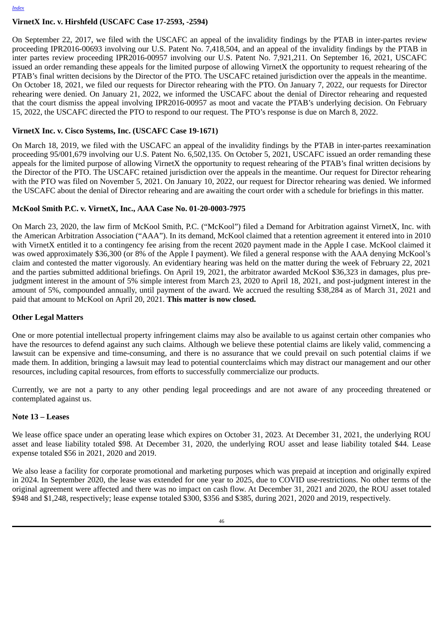# **VirnetX Inc. v. Hirshfeld (USCAFC Case 17-2593, -2594)**

On September 22, 2017, we filed with the USCAFC an appeal of the invalidity findings by the PTAB in inter-partes review proceeding IPR2016-00693 involving our U.S. Patent No. 7,418,504, and an appeal of the invalidity findings by the PTAB in inter partes review proceeding IPR2016-00957 involving our U.S. Patent No. 7,921,211. On September 16, 2021, USCAFC issued an order remanding these appeals for the limited purpose of allowing VirnetX the opportunity to request rehearing of the PTAB's final written decisions by the Director of the PTO. The USCAFC retained jurisdiction over the appeals in the meantime. On October 18, 2021, we filed our requests for Director rehearing with the PTO. On January 7, 2022, our requests for Director rehearing were denied. On January 21, 2022, we informed the USCAFC about the denial of Director rehearing and requested that the court dismiss the appeal involving IPR2016-00957 as moot and vacate the PTAB's underlying decision. On February 15, 2022, the USCAFC directed the PTO to respond to our request. The PTO's response is due on March 8, 2022.

# **VirnetX Inc. v. Cisco Systems, Inc. (USCAFC Case 19-1671)**

On March 18, 2019, we filed with the USCAFC an appeal of the invalidity findings by the PTAB in inter-partes reexamination proceeding 95/001,679 involving our U.S. Patent No. 6,502,135. On October 5, 2021, USCAFC issued an order remanding these appeals for the limited purpose of allowing VirnetX the opportunity to request rehearing of the PTAB's final written decisions by the Director of the PTO. The USCAFC retained jurisdiction over the appeals in the meantime. Our request for Director rehearing with the PTO was filed on November 5, 2021. On January 10, 2022, our request for Director rehearing was denied. We informed the USCAFC about the denial of Director rehearing and are awaiting the court order with a schedule for briefings in this matter.

# **McKool Smith P.C. v. VirnetX, Inc., AAA Case No. 01-20-0003-7975**

On March 23, 2020, the law firm of McKool Smith, P.C. ("McKool") filed a Demand for Arbitration against VirnetX, Inc. with the American Arbitration Association ("AAA"). In its demand, McKool claimed that a retention agreement it entered into in 2010 with VirnetX entitled it to a contingency fee arising from the recent 2020 payment made in the Apple I case. McKool claimed it was owed approximately \$36,300 (or 8% of the Apple I payment). We filed a general response with the AAA denying McKool's claim and contested the matter vigorously. An evidentiary hearing was held on the matter during the week of February 22, 2021 and the parties submitted additional briefings. On April 19, 2021, the arbitrator awarded McKool \$36,323 in damages, plus prejudgment interest in the amount of 5% simple interest from March 23, 2020 to April 18, 2021, and post-judgment interest in the amount of 5%, compounded annually, until payment of the award. We accrued the resulting \$38,284 as of March 31, 2021 and paid that amount to McKool on April 20, 2021. **This matter is now closed.**

# **Other Legal Matters**

One or more potential intellectual property infringement claims may also be available to us against certain other companies who have the resources to defend against any such claims. Although we believe these potential claims are likely valid, commencing a lawsuit can be expensive and time-consuming, and there is no assurance that we could prevail on such potential claims if we made them. In addition, bringing a lawsuit may lead to potential counterclaims which may distract our management and our other resources, including capital resources, from efforts to successfully commercialize our products.

Currently, we are not a party to any other pending legal proceedings and are not aware of any proceeding threatened or contemplated against us.

# **Note 13 – Leases**

We lease office space under an operating lease which expires on October 31, 2023. At December 31, 2021, the underlying ROU asset and lease liability totaled \$98. At December 31, 2020, the underlying ROU asset and lease liability totaled \$44. Lease expense totaled \$56 in 2021, 2020 and 2019.

We also lease a facility for corporate promotional and marketing purposes which was prepaid at inception and originally expired in 2024. In September 2020, the lease was extended for one year to 2025, due to COVID use-restrictions. No other terms of the original agreement were affected and there was no impact on cash flow. At December 31, 2021 and 2020, the ROU asset totaled \$948 and \$1,248, respectively; lease expense totaled \$300, \$356 and \$385, during 2021, 2020 and 2019, respectively.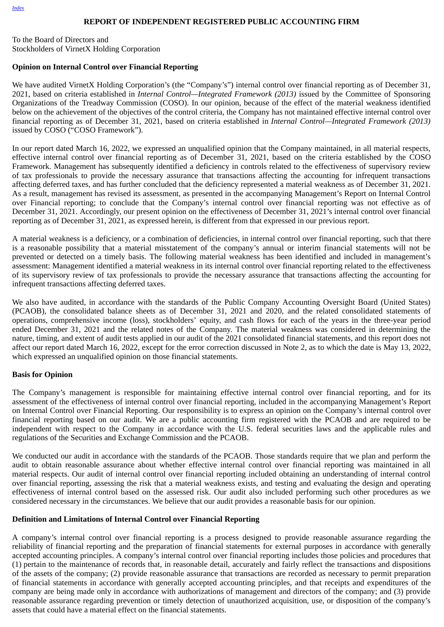### **REPORT OF INDEPENDENT REGISTERED PUBLIC ACCOUNTING FIRM**

# To the Board of Directors and Stockholders of VirnetX Holding Corporation

### **Opinion on Internal Control over Financial Reporting**

We have audited VirnetX Holding Corporation's (the "Company's") internal control over financial reporting as of December 31, 2021, based on criteria established in *Internal Control—Integrated Framework (2013)* issued by the Committee of Sponsoring Organizations of the Treadway Commission (COSO). In our opinion, because of the effect of the material weakness identified below on the achievement of the objectives of the control criteria, the Company has not maintained effective internal control over financial reporting as of December 31, 2021, based on criteria established in *Internal Control—Integrated Framework (2013)* issued by COSO ("COSO Framework").

In our report dated March 16, 2022, we expressed an unqualified opinion that the Company maintained, in all material respects, effective internal control over financial reporting as of December 31, 2021, based on the criteria established by the COSO Framework. Management has subsequently identified a deficiency in controls related to the effectiveness of supervisory review of tax professionals to provide the necessary assurance that transactions affecting the accounting for infrequent transactions affecting deferred taxes, and has further concluded that the deficiency represented a material weakness as of December 31, 2021. As a result, management has revised its assessment, as presented in the accompanying Management's Report on Internal Control over Financial reporting; to conclude that the Company's internal control over financial reporting was not effective as of December 31, 2021. Accordingly, our present opinion on the effectiveness of December 31, 2021's internal control over financial reporting as of December 31, 2021, as expressed herein, is different from that expressed in our previous report.

A material weakness is a deficiency, or a combination of deficiencies, in internal control over financial reporting, such that there is a reasonable possibility that a material misstatement of the company's annual or interim financial statements will not be prevented or detected on a timely basis. The following material weakness has been identified and included in management's assessment: Management identified a material weakness in its internal control over financial reporting related to the effectiveness of its supervisory review of tax professionals to provide the necessary assurance that transactions affecting the accounting for infrequent transactions affecting deferred taxes.

We also have audited, in accordance with the standards of the Public Company Accounting Oversight Board (United States) (PCAOB), the consolidated balance sheets as of December 31, 2021 and 2020, and the related consolidated statements of operations, comprehensive income (loss), stockholders' equity, and cash flows for each of the years in the three-year period ended December 31, 2021 and the related notes of the Company. The material weakness was considered in determining the nature, timing, and extent of audit tests applied in our audit of the 2021 consolidated financial statements, and this report does not affect our report dated March 16, 2022, except for the error correction discussed in Note 2, as to which the date is May 13, 2022, which expressed an unqualified opinion on those financial statements.

### **Basis for Opinion**

The Company's management is responsible for maintaining effective internal control over financial reporting, and for its assessment of the effectiveness of internal control over financial reporting, included in the accompanying Management's Report on Internal Control over Financial Reporting. Our responsibility is to express an opinion on the Company's internal control over financial reporting based on our audit. We are a public accounting firm registered with the PCAOB and are required to be independent with respect to the Company in accordance with the U.S. federal securities laws and the applicable rules and regulations of the Securities and Exchange Commission and the PCAOB.

We conducted our audit in accordance with the standards of the PCAOB. Those standards require that we plan and perform the audit to obtain reasonable assurance about whether effective internal control over financial reporting was maintained in all material respects. Our audit of internal control over financial reporting included obtaining an understanding of internal control over financial reporting, assessing the risk that a material weakness exists, and testing and evaluating the design and operating effectiveness of internal control based on the assessed risk. Our audit also included performing such other procedures as we considered necessary in the circumstances. We believe that our audit provides a reasonable basis for our opinion.

# **Definition and Limitations of Internal Control over Financial Reporting**

A company's internal control over financial reporting is a process designed to provide reasonable assurance regarding the reliability of financial reporting and the preparation of financial statements for external purposes in accordance with generally accepted accounting principles. A company's internal control over financial reporting includes those policies and procedures that (1) pertain to the maintenance of records that, in reasonable detail, accurately and fairly reflect the transactions and dispositions of the assets of the company; (2) provide reasonable assurance that transactions are recorded as necessary to permit preparation of financial statements in accordance with generally accepted accounting principles, and that receipts and expenditures of the company are being made only in accordance with authorizations of management and directors of the company; and (3) provide reasonable assurance regarding prevention or timely detection of unauthorized acquisition, use, or disposition of the company's assets that could have a material effect on the financial statements.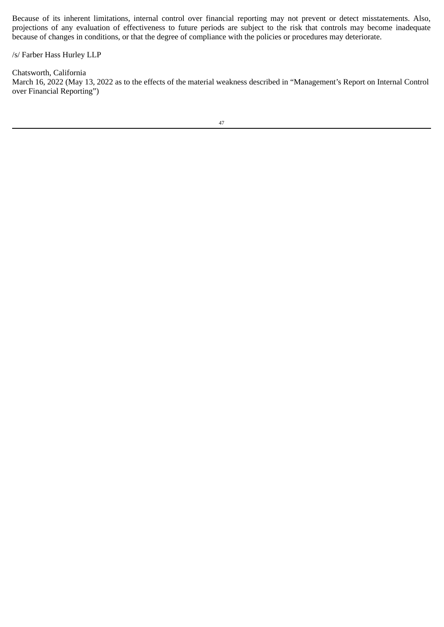Because of its inherent limitations, internal control over financial reporting may not prevent or detect misstatements. Also, projections of any evaluation of effectiveness to future periods are subject to the risk that controls may become inadequate because of changes in conditions, or that the degree of compliance with the policies or procedures may deteriorate.

/s/ Farber Hass Hurley LLP

Chatsworth, California

March 16, 2022 (May 13, 2022 as to the effects of the material weakness described in "Management's Report on Internal Control over Financial Reporting")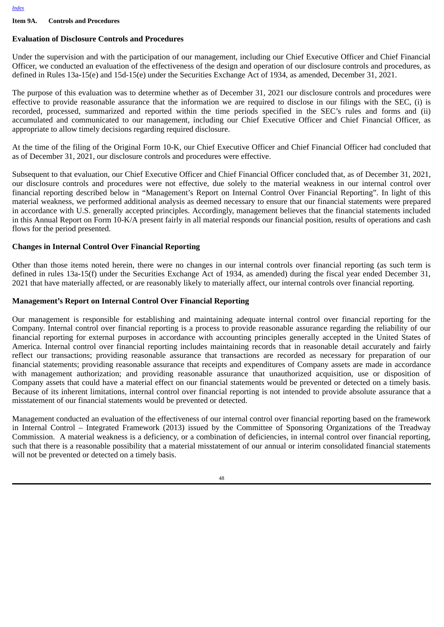### <span id="page-52-0"></span>**Item 9A. Controls and Procedures**

# **Evaluation of Disclosure Controls and Procedures**

Under the supervision and with the participation of our management, including our Chief Executive Officer and Chief Financial Officer, we conducted an evaluation of the effectiveness of the design and operation of our disclosure controls and procedures, as defined in Rules 13a-15(e) and 15d-15(e) under the Securities Exchange Act of 1934, as amended, December 31, 2021.

The purpose of this evaluation was to determine whether as of December 31, 2021 our disclosure controls and procedures were effective to provide reasonable assurance that the information we are required to disclose in our filings with the SEC, (i) is recorded, processed, summarized and reported within the time periods specified in the SEC's rules and forms and (ii) accumulated and communicated to our management, including our Chief Executive Officer and Chief Financial Officer, as appropriate to allow timely decisions regarding required disclosure.

At the time of the filing of the Original Form 10-K, our Chief Executive Officer and Chief Financial Officer had concluded that as of December 31, 2021, our disclosure controls and procedures were effective.

Subsequent to that evaluation, our Chief Executive Officer and Chief Financial Officer concluded that, as of December 31, 2021, our disclosure controls and procedures were not effective, due solely to the material weakness in our internal control over financial reporting described below in "Management's Report on Internal Control Over Financial Reporting". In light of this material weakness, we performed additional analysis as deemed necessary to ensure that our financial statements were prepared in accordance with U.S. generally accepted principles. Accordingly, management believes that the financial statements included in this Annual Report on Form 10-K/A present fairly in all material responds our financial position, results of operations and cash flows for the period presented.

### **Changes in Internal Control Over Financial Reporting**

Other than those items noted herein, there were no changes in our internal controls over financial reporting (as such term is defined in rules 13a-15(f) under the Securities Exchange Act of 1934, as amended) during the fiscal year ended December 31, 2021 that have materially affected, or are reasonably likely to materially affect, our internal controls over financial reporting.

### **Management's Report on Internal Control Over Financial Reporting**

Our management is responsible for establishing and maintaining adequate internal control over financial reporting for the Company. Internal control over financial reporting is a process to provide reasonable assurance regarding the reliability of our financial reporting for external purposes in accordance with accounting principles generally accepted in the United States of America. Internal control over financial reporting includes maintaining records that in reasonable detail accurately and fairly reflect our transactions; providing reasonable assurance that transactions are recorded as necessary for preparation of our financial statements; providing reasonable assurance that receipts and expenditures of Company assets are made in accordance with management authorization; and providing reasonable assurance that unauthorized acquisition, use or disposition of Company assets that could have a material effect on our financial statements would be prevented or detected on a timely basis. Because of its inherent limitations, internal control over financial reporting is not intended to provide absolute assurance that a misstatement of our financial statements would be prevented or detected.

Management conducted an evaluation of the effectiveness of our internal control over financial reporting based on the framework in Internal Control – Integrated Framework (2013) issued by the Committee of Sponsoring Organizations of the Treadway Commission. A material weakness is a deficiency, or a combination of deficiencies, in internal control over financial reporting, such that there is a reasonable possibility that a material misstatement of our annual or interim consolidated financial statements will not be prevented or detected on a timely basis.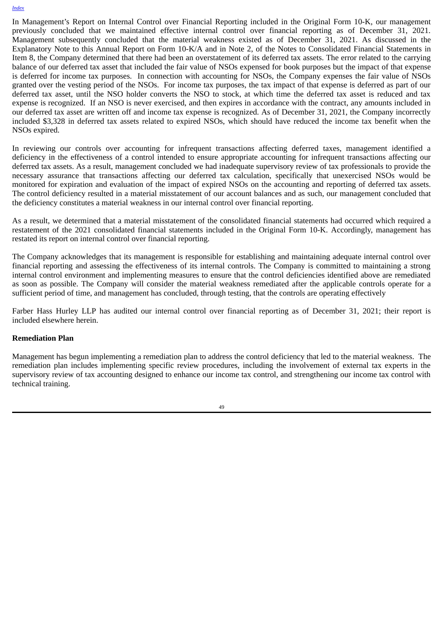In Management's Report on Internal Control over Financial Reporting included in the Original Form 10-K, our management previously concluded that we maintained effective internal control over financial reporting as of December 31, 2021. Management subsequently concluded that the material weakness existed as of December 31, 2021. As discussed in the Explanatory Note to this Annual Report on Form 10-K/A and in Note 2, of the Notes to Consolidated Financial Statements in Item 8, the Company determined that there had been an overstatement of its deferred tax assets. The error related to the carrying balance of our deferred tax asset that included the fair value of NSOs expensed for book purposes but the impact of that expense is deferred for income tax purposes. In connection with accounting for NSOs, the Company expenses the fair value of NSOs granted over the vesting period of the NSOs. For income tax purposes, the tax impact of that expense is deferred as part of our deferred tax asset, until the NSO holder converts the NSO to stock, at which time the deferred tax asset is reduced and tax expense is recognized. If an NSO is never exercised, and then expires in accordance with the contract, any amounts included in our deferred tax asset are written off and income tax expense is recognized. As of December 31, 2021, the Company incorrectly included \$3,328 in deferred tax assets related to expired NSOs, which should have reduced the income tax benefit when the NSOs expired.

In reviewing our controls over accounting for infrequent transactions affecting deferred taxes, management identified a deficiency in the effectiveness of a control intended to ensure appropriate accounting for infrequent transactions affecting our deferred tax assets. As a result, management concluded we had inadequate supervisory review of tax professionals to provide the necessary assurance that transactions affecting our deferred tax calculation, specifically that unexercised NSOs would be monitored for expiration and evaluation of the impact of expired NSOs on the accounting and reporting of deferred tax assets. The control deficiency resulted in a material misstatement of our account balances and as such, our management concluded that the deficiency constitutes a material weakness in our internal control over financial reporting.

As a result, we determined that a material misstatement of the consolidated financial statements had occurred which required a restatement of the 2021 consolidated financial statements included in the Original Form 10-K. Accordingly, management has restated its report on internal control over financial reporting.

The Company acknowledges that its management is responsible for establishing and maintaining adequate internal control over financial reporting and assessing the effectiveness of its internal controls. The Company is committed to maintaining a strong internal control environment and implementing measures to ensure that the control deficiencies identified above are remediated as soon as possible. The Company will consider the material weakness remediated after the applicable controls operate for a sufficient period of time, and management has concluded, through testing, that the controls are operating effectively

Farber Hass Hurley LLP has audited our internal control over financial reporting as of December 31, 2021; their report is included elsewhere herein.

### **Remediation Plan**

Management has begun implementing a remediation plan to address the control deficiency that led to the material weakness. The remediation plan includes implementing specific review procedures, including the involvement of external tax experts in the supervisory review of tax accounting designed to enhance our income tax control, and strengthening our income tax control with technical training.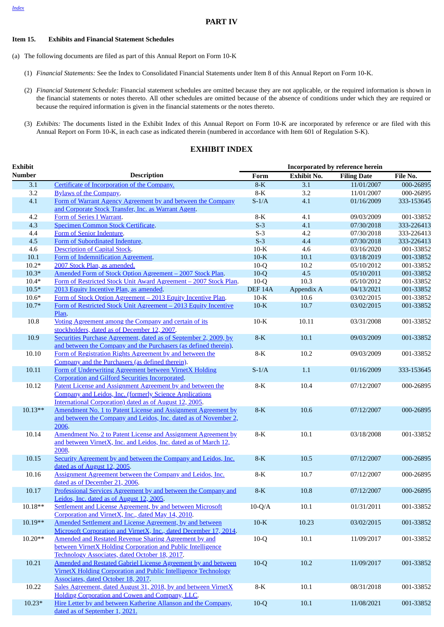### **PART IV**

### <span id="page-54-0"></span>**Item 15. Exhibits and Financial Statement Schedules**

- (a) The following documents are filed as part of this Annual Report on Form 10-K
	- (1) *Financial Statements:* See the Index to Consolidated Financial Statements under Item 8 of this Annual Report on Form 10-K.
	- (2) *Financial Statement Schedule:* Financial statement schedules are omitted because they are not applicable, or the required information is shown in the financial statements or notes thereto. All other schedules are omitted because of the absence of conditions under which they are required or because the required information is given in the financial statements or the notes thereto.
	- (3) *Exhibits:* The documents listed in the Exhibit Index of this Annual Report on Form 10-K are incorporated by reference or are filed with this Annual Report on Form 10-K, in each case as indicated therein (numbered in accordance with Item 601 of Regulation S-K).

# **EXHIBIT INDEX**

| <b>Exhibit</b> |                                                                       |                |                    |                    |            |
|----------------|-----------------------------------------------------------------------|----------------|--------------------|--------------------|------------|
| <b>Number</b>  | <b>Description</b>                                                    | Form           | <b>Exhibit No.</b> | <b>Filing Date</b> | File No.   |
| 3.1            | Certificate of Incorporation of the Company.                          | $8-K$          | 3.1                | 11/01/2007         | 000-26895  |
| 3.2            | <b>Bylaws of the Company.</b>                                         | $8-K$          | 3.2                | 11/01/2007         | 000-26895  |
| 4.1            | Form of Warrant Agency Agreement by and between the Company           | $S-1/A$        | 4.1                | 01/16/2009         | 333-153645 |
|                | and Corporate Stock Transfer, Inc. as Warrant Agent.                  |                |                    |                    |            |
| 4.2            | Form of Series I Warrant.                                             | $8-K$          | 4.1                | 09/03/2009         | 001-33852  |
| 4.3            | <b>Specimen Common Stock Certificate.</b>                             | $S-3$          | 4.1                | 07/30/2018         | 333-226413 |
| 4.4            | Form of Senior Indenture.                                             | $S-3$          | 4.2                | 07/30/2018         | 333-226413 |
| 4.5            | Form of Subordinated Indenture.                                       | $S-3$          | 4.4                | 07/30/2018         | 333-226413 |
| 4.6            | Description of Capital Stock.                                         | $10-K$         | 4.6                | 03/16/2020         | 001-33852  |
| 10.1           | Form of Indemnification Agreement.                                    | $10-K$         | 10.1               | 03/18/2019         | 001-33852  |
| $10.2*$        | 2007 Stock Plan, as amended.                                          | $10-Q$         | 10.2               | 05/10/2012         | 001-33852  |
| $10.3*$        | Amended Form of Stock Option Agreement - 2007 Stock Plan.             | $10-Q$         | 4.5                | 05/10/2011         | 001-33852  |
| $10.4*$        | Form of Restricted Stock Unit Award Agreement - 2007 Stock Plan.      | $10-Q$         | 10.3               | 05/10/2012         | 001-33852  |
| $10.5*$        | 2013 Equity Incentive Plan, as amended.                               | <b>DEF 14A</b> | Appendix A         | 04/13/2021         | 001-33852  |
| $10.6*$        | Form of Stock Option Agreement - 2013 Equity Incentive Plan.          | $10-K$         | 10.6               | 03/02/2015         | 001-33852  |
| $10.7*$        | Form of Restricted Stock Unit Agreement - 2013 Equity Incentive       | $10-K$         | 10.7               | 03/02/2015         | 001-33852  |
|                | Plan.                                                                 |                |                    |                    |            |
| 10.8           | Voting Agreement among the Company and certain of its                 | $10-K$         | 10.11              | 03/31/2008         | 001-33852  |
|                | stockholders, dated as of December 12, 2007.                          |                |                    |                    |            |
| 10.9           | Securities Purchase Agreement, dated as of September 2, 2009, by      | $8-K$          | 10.1               | 09/03/2009         | 001-33852  |
|                | and between the Company and the Purchasers (as defined therein).      |                |                    |                    |            |
| 10.10          | Form of Registration Rights Agreement by and between the              | $8-K$          | 10.2               | 09/03/2009         | 001-33852  |
|                | Company and the Purchasers (as defined therein).                      |                |                    |                    |            |
| 10.11          | Form of Underwriting Agreement between VirnetX Holding                | $S-1/A$        | 1.1                | 01/16/2009         | 333-153645 |
|                | <b>Corporation and Gilford Securities Incorporated.</b>               |                |                    |                    |            |
| 10.12          | Patent License and Assignment Agreement by and between the            | $8-K$          | 10.4               | 07/12/2007         | 000-26895  |
|                | <b>Company and Leidos, Inc. (formerly Science Applications</b>        |                |                    |                    |            |
|                | International Corporation) dated as of August 12, 2005.               |                |                    |                    |            |
| $10.13**$      | Amendment No. 1 to Patent License and Assignment Agreement by         | $8-K$          | 10.6               | 07/12/2007         | 000-26895  |
|                | and between the Company and Leidos, Inc. dated as of November 2,      |                |                    |                    |            |
|                | 2006.                                                                 |                |                    |                    |            |
| 10.14          | Amendment No. 2 to Patent License and Assignment Agreement by         | $8-K$          | 10.1               | 03/18/2008         | 001-33852  |
|                | and between VirnetX, Inc. and Leidos, Inc. dated as of March 12,      |                |                    |                    |            |
|                | 2008.                                                                 |                |                    |                    |            |
| 10.15          | Security Agreement by and between the Company and Leidos, Inc.        | $8-K$          | 10.5               | 07/12/2007         | 000-26895  |
|                | dated as of August 12, 2005.                                          |                |                    |                    |            |
| 10.16          | Assignment Agreement between the Company and Leidos, Inc.             | $8-K$          | 10.7               | 07/12/2007         | 000-26895  |
|                | dated as of December 21, 2006.                                        |                |                    |                    |            |
| 10.17          | Professional Services Agreement by and between the Company and        | $8-K$          | 10.8               | 07/12/2007         | 000-26895  |
|                | Leidos, Inc. dated as of August 12, 2005.                             |                |                    |                    |            |
| $10.18**$      | Settlement and License Agreement, by and between Microsoft            | $10-Q/A$       | $10.1\,$           | 01/31/2011         | 001-33852  |
|                | Corporation and VirnetX, Inc., dated May 14, 2010.                    |                |                    |                    |            |
| $10.19**$      | Amended Settlement and License Agreement, by and between              | $10-K$         | 10.23              | 03/02/2015         | 001-33852  |
|                | Microsoft Corporation and VirnetX, Inc., dated December 17, 2014.     |                |                    |                    |            |
| $10.20**$      | <b>Amended and Restated Revenue Sharing Agreement by and</b>          | $10-Q$         | 10.1               | 11/09/2017         | 001-33852  |
|                | between VirnetX Holding Corporation and Public Intelligence           |                |                    |                    |            |
|                | Technology Associates, dated October 18, 2017.                        |                |                    |                    |            |
| 10.21          | Amended and Restated Gabriel License Agreement by and between         | $10-Q$         | 10.2               | 11/09/2017         | 001-33852  |
|                | <b>VirnetX Holding Corporation and Public Intelligence Technology</b> |                |                    |                    |            |
|                | Associates, dated October 18, 2017.                                   |                |                    |                    |            |
| 10.22          | Sales Agreement, dated August 31, 2018, by and between VirnetX        | 8-K            | $10.1\,$           | 08/31/2018         | 001-33852  |
|                | Holding Corporation and Cowen and Company, LLC.                       |                |                    |                    |            |
| $10.23*$       | Hire Letter by and between Katherine Allanson and the Company,        | $10-Q$         | $10.1\,$           | 11/08/2021         | 001-33852  |
|                | dated as of September 1, 2021.                                        |                |                    |                    |            |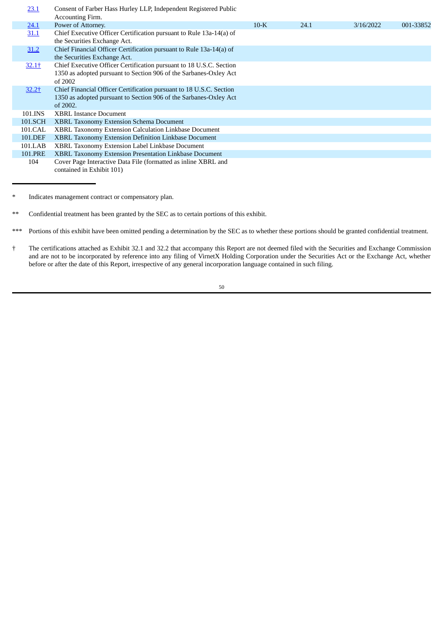| 23.1    | Consent of Farber Hass Hurley LLP, Independent Registered Public<br>Accounting Firm.                                                                 |        |      |           |           |
|---------|------------------------------------------------------------------------------------------------------------------------------------------------------|--------|------|-----------|-----------|
| 24.1    | Power of Attorney.                                                                                                                                   | $10-K$ | 24.1 | 3/16/2022 | 001-33852 |
| 31.1    | Chief Executive Officer Certification pursuant to Rule 13a-14(a) of<br>the Securities Exchange Act.                                                  |        |      |           |           |
| 31.2    | Chief Financial Officer Certification pursuant to Rule 13a-14(a) of<br>the Securities Exchange Act.                                                  |        |      |           |           |
| $32.1+$ | Chief Executive Officer Certification pursuant to 18 U.S.C. Section<br>1350 as adopted pursuant to Section 906 of the Sarbanes-Oxley Act<br>of 2002  |        |      |           |           |
| $32.2+$ | Chief Financial Officer Certification pursuant to 18 U.S.C. Section<br>1350 as adopted pursuant to Section 906 of the Sarbanes-Oxley Act<br>of 2002. |        |      |           |           |
| 101.INS | <b>XBRL Instance Document</b>                                                                                                                        |        |      |           |           |
| 101.SCH | XBRL Taxonomy Extension Schema Document                                                                                                              |        |      |           |           |
| 101.CAL | <b>XBRL Taxonomy Extension Calculation Linkbase Document</b>                                                                                         |        |      |           |           |
| 101.DEF | XBRL Taxonomy Extension Definition Linkbase Document                                                                                                 |        |      |           |           |
| 101.LAB | XBRL Taxonomy Extension Label Linkbase Document                                                                                                      |        |      |           |           |
| 101.PRE | XBRL Taxonomy Extension Presentation Linkbase Document                                                                                               |        |      |           |           |
| 104     | Cover Page Interactive Data File (formatted as inline XBRL and<br>contained in Exhibit 101)                                                          |        |      |           |           |

Indicates management contract or compensatory plan.

Confidential treatment has been granted by the SEC as to certain portions of this exhibit.

\*\*\* Portions of this exhibit have been omitted pending a determination by the SEC as to whether these portions should be granted confidential treatment.

† The certifications attached as Exhibit 32.1 and 32.2 that accompany this Report are not deemed filed with the Securities and Exchange Commission and are not to be incorporated by reference into any filing of VirnetX Holding Corporation under the Securities Act or the Exchange Act, whether before or after the date of this Report, irrespective of any general incorporation language contained in such filing.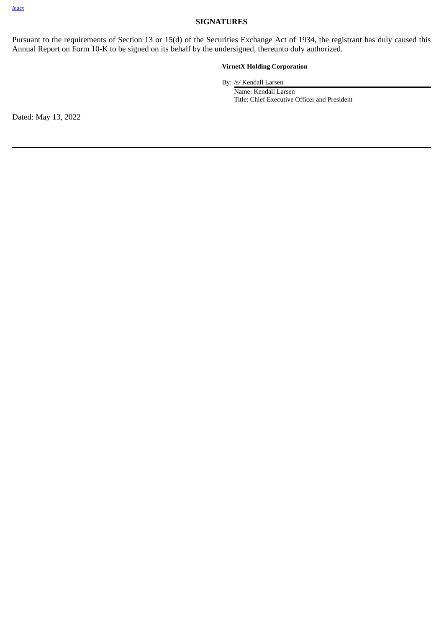# **SIGNATURES**

Pursuant to the requirements of Section 13 or 15(d) of the Securities Exchange Act of 1934, the registrant has duly caused this Annual Report on Form 10-K to be signed on its behalf by the undersigned, thereunto duly authorized.

### **VirnetX Holding Corporation**

By: /s/ Kendall Larsen

Name: Kendall Larsen Title: Chief Executive Officer and President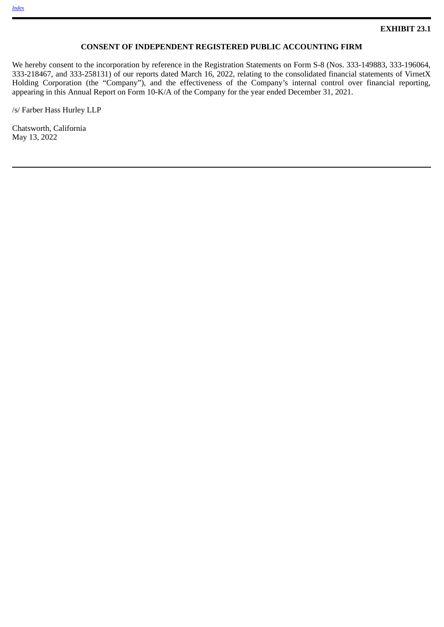# **CONSENT OF INDEPENDENT REGISTERED PUBLIC ACCOUNTING FIRM**

<span id="page-57-0"></span>We hereby consent to the incorporation by reference in the Registration Statements on Form S-8 (Nos. 333-149883, 333-196064, 333-218467, and 333-258131) of our reports dated March 16, 2022, relating to the consolidated financial statements of VirnetX Holding Corporation (the "Company"), and the effectiveness of the Company's internal control over financial reporting, appearing in this Annual Report on Form 10-K/A of the Company for the year ended December 31, 2021.

/s/ Farber Hass Hurley LLP

Chatsworth, California May 13, 2022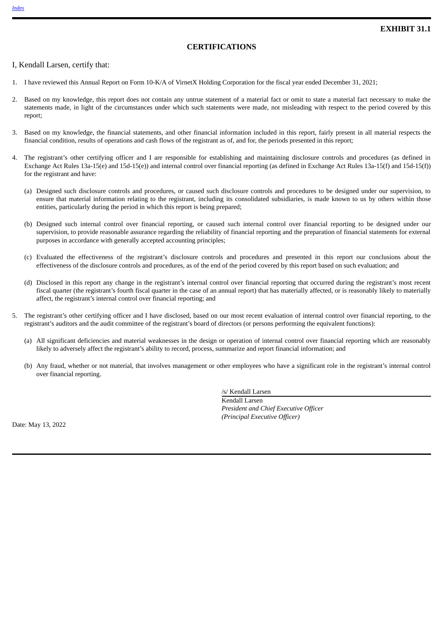# **CERTIFICATIONS**

### <span id="page-58-0"></span>I, Kendall Larsen, certify that:

- 1. I have reviewed this Annual Report on Form 10-K/A of VirnetX Holding Corporation for the fiscal year ended December 31, 2021;
- 2. Based on my knowledge, this report does not contain any untrue statement of a material fact or omit to state a material fact necessary to make the statements made, in light of the circumstances under which such statements were made, not misleading with respect to the period covered by this report;
- 3. Based on my knowledge, the financial statements, and other financial information included in this report, fairly present in all material respects the financial condition, results of operations and cash flows of the registrant as of, and for, the periods presented in this report;
- 4. The registrant's other certifying officer and I are responsible for establishing and maintaining disclosure controls and procedures (as defined in Exchange Act Rules 13a-15(e) and 15d-15(e)) and internal control over financial reporting (as defined in Exchange Act Rules 13a-15(f) and 15d-15(f)) for the registrant and have:
	- (a) Designed such disclosure controls and procedures, or caused such disclosure controls and procedures to be designed under our supervision, to ensure that material information relating to the registrant, including its consolidated subsidiaries, is made known to us by others within those entities, particularly during the period in which this report is being prepared;
	- (b) Designed such internal control over financial reporting, or caused such internal control over financial reporting to be designed under our supervision, to provide reasonable assurance regarding the reliability of financial reporting and the preparation of financial statements for external purposes in accordance with generally accepted accounting principles;
	- (c) Evaluated the effectiveness of the registrant's disclosure controls and procedures and presented in this report our conclusions about the effectiveness of the disclosure controls and procedures, as of the end of the period covered by this report based on such evaluation; and
	- (d) Disclosed in this report any change in the registrant's internal control over financial reporting that occurred during the registrant's most recent fiscal quarter (the registrant's fourth fiscal quarter in the case of an annual report) that has materially affected, or is reasonably likely to materially affect, the registrant's internal control over financial reporting; and
- 5. The registrant's other certifying officer and I have disclosed, based on our most recent evaluation of internal control over financial reporting, to the registrant's auditors and the audit committee of the registrant's board of directors (or persons performing the equivalent functions):
	- (a) All significant deficiencies and material weaknesses in the design or operation of internal control over financial reporting which are reasonably likely to adversely affect the registrant's ability to record, process, summarize and report financial information; and
	- (b) Any fraud, whether or not material, that involves management or other employees who have a significant role in the registrant's internal control over financial reporting.

/s/ Kendall Larsen

Kendall Larsen *President and Chief Executive Officer (Principal Executive Officer)*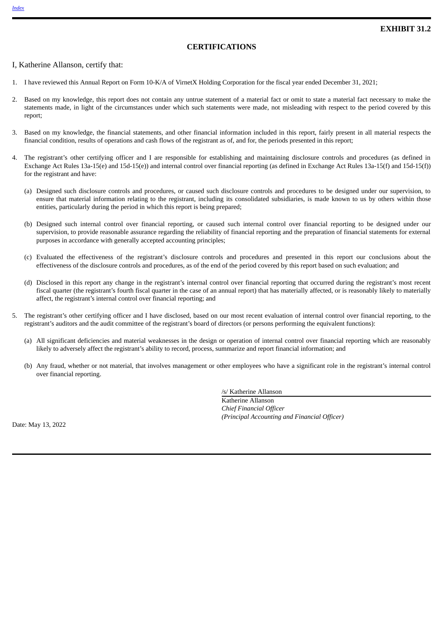## **CERTIFICATIONS**

### <span id="page-59-0"></span>I, Katherine Allanson, certify that:

- 1. I have reviewed this Annual Report on Form 10-K/A of VirnetX Holding Corporation for the fiscal year ended December 31, 2021;
- 2. Based on my knowledge, this report does not contain any untrue statement of a material fact or omit to state a material fact necessary to make the statements made, in light of the circumstances under which such statements were made, not misleading with respect to the period covered by this report;
- 3. Based on my knowledge, the financial statements, and other financial information included in this report, fairly present in all material respects the financial condition, results of operations and cash flows of the registrant as of, and for, the periods presented in this report;
- 4. The registrant's other certifying officer and I are responsible for establishing and maintaining disclosure controls and procedures (as defined in Exchange Act Rules 13a-15(e) and 15d-15(e)) and internal control over financial reporting (as defined in Exchange Act Rules 13a-15(f) and 15d-15(f)) for the registrant and have:
	- (a) Designed such disclosure controls and procedures, or caused such disclosure controls and procedures to be designed under our supervision, to ensure that material information relating to the registrant, including its consolidated subsidiaries, is made known to us by others within those entities, particularly during the period in which this report is being prepared;
	- (b) Designed such internal control over financial reporting, or caused such internal control over financial reporting to be designed under our supervision, to provide reasonable assurance regarding the reliability of financial reporting and the preparation of financial statements for external purposes in accordance with generally accepted accounting principles;
	- (c) Evaluated the effectiveness of the registrant's disclosure controls and procedures and presented in this report our conclusions about the effectiveness of the disclosure controls and procedures, as of the end of the period covered by this report based on such evaluation; and
	- (d) Disclosed in this report any change in the registrant's internal control over financial reporting that occurred during the registrant's most recent fiscal quarter (the registrant's fourth fiscal quarter in the case of an annual report) that has materially affected, or is reasonably likely to materially affect, the registrant's internal control over financial reporting; and
- 5. The registrant's other certifying officer and I have disclosed, based on our most recent evaluation of internal control over financial reporting, to the registrant's auditors and the audit committee of the registrant's board of directors (or persons performing the equivalent functions):
	- (a) All significant deficiencies and material weaknesses in the design or operation of internal control over financial reporting which are reasonably likely to adversely affect the registrant's ability to record, process, summarize and report financial information; and
	- (b) Any fraud, whether or not material, that involves management or other employees who have a significant role in the registrant's internal control over financial reporting.

/s/ Katherine Allanson

Katherine Allanson *Chief Financial Officer (Principal Accounting and Financial Officer)*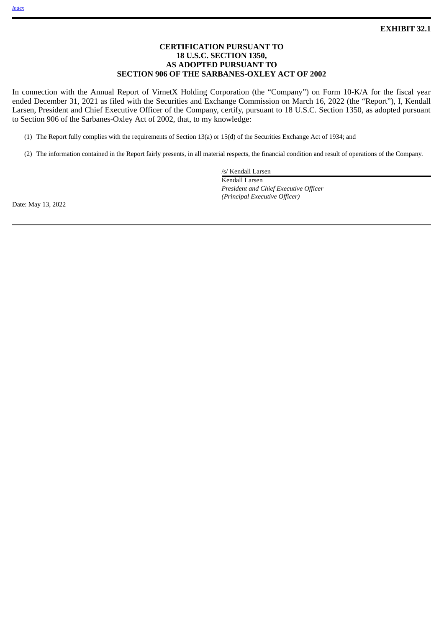### **CERTIFICATION PURSUANT TO 18 U.S.C. SECTION 1350, AS ADOPTED PURSUANT TO SECTION 906 OF THE SARBANES-OXLEY ACT OF 2002**

<span id="page-60-0"></span>In connection with the Annual Report of VirnetX Holding Corporation (the "Company") on Form 10-K/A for the fiscal year ended December 31, 2021 as filed with the Securities and Exchange Commission on March 16, 2022 (the "Report"), I, Kendall Larsen, President and Chief Executive Officer of the Company, certify, pursuant to 18 U.S.C. Section 1350, as adopted pursuant to Section 906 of the Sarbanes-Oxley Act of 2002, that, to my knowledge:

(1) The Report fully complies with the requirements of Section 13(a) or 15(d) of the Securities Exchange Act of 1934; and

(2) The information contained in the Report fairly presents, in all material respects, the financial condition and result of operations of the Company.

/s/ Kendall Larsen Kendall Larsen *President and Chief Executive Officer (Principal Executive Officer)*